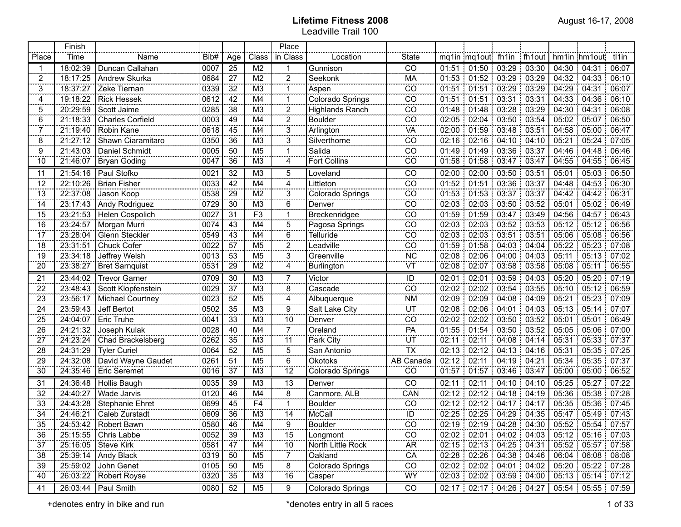|                 | Finish   |                         |      |                         |                 | Place              |                        |                                              |       |                                 |                             |             |       |                   |                               |
|-----------------|----------|-------------------------|------|-------------------------|-----------------|--------------------|------------------------|----------------------------------------------|-------|---------------------------------|-----------------------------|-------------|-------|-------------------|-------------------------------|
| Place           | Time     | Name                    | Bib# | Age                     | Class           | in Class           | Location               | <b>State</b>                                 |       | mq1in mq1out fh1in              |                             | : fh1out    |       | hm1in hm1out      | tl1in                         |
| -1              | 18:02:39 | Duncan Callahan         | 0007 | 25                      | M <sub>2</sub>  | -1                 | Gunnison               | CO                                           | 01:51 |                                 | $01:50$   $03:29$   $03:30$ |             | 04:30 | 04:31             | 06:07                         |
| 2               | 18:17:25 | Andrew Skurka           | 0684 | 27                      | M <sub>2</sub>  | $\overline{2}$     | Seekonk                | MA                                           | 01:53 |                                 | 01:52 03:29 03:29           |             | 04:32 | 04:33             | 06:10                         |
| 3               | 18:37:27 | Zeke Tiernan            | 0339 | 32                      | M <sub>3</sub>  | -1                 | Aspen                  | CO                                           | 01:51 | 01:51                           | 03:29                       | 03:29       | 04:29 | 04:31             | 06:07                         |
| 4               | 19:18:22 | <b>Rick Hessek</b>      | 0612 | 42                      | M4              | -1                 | Colorado Springs       | CO                                           | 01:51 | 01:51                           | 03:31                       | 03:31       | 04:33 | 04:36             | 06:10                         |
| 5               | 20:29:59 | Scott Jaime             | 0285 | 38                      | M <sub>3</sub>  | $\overline{a}$     | <b>Highlands Ranch</b> | CO                                           | 01:48 | 01:48                           | 03:28                       | 03:29       | 04:30 | 04:31             | 06:08                         |
| 6               | 21:18:33 | <b>Charles Corfield</b> | 0003 | 49                      | M4              | 2                  | <b>Boulder</b>         | CO                                           | 02:05 | 02:04                           | 03:50                       | 03:54       | 05:02 | 05:07             | 06:50                         |
| 7               | 21:19:40 | Robin Kane              | 0618 | 45                      | M4              | 3                  | Arlington              | VA                                           | 02:00 | 01:59                           | 03:48                       | 03:51       | 04:58 | 05:00             | 06:47                         |
| 8               | 21:27:12 | Shawn Ciaramitaro       | 0350 | 36                      | M <sub>3</sub>  | 3                  | Silverthorne           | CO                                           | 02:16 | 02:16                           | $04:10$ 04:10               |             | 05:21 | 05:24             | 07:05                         |
| 9               | 21:43:03 | Daniel Schmidt          | 0005 | 50                      | M <sub>5</sub>  | -1                 | Salida                 | CO                                           | 01:49 | 01:49                           | 03:36:03:37                 |             | 04:46 | 04:48             | 06:46                         |
| 10              | 21:46:07 | <b>Bryan Goding</b>     | 0047 | 36                      | M <sub>3</sub>  | 4                  | Fort Collins           | CO                                           | 01:58 | 01:58                           | 03:47                       | 03:47       | 04:55 | 04:55             | 06:45                         |
| 11              | 21:54:16 | Paul Stofko             | 0021 | $\overline{32}$         | M3              | 5                  | Loveland               | $\overline{C}$                               | 02:00 | 02:00                           | $03:50$ 03:51               |             | 05:01 | 05:03             | 06:50                         |
| $\overline{12}$ | 22:10:26 | <b>Brian Fisher</b>     | 0033 | $\overline{42}$         | M4              | $\overline{4}$     | Littleton              | $\overline{CO}$                              | 01:52 | 01:51                           | $03:36$ 03:37               |             | 04:48 | 04:53             | 06:30                         |
| $\overline{13}$ | 22:37:08 | Jason Koop              | 0538 | 29                      | $\overline{M2}$ | $\overline{3}$     | Colorado Springs       | $\overline{CO}$                              | 01:53 |                                 | 01:53 03:37 03:37           |             | 04:42 | 04:42             | 06:31                         |
| $\overline{14}$ | 23:17:43 | Andy Rodriguez          | 0729 | $\overline{30}$         | $\overline{M3}$ | $\overline{6}$     | Denver                 | $\overline{CO}$                              | 02:03 |                                 | 02:03 03:50 03:52           |             | 05:01 | 05:02             | 06:49                         |
| $\overline{15}$ | 23:21:53 | Helen Cospolich         | 0027 | $\overline{31}$         | $\overline{F3}$ | -1                 | Breckenridgee          | $\overline{CO}$                              | 01:59 |                                 | $01:59$ 03:47               | 03:49       | 04:56 | 04:57             | 06:43                         |
| 16              | 23:24:57 | Morgan Murri            | 0074 | 43                      | $\overline{M4}$ | $\overline{5}$     | Pagosa Springs         | $\overline{CO}$                              | 02:03 |                                 | 02:03 03:52 03:53           |             | 05:12 | 05:12             | 06:56                         |
| 17              | 23:28:04 | Glenn Steckler          | 0549 | 43                      | M4              | $\overline{6}$     | <b>Telluride</b>       | $\overline{CO}$                              | 02:03 |                                 | $02:03$ $03:51$             | 03:51       | 05:06 | 05:08             | 06:56                         |
| 18              | 23:31:51 | Chuck Cofer             | 0022 | $\overline{57}$         | M <sub>5</sub>  | $\overline{2}$     | Leadville              | $\overline{CO}$                              | 01:59 |                                 | 01:58 04:03                 | 04:04       | 05:22 | 05:23             | .07:08                        |
| 19              | 23:34:18 | Jeffrey Welsh           | 0013 | 53                      | $\overline{M5}$ | $\overline{3}$     | Greenville             | <b>NC</b>                                    | 02:08 |                                 | 02:06 04:00 04:03           |             | 05:11 |                   | $05:13$ 07:02                 |
| 20              | 23:38:27 | <b>Bret Sarnquist</b>   | 0531 | $\overline{29}$         | $\overline{M2}$ | $\overline{4}$     | Burlington             | ΨÏ                                           | 02:08 | 02:07                           |                             | 03:58 03:58 | 05:08 | 05:11             | 06:55                         |
| 21              | 23:44:02 | <b>Trevor Garner</b>    | 0709 | 30                      | M <sub>3</sub>  | 7                  | Victor                 | ID                                           | 02:01 | 02:01                           |                             | 03:59 04:03 | 05:20 | 05:20             | 07:19                         |
| 22              | 23:48:43 | Scott Klopfenstein      | 0029 | 37                      | M <sub>3</sub>  | <br>8              | Cascade                | $\overline{\overline{\overline{\text{co}}}}$ | 02:02 | 02:02                           | 03:54                       | 03:55       | 05:10 | 05:12             | 06:59                         |
| 23              | 23:56:17 | Michael Courtney        | 0023 | 52                      | M <sub>5</sub>  | 4                  | Albuquerque            | <b>NM</b>                                    | 02:09 | 02:09                           | 04:08                       | 04:09       | 05:21 | 05:23             | 07:09                         |
| 24              | 23:59:43 | Jeff Bertot             | 0502 | 35                      | M <sub>3</sub>  | <br>9              | Salt Lake City         |                                              | 02:08 | 02:06                           | 04:01                       | 04:03       | 05:13 | 05:14             | 07:07                         |
| 25              | 24:04:07 | Eric Truhe              | 0041 | 33                      | M <sub>3</sub>  | <br>$\frac{10}{2}$ | Denver                 | $rac{\overline{U}}{\overline{C}}$            | 02:02 | 02:02                           |                             | 03:50 03:52 | 05:01 | 05:01             | 06:49                         |
| 26              | 24:21:32 | Joseph Kulak            | 0028 | 40                      | M4              | $\overline{7}$     | Oreland                | PA                                           | 01:55 | 01:54                           | 03:50                       | 03:52       | 05:05 | 05:06             | 07:00                         |
| 27              | 24:23:24 | Chad Brackelsberg       | 0262 | 35                      | M <sub>3</sub>  | <br>11             | Park City              | $rac{UT}{TX}$                                | 02:11 | 02:11                           | 04:08                       | 04:14       | 05:31 | 05:33:            | 07:37                         |
| 28              | 24:31:29 | <b>Tyler Curiel</b>     | 0064 | 52                      | M <sub>5</sub>  | <br>5              | San Antonio            |                                              | 02:13 | 02:12                           |                             | 04:13 04:16 | 05:31 |                   | 05:35 : 07:25                 |
| 29              | 24:32:08 | David Wayne Gaudet      | 0261 | 51                      | M <sub>5</sub>  | 6                  | Okotoks                | AB Canada                                    | 02:12 | 02:11                           | 04:19                       | 04:21       | 05:34 |                   | 05:35 07:37                   |
| 30              | 24:35:46 | <b>Eric Seremet</b>     | 0016 | 37                      | M <sub>3</sub>  | 12                 | Colorado Springs       | CO                                           | 01:57 | 01:57                           | 03:46                       | 03:47       | 05:00 | 05:00             | 06:52                         |
| 31              | 24:36:48 | Hollis Baugh            | 0035 | 39                      | M <sub>3</sub>  | 13                 | Denver                 | CO                                           | 02:11 | 02:11                           | 04:10                       | 04:10       | 05:25 | 05:27             | 07:22                         |
| 32              | 24:40:27 | Wade Jarvis             | 0120 | 46                      | M4              | 8                  | Canmore, ALB           | CAN                                          | 02:12 | 02:12                           | 04:18                       | 04:19       | 05:36 | 05:38             | 07:28                         |
| 33              | 24:43:28 | Stephanie Ehret         | 0699 | 45                      | F <sub>4</sub>  | 1                  | <b>Boulder</b>         | $\overline{C}$                               | 02:12 | 02:12                           | 104:17                      | 04:17       | 05:35 | 05:36             | 07:45                         |
| 34              | 24:46:21 | Caleb Zurstadt          | 0609 | 36                      | M <sub>3</sub>  | 14                 | McCall                 | ID                                           | 02:25 | 02:25                           | 04:29                       | 04:35       | 05:47 | 05:49             | 07:43                         |
| 35              | 24:53:42 | Robert Bawn             | 0580 | 46                      | M4              | 9                  | <b>Boulder</b>         | CO                                           | 02:19 |                                 | 02:19 04:28 04:30           |             |       | 05:52 05:54       | 07:57                         |
| 3000000<br>36   | 25:15:55 | Chris Labbe             | 0052 | <b>CONTRACTOR</b><br>39 | M3              | 15                 | Longmont               | CO                                           |       | $02:02$   02:01   04:02   04:03 |                             |             |       | 05:12 05:16 07:03 |                               |
| 37              | 25:16:05 | Steve Kirk              | 0581 | 47                      | M4              | 10                 | North Little Rock      | <b>AR</b>                                    | 02:15 |                                 | 02:13 04:25 04:31           |             |       | 05:52 05:57 07:58 |                               |
| 38              | 25:39:14 | Andy Black              | 0319 | 50                      | M5              | 7                  | Oakland                | CA                                           | 02:28 |                                 | 02:26 04:38 04:46           |             |       | 06:04 06:08 08:08 |                               |
| 39              | 25:59:02 | John Genet              | 0105 | 50                      | M5              | $\overline{8}$     | Colorado Springs       | CO                                           | 02:02 |                                 | 02:02   04:01   04:02       |             |       | 05:20 05:22 07:28 |                               |
| 40              | 26:03:22 | Robert Royse            | 0320 | 35                      | MЗ              | 16                 | Casper                 | WY                                           | 02:03 |                                 | $02:02$   $03:59$   04:00   |             |       |                   | $05:13 \div 05:14 \div 07:12$ |
| 41              | 26:03:44 | Paul Smith              | 0080 | 52                      | M <sub>5</sub>  | 9                  | Colorado Springs       | CO                                           |       | 02:17 02:17 04:26 04:27         |                             |             |       |                   | 05:54   05:55   07:59         |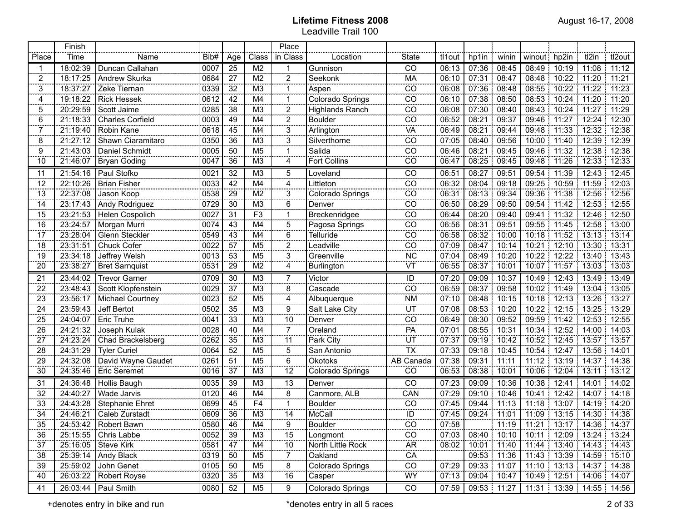| <b>*********</b>        | Finish   |                         |      |                 |                 | Place                           |                   | <b></b>                    |         |               |       |              |       |                                               |             |
|-------------------------|----------|-------------------------|------|-----------------|-----------------|---------------------------------|-------------------|----------------------------|---------|---------------|-------|--------------|-------|-----------------------------------------------|-------------|
| Place                   | Time     | Name                    | Bib# | Age             | Class           | in Class                        | Location          | <b>State</b>               | tl1out  | hp1in         | winin | winout hp2in |       | tl2in                                         | tl2out      |
| 1                       | 18:02:39 | Duncan Callahan         | 0007 | 25              | M <sub>2</sub>  | 1                               | Gunnison          | CO                         | 06:13   | 07:36         | 08:45 | 08:49        | 10:19 | 11:08                                         | 11:12       |
| 2                       | 18:17:25 | Andrew Skurka           | 0684 | 27              | M <sub>2</sub>  | ooce<br>$\overline{a}$          | Seekonk           | MA                         | 06:10   | 07:31         | 08:47 | 08:48        | 10:22 | 11:20                                         | 11:21       |
| 3                       | 18:37:27 | Zeke Tiernan            | 0339 | 32              | M <sub>3</sub>  | -1<br>cono                      | Aspen             | CO                         | 06:08   | 07:36         | 08:48 | 08:55        | 10:22 | 11:22                                         | 11:23       |
| 4                       | 19:18:22 | <b>Rick Hessek</b>      | 0612 | 42              | M4              | -1<br>sono.                     | Colorado Springs  | CO                         | 06:10   | 07:38         | 08:50 | 08:53        | 10:24 | 11:20                                         | 11:20       |
| 5                       | 20:29:59 | Scott Jaime             | 0285 | 38              | M <sub>3</sub>  | $\overline{a}$                  | Highlands Ranch   | CO                         | 06:08   | 07:30         | 08:40 | 08:43        | 10:24 | 11:27                                         | 11:29       |
| 6                       | 21:18:33 | <b>Charles Corfield</b> | 0003 | 49              | M4              | $\overline{a}$                  | <b>Boulder</b>    | $\frac{CO}{}$              | 06:52   | 08:21         | 09:37 | 09:46        | 11:27 | 12:24                                         | 12:30       |
| 7                       | 21:19:40 | Robin Kane              | 0618 | 45              | M4              | 3<br>oo ee                      | Arlington         | $\underline{\mathsf{VA}}$  | 06:49   | 08:21         | 09:44 | 09:48        | 11:33 | 12:32                                         | 12:38       |
| 8                       | 21:27:12 | Shawn Ciaramitaro       | 0350 | 36              | M <sub>3</sub>  | 3<br>sina.                      | Silverthorne      | CO                         | 07:05   | 08:40         | 09:56 | 10:00        | 11:40 | 12:39:                                        | 12:39       |
| 9                       | 21:43:03 | Daniel Schmidt          | 0005 | 50              | M <sub>5</sub>  | -1<br>anana a                   | Salida            | CO                         | 06:46   | 08:21         | 09:45 | 09:46        | 11:32 | 12:38                                         | 12:38       |
| 10                      | 21:46:07 | <b>Bryan Goding</b>     | 0047 | 36              | M <sub>3</sub>  | 4                               | Fort Collins      | CO                         | 06:47   | 08:25         | 09:45 | 09:48        | 11:26 |                                               | 12:33 12:33 |
| 11                      | 21:54:16 | Paul Stofko             | 0021 | 32              | M3              | 5                               | Loveland          | $\overline{c}$             | 06:51   | 08:27         | 09:51 | 09:54        | 11:39 |                                               | 12:43 12:45 |
| 12                      | 22:10:26 | <b>Brian Fisher</b>     | 0033 | 42              | M4              | 4                               | Littleton         | $\overline{co}$            | 06:32   | 08:04         | 09:18 |              |       | 09:25   10:59   11:59   12:03                 |             |
| 13                      | 22:37:08 | Jason Koop              | 0538 | 29              | M <sub>2</sub>  | 3                               | Colorado Springs  | $\overline{CO}$            | 06:31   | 08:13 09:34   |       |              |       | 09:36 11:38 12:56 12:56                       |             |
| 14                      | 23:17:43 | Andy Rodriguez          | 0729 | 30              | M3              | 6                               | Denver            | $\overline{CO}$            | 06:50   | 08:29         | 09:50 | 09:54        |       | $11:42$ 12:53 12:55                           |             |
| 15                      | 23:21:53 | Helen Cospolich         | 0027 | 31              | $\overline{F3}$ | $\mathbf{1}$                    | Breckenridgee     | $\overline{CO}$            | 06:44   | 08:20         | 09:40 |              |       | 09:41 11:32 12:46 12:50                       |             |
| 16                      | 23:24:57 | Morgan Murri            | 0074 | 43              | M4              | 5                               | Pagosa Springs    | $\overline{co}$            | 06:56   | 08:31         | 09:51 |              |       | 09:55 11:45 12:58 13:00                       |             |
| 17                      | 23:28:04 | Glenn Steckler          | 0549 | 43              | M4              | 6                               | Telluride         | $\overline{CO}$            | 06:58   | 08:32<br>т.   | 10:00 |              |       | 10:18 11:52 13:13 13:14                       |             |
| 18                      | 23:31:51 | <b>Chuck Cofer</b>      | 0022 | 57              | M <sub>5</sub>  | $\overline{2}$                  | Leadville         | $\overline{co}$            | 07:09   | 08:47         | 10:14 |              |       | 10:21 12:10 13:30 13:31                       |             |
| 19                      | 23:34:18 | Jeffrey Welsh           | 0013 | 53              | M <sub>5</sub>  | 3                               | Greenville        | <b>NC</b>                  | 07:04   | 08:49         | 10:20 |              |       | 10:22 12:22 13:40 13:43                       |             |
| 20                      | 23:38:27 | <b>Bret Sarnquist</b>   | 0531 | 29              | M <sub>2</sub>  | 4                               | Burlington        | VT                         | 06:55   | 08:37         | 10:01 |              |       | 10:07 11:57 13:03 13:03                       |             |
| 21                      | 23:44:02 | <b>Trevor Garner</b>    | 0709 | 30              | M3              | 7                               | Victor            | ID                         | 07:20   | 09:09         | 10:37 | 10:49        |       | 12:43 13:49 13:49                             |             |
| 22                      | 23:48:43 | Scott Klopfenstein      | 0029 | 37              | M3              | $\overline{8}$                  | Cascade           | $\overline{c}\overline{o}$ | 06:59   | 08:37         | 09:58 | 10:02        | 11.49 | 13:04                                         | 13:05<br>÷. |
| 23                      | 23:56:17 | Michael Courtney        | 0023 | $\overline{52}$ | M5              | <br>4                           | Albuquerque       | <b>NM</b>                  | 07:10   | 08:48         | 10:15 | 10:18        | 12:13 | 13:26                                         | 13:27       |
| 24                      | 23:59:43 | Jeff Bertot             | 0502 | 35              | M3              | $\frac{1}{9}$<br>$\frac{9}{10}$ | Salt Lake City    | $\frac{1}{100}$            | 07:08   | 08:53         | 10:20 | 10:22        | 12:15 | 13:25                                         | 13:29       |
| 25                      | 24:04:07 | Eric Truhe              | 0041 | 33              | M3              |                                 | Denver            |                            | 06:49   | 08:30         | 09:52 | 09:59        | 11:42 | 12:53                                         | 12:55       |
| 26                      | 24:21:32 | Joseph Kulak            | 0028 | 40              | M4              | $\overline{7}$                  | Oreland           | PA                         | 07:01   | 08:55         | 10:31 | 10:34        | 12:52 | 14:00                                         | 14:03       |
| $\overline{27}$         | 24:23:24 | Chad Brackelsberg       | 0262 | 35              | M3              | $\overline{11}$                 | Park City         | $\frac{1}{\frac{1}{10}}$   | 07:37   | 09:19         | 10:42 | 10:52        | 12:45 | $13:57$ :                                     | 13:57       |
| 28                      | 24:31:29 | <b>Tyler Curiel</b>     | 0064 | 52              | M5              | $\overline{5}$                  | San Antonio       |                            | 07:33   | 09:18         | 10:45 | 10:54        | 12:47 | 13:56                                         | 14:01       |
| 29                      | 24:32:08 | David Wayne Gaudet      | 0261 | 51              | M <sub>5</sub>  | $\overline{6}$                  | Okotoks           | AB Canada                  | 07:38   | 09:31         | 11:11 | 11:12        | 13:19 | 14.37                                         | 14:38       |
| 30                      | 24:35:46 | Eric Seremet            | 0016 | 37              | M <sub>3</sub>  | $\frac{1}{12}$                  | Colorado Springs  | CO                         | 06:53   | 08:38         | 10:01 | 10:06        | 12:04 | 13:11                                         | 13:12       |
| 31                      | 24:36:48 | Hollis Baugh            | 0035 | 39              | M3              | 13                              | Denver            | CO                         | 07:23   | 09:09         | 10:36 | 10:38        | 12:41 | 14:01<br>т.                                   | 14:02       |
| 32                      | 24:40:27 | Wade Jarvis             | 0120 | 46              | M4              | oo oo<br>8                      | Canmore, ALB      | CAN                        | 07:29   | 09:10         | 10:46 | 10:41        | 12:42 | 14:07                                         | 14:18       |
| 33                      | 24:43:28 | <b>Stephanie Ehret</b>  | 0699 | 45              | F4              | 1                               | <b>Boulder</b>    | $\overline{c}$             | 07:45   | 09:44         | 11:13 | 11:18        | 13:07 | 14:19                                         | 14:20       |
| 34                      | 24:46:21 | Caleb Zurstadt          | 0609 | 36              | M <sub>3</sub>  | anna.<br>14                     | McCall            | ID                         | 07:45   | 09:24         | 11:01 | 11:09        | 13:15 | 14:30                                         | 14:38       |
| 35                      | 24:53:42 | Robert Bawn             | 0580 | 46              | M4              | 9                               | <b>Boulder</b>    | CO                         | 07:58   |               | 11:19 | 11:21        | ÷.    | 13:17   14:36   14:37                         |             |
| <b>CONTRACTOR</b><br>36 |          | 25:15:55   Chris Labbe  | 0052 | $\frac{39}{2}$  | M3              | --------<br>15                  | Longmont          | <b>CONTRACTOR</b><br>CO    | 07:03 l |               |       |              |       | 08:40   10:10   10:11   12:09   13:24   13:24 |             |
| 37                      | 25:16:05 | Steve Kirk              | 0581 | 47              | M <sub>4</sub>  | 10                              | North Little Rock | $\overline{AR}$            | 08:02   | 10:01 11:40   |       |              |       | 11:44   13:40   14:43   14:43                 |             |
| 38                      | 25:39:14 | Andy Black              | 0319 | $\frac{50}{2}$  | M <sub>5</sub>  | 7                               | Oakland           | CA                         |         | 09:53 11:36   |       |              |       | 11:43   13:39   14:59   15:10                 |             |
| $\frac{39}{2}$          | 25:59:02 | John Genet              | 0105 | $\frac{50}{2}$  | M <sub>5</sub>  | coco<br>8                       | Colorado Springs  | $\overline{C}$             | 07:29   | 09:33 11:07   |       |              |       | 11:10   13:13   14:37   14:38                 |             |
| 40                      | 26:03:22 | Robert Royse            | 0320 | 35              | M3              | 16                              | Casper            | WY                         | 07:13   | 09:04   10:47 |       |              |       | 10:49   12:51   14:06   14:07                 |             |
| 41                      | 26:03:44 | Paul Smith              | 0080 | 52              | M <sub>5</sub>  | 9                               | Colorado Springs  | CO                         | 07:59   | 09:53 11:27   |       |              |       | 11:31   13:39   14:55   14:56                 |             |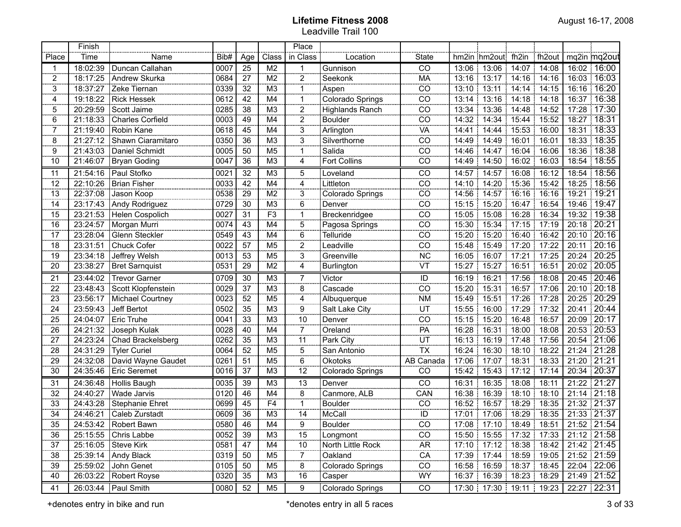|                      | Finish   |                         |      |                 |                 | Place          |                        |                 |       |                                               |       |               |               |                 |
|----------------------|----------|-------------------------|------|-----------------|-----------------|----------------|------------------------|-----------------|-------|-----------------------------------------------|-------|---------------|---------------|-----------------|
| Place                | Time     | Name                    | Bib# | Age             | Class           | in Class       | Location               | <b>State</b>    |       | hm2in hm2out fh2in                            |       | fh2out        |               | mq2in mq2out    |
| -1                   | 18:02:39 | Duncan Callahan         | 0007 | $\overline{25}$ | M <sub>2</sub>  | -1             | Gunnison               | CO              | 13:06 | 13:06                                         | 14:07 | 14:08         |               | 16:02 16:00     |
| 2                    | 18:17:25 | Andrew Skurka           | 0684 | 27              | M <sub>2</sub>  | 2              | Seekonk                | MA              | 13:16 | 13:17                                         | 14:16 | 14:16         |               | 16:03 16:03     |
| 3                    | 18:37:27 | Zeke Tiernan            | 0339 | 32              | M <sub>3</sub>  | 1              | Aspen                  | CO              | 13:10 | 13:11                                         | 14:14 | 14:15         | 16:16         | 16:20           |
| 4                    | 19:18:22 | <b>Rick Hessek</b>      | 0612 | 42              | M4              |                | Colorado Springs       | CO              | 13:14 | 13:16                                         | 14:18 | 14:18         | 16:37         | 16:38           |
| 5                    | 20:29:59 | Scott Jaime             | 0285 | 38              | M <sub>3</sub>  | 2              | <b>Highlands Ranch</b> | CO              | 13:34 | 13:36                                         | 14:48 | 14:52         | 17:28         | 17:30           |
| 6                    | 21:18:33 | <b>Charles Corfield</b> | 0003 | 49              | M4              | 2              | <b>Boulder</b>         | CO              | 14:32 | 14:34                                         | 15:44 | 15:52         | 18:27         | 18:31           |
| 7                    | 21:19:40 | Robin Kane              | 0618 | 45              | M4              | 3              | Arlington              | VA              | 14:41 | 14:44                                         | 15:53 | 16:00         |               | 18:31   18:33   |
| 8                    | 21:27:12 | Shawn Ciaramitaro       | 0350 | 36              | M <sub>3</sub>  | 3              | Silverthorne           | CO              | 14:49 | 14:49                                         | 16:01 | 16:01         | 18:33         | 18:35           |
| 9                    | 21:43:03 | Daniel Schmidt          | 0005 | 50              | M <sub>5</sub>  | 1              | Salida                 | CO              | 14:46 | 14:47                                         | 16:04 | 16:06         | 18:36         | 18:38           |
| 10                   | 21:46:07 | <b>Bryan Goding</b>     | 0047 | 36              | M <sub>3</sub>  | 4              | <b>Fort Collins</b>    | CO              | 14:49 | 14:50                                         | 16:02 | 16:03         | 18:54         | 18:55           |
| 11                   | 21:54:16 | Paul Stofko             | 0021 | 32              | M3              | 5              | Loveland               | $\overline{C}$  | 14:57 | 14:57                                         | 16:08 | 16:12         |               | 18:54 18:56     |
| $\overline{12}$      | 22:10:26 | Brian Fisher            | 0033 | $\overline{42}$ | M4              | $\overline{4}$ | Littleton              | $\overline{CO}$ | 14:10 | 14:20                                         | 15:36 | 15:42         |               | 18:25   18:56   |
| $\overline{13}$      | 22:37:08 | Jason Koop              | 0538 | 29              | $\overline{M2}$ | 3              | Colorado Springs       | $\overline{CO}$ | 14:56 | 14:57                                         | 16:16 | 16:16<br>÷.   | 19:21   19:21 |                 |
| $\overline{14}$      | 23:17:43 | Andy Rodriguez          | 0729 | $\overline{30}$ | M3              | $\overline{6}$ | Denver                 | $\overline{CO}$ | 15:15 | 15:20                                         | 16:47 | 16:54<br>÷.   |               | 19:46   19:47   |
| $\overline{15}$      | 23:21:53 | Helen Cospolich         | 0027 | $\overline{31}$ | F3              | -1             | Breckenridgee          | $\overline{CO}$ | 15:05 | 15:08                                         | 16:28 | 16:34         |               | 19:32 19:38     |
| $\overline{16}$      | 23:24:57 | Morgan Murri            | 0074 | 43              | M4              | $\overline{5}$ | Pagosa Springs         | $\overline{CO}$ | 15:30 | 15:34                                         | 17:15 | 117:19        | 20:18   20:21 |                 |
| $\overline{17}$      | 23:28:04 | Glenn Steckler          | 0549 | 43              | M4              | 6              | Telluride              | $\overline{CO}$ | 15:20 | 15:20                                         | 16:40 | 16:42         |               | $20:10$ $20:16$ |
| $\overline{18}$      | 23:31:51 | Chuck Cofer             | 0022 | $\overline{57}$ | M5              | $\overline{2}$ | Leadville              | $\overline{CO}$ | 15:48 | 15:49                                         |       | 17:20 17:22   | 20:11         | 20:16           |
| 19                   | 23:34:18 | Jeffrey Welsh           | 0013 | 53              | M <sub>5</sub>  | $\overline{3}$ | Greenville             | <b>NC</b>       | 16:05 | 16:07                                         |       | 17:21 17:25   | 20:24   20:25 |                 |
| $\overline{20}$      | 23:38:27 | <b>Bret Sarnquist</b>   | 0531 | $\overline{29}$ | $\overline{M2}$ | 4              | Burlington             | VT              | 15:27 | 15:27                                         | 16:51 | 16:51<br>÷    |               | 20:02   20:05   |
| 21                   | 23:44:02 | <b>Trevor Garner</b>    | 0709 | 30              | M <sub>3</sub>  | $\overline{7}$ | Victor                 |                 | 16:19 | 16:21                                         | 17:56 | 18:08<br>÷.   |               | 20:45 20:46     |
| $\frac{22}{2}$       | 23:48:43 | Scott Klopfenstein      | 0029 | 37              | M <sub>3</sub>  | <br>8          | Cascade                | $\frac{1}{10}$  | 15:20 | 15:31                                         | 16:57 | 17:06<br>Ŧ.   |               | 20:10 20:18     |
| $\frac{23}{2}$       | 23:56:17 | Michael Courtney        | 0023 | 52              | M <sub>5</sub>  | 4              | Albuquerque            | NML             | 15:49 | 15:51                                         | 17:26 | 17:28         | 20:25         | 20:29           |
| 24                   | 23:59:43 | Jeff Bertot             | 0502 | 35              | M <sub>3</sub>  | 9              | Salt Lake City         | $\frac{1}{2}$   | 15:55 | 16:00                                         | 17:29 | 17:32         | 20:41         | 20:44           |
| 25                   | 24:04:07 | <b>Eric Truhe</b>       | 0041 | 33              | M <sub>3</sub>  | 10             | Denver                 |                 | 15:15 | 15:20                                         | 16:48 | 16:57         | 20:09         | 20:17           |
| 26                   | 24:21:32 | Joseph Kulak            | 0028 | 40              | M4              | 7              | Oreland                | $rac{CO}{PA}$   | 16:28 | 16:31                                         | 18:00 | 18:08         | 20:53         | 20:53           |
| 27                   | 24:23:24 | Chad Brackelsberg       | 0262 | 35              | M <sub>3</sub>  | 11             | Park City              |                 | 16:13 | 16:19                                         | 17:48 | 17:56         | 20:54         | 121:06          |
| 28                   | 24:31:29 | <b>Tyler Curiel</b>     | 0064 | 52              | M <sub>5</sub>  | $\frac{1}{5}$  | San Antonio            | $rac{UT}{TX}$   | 16:24 | 16:30                                         | 18:10 | 18.22         | 21:24         | 121:28          |
| 29                   | 24:32:08 | David Wayne Gaudet      | 0261 | 51              | M <sub>5</sub>  | 6              | <b>Okotoks</b>         | AB Canada       | 17:06 | 17:07                                         | 18:31 | 18:33<br>÷.   | 21:20         | 21:21           |
| 30                   | 24:35:46 | Eric Seremet            | 0016 | 37              | M <sub>3</sub>  | 12             | Colorado Springs       | CO              | 15:42 | 15:43                                         | 17:12 | 17:14         | 20:34         | 20:37           |
| 31                   | 24:36:48 | Hollis Baugh            | 0035 | 39              | M <sub>3</sub>  | 13             | Denver                 | CO              | 16:31 | 16:35                                         | 18:08 | 18:11         | 21:22         | 21:27           |
| 32                   | 24:40:27 | Wade Jarvis             | 0120 | 46              | M4              | 8              | Canmore, ALB           | CAN             | 16:38 | 16:39                                         | 18:10 | 18:10         | 21:14         | 21:18           |
| 33                   | 24:43:28 | <b>Stephanie Ehret</b>  | 0699 | 45              | F <sub>4</sub>  | 1              | <b>Boulder</b>         | $\overline{C}$  | 16:52 | 16:57                                         | 18:29 | 18:35         | 21:32         | 21:37           |
| 34                   | 24:46:21 | Caleb Zurstadt          | 0609 | 36              | M <sub>3</sub>  | 14             | McCall                 | ID              | 17:01 | 17:06                                         | 18:29 | 18:35<br>÷    | 21:33 21:37   |                 |
| 35                   | 24:53:42 | Robert Bawn             | 0580 | 46              | M4              | 9              | Boulder                | CO              |       | 17:08 17:10                                   |       | 18:49 18:51   | 21:52 21:54   |                 |
| <b>CONCORD</b><br>36 | 25:15:55 | Chris Labbe             | 0052 | 39              | M3              | 15             | Longmont               | CO              |       | 15:50   15:55   17:32   17:33   21:12   21:58 |       |               |               |                 |
| 37                   | 25:16:05 | <b>Steve Kirk</b>       | 0581 | 47              | M4              | 10             | North Little Rock      | <b>AR</b>       | 17:10 | 17:12                                         |       | 18:38   18:42 |               | 21:42 21:45     |
| 38                   | 25:39:14 | Andy Black              | 0319 | 50              | M5              | 7              | Oakland                | CA              |       | 17:39 17:44                                   |       | 18:59 19:05   |               | 21:52 21:59     |
| 39                   | 25:59:02 | John Genet              | 0105 | 50              | M5              | 8              | Colorado Springs       | CO              |       | 16:58 16:59                                   |       | 18:37 18:45   | 22:04 22:06   |                 |
| 40                   | 26:03:22 | <b>Robert Royse</b>     | 0320 | 35              | M3              | 16             | Casper                 | <b>WY</b>       |       | 16:37 16:39                                   |       | 18:23 18:29   |               | 21:49 21:52     |
| 41                   | 26:03:44 | Paul Smith              | 0080 | 52              | M <sub>5</sub>  | 9              | Colorado Springs       | $\overline{C}$  |       | 17:30 17:30 19:11 19:23                       |       |               |               | 22:27 22:31     |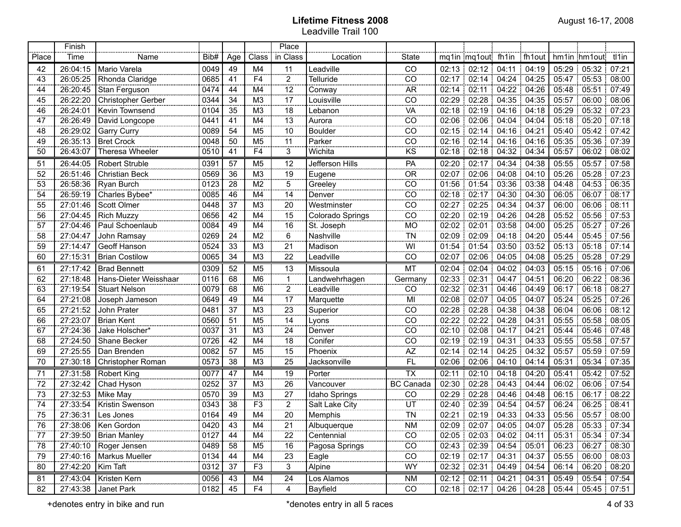|                         | Finish   |                           |                |                 |                | Place                        |                  |                                              |                 |                         |                     |                                       |       |                         |        |
|-------------------------|----------|---------------------------|----------------|-----------------|----------------|------------------------------|------------------|----------------------------------------------|-----------------|-------------------------|---------------------|---------------------------------------|-------|-------------------------|--------|
| Place                   | Time     | Name                      | Bib#           | Age             | Class          | in Class                     | Location         | <b>State</b>                                 |                 | mq1in mq1out fh1in      |                     | fh1out                                |       | hm1in hm1out tl1in      |        |
| 42                      | 26:04:15 | Mario Varela              | 0049           | 49              | M4             | 11                           | Leadville        | CO                                           |                 | 02:13 02:12 04:11       |                     | 04:19                                 |       | 05:29:05:32:            | 07:21  |
| 43                      | 26:05:25 | Rhonda Claridge           | 0685           | 41              | F <sub>4</sub> | $\overline{2}$               | Telluride        | CO                                           |                 | 02:17 02:14 04:24 04:25 |                     |                                       |       | 05:47 05:53 08:00       |        |
| 44                      | 26:20:45 | Stan Ferguson             | 0474           | 44              | M4             | 12                           | Conway           | <b>AR</b>                                    | 02:14           | 02:11                   |                     | 04:22   04:26                         |       | 05:48 05:51 07:49       |        |
| 45                      | 26:22:20 | Christopher Gerber        | 0344           | 34              | M <sub>3</sub> | 17                           | Louisville       | CO                                           | 02:29           | 02:28                   | $04:35$ 04:35       |                                       |       | 05:57 06:00             | 08:06  |
| 46                      | 26:24:01 | Kevin Townsend            | 0104           | 35              | M <sub>3</sub> | 18                           | Lebanon          | VA                                           | $02:18$ 02:19   |                         | $04:16$ 04:18       |                                       |       | 05:29 05:32 07:23       |        |
| 47                      | 26:26:49 | David Longcope            | 0441           | 41              | M4             | $\frac{13}{2}$               | Aurora           | CO                                           | $02:06$   02:06 |                         | 04:04:04:04         |                                       |       | $05:18$ $05:20$ 07:18   |        |
| 48                      | 26:29:02 | Garry Curry               | 0089           | 54              | M <sub>5</sub> | 10                           | <b>Boulder</b>   | CO                                           | $02:15$ 02:14   |                         | 04:16:04:21         |                                       |       | 05:40 05:42 07:42       |        |
| 49                      | 26:35:13 | <b>Bret Crock</b>         | 0048           | 50              | M <sub>5</sub> | 11                           | Parker           | CO                                           | $02:16$ 02:14   |                         | $04:16$ 04:16       |                                       |       | 05:35 05:36 07:39       |        |
| 50                      | 26:43:07 | Theresa Wheeler           | 0510           | 41              | F <sub>4</sub> | 3                            | Wichita          | KS                                           | 02:18           | 02:18                   | $04:32$ 04:34       |                                       | 05:57 | 06:02                   | 08:02  |
| 51                      | 26:44:05 | <b>Robert Struble</b>     | 0391           | 57              | M <sub>5</sub> | 12                           | Jefferson Hills  | PA                                           | 02:20           | 02:17                   | 04:34               | 04:38                                 | 05:55 | 05:57                   | 07:58  |
| 52                      | 26:51:46 | Christian Beck            | 0569           | 36              | M <sub>3</sub> | 000000<br>19<br>000000       | Eugene           | <b>OR</b>                                    | 02:07           | 02:06                   |                     | 04:08 04:10                           | 05:26 | 05:28                   | 07:23  |
| 53                      | 26:58:36 | Ryan Burch                | 0123           | 28              | M <sub>2</sub> | $\mathbf 5$<br>on on         | Greeley          | CO                                           | 01:56           | 01:54                   |                     | 03:36 03:38                           | 04:48 | 04:53                   | 06:35  |
| 54                      | 26:59:19 | Charles Bybee*            | 0085           | 46              | M4             | 14<br>000000                 | Denver           | CO                                           | 02:18           | 02:17                   |                     | 04:30 04:30                           | 06:05 | 06:07                   | 08:17  |
| 55                      | 27:01:46 | Scott Olmer               | 0448           | 37              | M <sub>3</sub> | 20<br>ooceee                 | Westminster      | CO                                           | 02:27           | 02:25                   | 04:34               | 04:37                                 | 06:00 | 06:06                   | 08:11  |
| 56                      | 27:04:45 | <b>Rich Muzzy</b>         | 0656           | 42              | M4             | 15                           | Colorado Springs | CO                                           | 02:20           | 02:19                   |                     | 04:26 04:28                           | 05:52 | 05:56                   | 07:53  |
| 57                      | 27:04:46 | Paul Schoenlaub           | 0084           | 49              | M4             | 16<br>$rac{1}{2}$            | St. Joseph       | <b>MO</b>                                    | 02:02           | 02:01                   |                     | 03:58 04:00                           | 05:25 | 05:27                   | 07:26  |
| 58                      | 27:04:47 | John Ramsay               | 0269           | 24              | M <sub>2</sub> | 6<br>oocoo                   | Nashville        | <b>TN</b>                                    | 02:09           | 02:09                   |                     | 04:18 04:20                           | 05:44 | 05:45                   | 07:56  |
| 59                      | 27:14:47 | <b>Geoff Hanson</b>       | 0524           | 33              | M <sub>3</sub> | 21                           | Madison          | WI                                           | 01:54           | 01:54                   |                     | 03:50 03:52                           |       | 05:13 05:18             | 07:14  |
| 60                      | 27:15:31 | <b>Brian Costilow</b>     | 0065           | 34              | M <sub>3</sub> | 22                           | Leadville        | CO                                           | 02:07           | 02:06                   |                     | 04:05 04:08                           |       | 05:25 05:28             | 07:29  |
| 61                      | 27:17:42 | <b>Brad Bennett</b>       | 0309           | 52              | M <sub>5</sub> | 13<br>                       | Missoula         | MT                                           |                 | $02:04$ 02:04 :         |                     | $04:02$ 04:03                         |       | $05:15$ 05:16 07:06     |        |
| 62                      | 27:18:48 | Hans-Dieter Weisshaar     | 0116           | 68              | M <sub>6</sub> | 1                            | Landwehrhagen    | Germany                                      | 02:33           | 02:31                   | 04:47               | 04:51                                 | 06:20 | 06:22                   | 08:36  |
| 63                      | 27:19:54 | <b>Stuart Nelson</b>      | 0079           | 68              | M <sub>6</sub> | $\overline{2}$               | Leadville        | CO                                           | 02:32           | 02:31                   | 04:46               | 04:49                                 | 06:17 | 06:18                   | 08:27  |
| 64                      | 27:21:08 | Joseph Jameson            | 0649           | 49              | M4             | $\frac{1}{17}$               | Marquette        | $\overline{M}$                               | 02:08           | 02:07                   | 04:05 04:07         |                                       | 05:24 | 05:25                   | 07:26  |
| 65                      | 27:21:52 | John Prater               | 0481           | $\overline{37}$ | M <sub>3</sub> | $\overline{23}$<br>$- - - -$ | Superior         | $\overline{CO}$                              | 02:28           | 02:28                   | 04:38               | 04:38                                 | 06:04 | 06:06                   | 08:12  |
| 66                      | 27:23:07 | <b>Brian Kent</b>         | 0560           | $\overline{51}$ | M <sub>5</sub> | 14                           | Lyons            | $\overline{CO}$                              | 02:22           | 02:22                   | 04:28               | 04:31                                 | 05:55 | 05:58                   | 08:05  |
| 67                      | 27:24:36 | Jake Holscher*            | 0037           | $\overline{31}$ | M <sub>3</sub> | $\overline{24}$<br>          | Denver           | $\overline{CO}$                              | 02:10           | 02:08                   | 04:17               | 04:21                                 | 05:44 | 05:46                   | 07:48  |
| 68                      | 27:24:50 | Shane Becker              | 0726           | $\overline{42}$ | M4             | 18<br>$- - - -$              | Conifer          | CO                                           | 02:19           | 02:19                   | 04:31               | 04:33                                 | 05:55 | 05:58                   | 07:57  |
| 69                      | 27:25:55 | Dan Brenden               | 0082           | 57              | M <sub>5</sub> | 15<br>سبب                    | Phoenix          | AZ                                           | 02:14           | 02:14                   | 04:25               | 04:32                                 | 05:57 | 05:59                   | 07:59  |
| 70                      | 27:30:18 | Christopher Roman         | 0573           | $\overline{38}$ | M <sub>3</sub> | 25                           | Jacksonville     | $\overline{FL}$                              | 02:06           | 02:06                   |                     | 04:10 04:14                           | 05:31 | 05:34                   | 07:35  |
| 71                      | 27:31:58 | Robert King               | 0077           | 47              | M4             | $\frac{19}{26}$              | Porter           | <b>TX</b>                                    | 02:11           | 02:10                   |                     | 04:18 04:20                           | 05:41 | 05:42                   | 07:52  |
| 72                      | 27:32:42 | Chad Hyson                | 0252           | 37              | M <sub>3</sub> |                              | Vancouver        | <b>BC Canada</b>                             | 02:30           | 02:28                   | 04:43:04:44         |                                       |       | 06:02 06:06             | 107:54 |
| 73                      | 27:32:53 | Mike May                  | 0570           | 39              | M <sub>3</sub> | 27                           | Idaho Springs    | CO                                           | 02:29           | 02:28                   |                     | 04:46 04:48                           |       | 06:15 06:17             | 08:22  |
| 74                      | 27:33:54 | Kristin Swenson           | 0343           | 38              | F <sub>3</sub> | $\overline{2}$               | Salt Lake City   | $\frac{1}{\sqrt{1}}$<br>$\frac{1}{\sqrt{1}}$ | 02:40   02:39   |                         | 04:54:04:57         |                                       |       | 06:24 06:25             | 08:41  |
| 75                      | 27:36:31 | Les Jones                 | 0164           | 49              | M4             | 20                           | Memphis          |                                              | 02:21           |                         | $02:19$ 04:33 04:33 |                                       |       | 05:56 05:57 08:00       |        |
| 76<br><b>CONTRACTOR</b> |          | 27:38:06 Ken Gordon       | $\boxed{0420}$ | $\frac{43}{2}$  | M4             | 21                           | Albuquerque      | $\frac{NM}{M}$                               |                 |                         |                     | $02:09$   $02:07$   $04:05$   $04:07$ |       | 05:28 05:33 07:34       |        |
| 77                      |          | 27:39:50   Brian Manley   | 0127           | 44              | M4             | 22                           | Centennial       | CO                                           |                 |                         |                     | 02:05 02:03 04:02 04:11               |       | 05:31 05:34 07:34       |        |
| 78                      | 27:40:10 | Roger Jensen              | 0489           | 58              | M5             | 16                           | Pagosa Springs   | CO                                           |                 | 02:43 02:39 04:54 05:01 |                     |                                       |       | 06:23 06:27 08:30       |        |
| 79                      |          | 27:40:16   Markus Mueller | 0134           | 44              | M4             | $\overline{23}$              | Eagle            | CO                                           |                 | 02:19 02:17 04:31 04:37 |                     |                                       |       | $05:55$ $06:00$ $08:03$ |        |
| 80                      | 27:42:20 | Kim Taft                  | 0312           | 37              | F <sub>3</sub> | 3                            | Alpine           | WY                                           |                 | 02:32 02:31 04:49 04:54 |                     |                                       |       | 06:14 06:20 08:20       |        |
| 81                      | 27:43:04 | Kristen Kern              | 0056           | 43              | M4             | 24                           | Los Alamos       | <b>NM</b>                                    |                 | $02:12$ 02:11           |                     | 04:21 04:31                           |       | 05:49 05:54 07:54       |        |
| 82                      |          | 27:43:38 Janet Park       | 0182           | 45              | F4             | 4                            | Bayfield         | CO                                           |                 |                         |                     | 02:18 02:17 04:26 04:28               |       | 05:44 05:45 07:51       |        |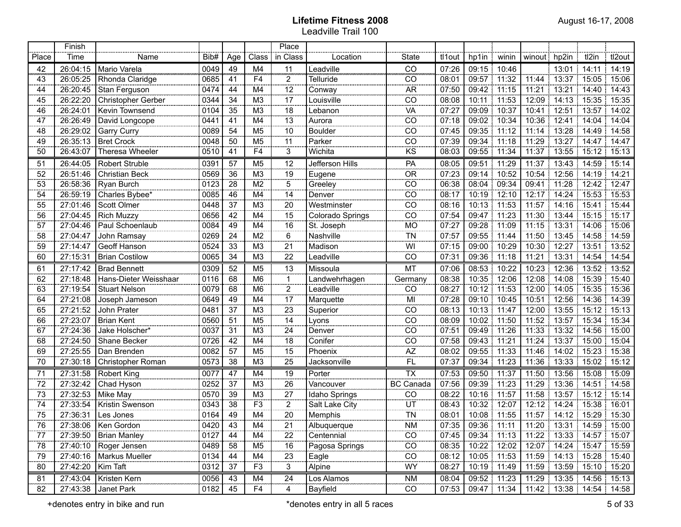|                | Finish   |                         |      |                         |                           | Place           |                                   |                  |        |                   |             |              |                             |                                                         |        |
|----------------|----------|-------------------------|------|-------------------------|---------------------------|-----------------|-----------------------------------|------------------|--------|-------------------|-------------|--------------|-----------------------------|---------------------------------------------------------|--------|
| Place          | Time     | Name                    | Bib# | Age                     | Class                     | in Class        | Location                          | State            | tl1out | hp1in             | winin       | winout hp2in |                             | tl2in<br>÷.                                             | tl2out |
| $\frac{42}{2}$ | 26:04:15 | Mario Varela            | 0049 | 49                      | M4                        | .11             | Leadville<br>,,,,,,,,,,,,,,,,,,,, | ČŌ               | 07:26  | 09:15             | 10:46       |              |                             | $13.01$   $14.11$   $14.19$                             |        |
| 43             | 26:05:25 | Rhonda Claridge         | 0685 | 41                      | F <sub>4</sub>            | $\overline{2}$  | Telluride                         | CO               | 08:01  | 09:57             | 11:32       | 11:44        |                             | $13:37$ 15:05 15:06                                     |        |
| 44             | 26:20:45 | Stan Ferguson           | 0474 | 44                      | M4                        | 12              | Conway                            | <b>AR</b>        | 07:50  | 09:42             | 11:15       | 11:21        | 13:21                       | $\frac{1}{2}$ 14:40 $\frac{1}{2}$ 14:43                 |        |
| 45             | 26:22:20 | Christopher Gerber      | 0344 | 34                      | M <sub>3</sub>            | 17              | Louisville                        | CO               | 08:08  | 10:11             | 11:53       | 12:09        | 14:13:15:35                 |                                                         | 15:35  |
| 46             | 26:24:01 | Kevin Townsend          | 0104 | 35                      | M <sub>3</sub>            | 18              | Lebanon                           | VA               | 07:27  | 09:09             | 10:37       | 10:41        | 12:51                       | $\frac{1}{2}$ 13:57 14:02                               |        |
| 47             | 26:26:49 | David Longcope          | 0441 | 41                      | M4                        | 13              | Aurora                            | CO               | 07:18  | 09:02             | 10:34       | 10:36        | 12.41                       | : 14:04                                                 | 14:04  |
| 48             | 26:29:02 | <b>Garry Curry</b>      | 0089 | 54                      | M <sub>5</sub>            | 10              | <b>Boulder</b>                    | CO               | 07:45  | 09:35             | 11:12       | 11:14        | 13:28                       | 14:49:14:58                                             |        |
| 49             | 26:35:13 | <b>Bret Crock</b>       | 0048 | 50                      | M <sub>5</sub>            | 11              | Parker                            | CO               | 07:39  | 09:34             | 11:18       | 11:29        |                             | $13:27$ 14:47 14:47                                     |        |
| 50             | 26:43:07 | Theresa Wheeler         | 0510 | 41                      | F <sub>4</sub>            | 3               | Wichita                           | ΚS               | 08:03  | 09:55             | 11:34       | 11:37        |                             | $\frac{1}{2}$ 13:55 15:12 15:13                         |        |
| 51             | 26:44:05 | <b>Robert Struble</b>   | 0391 | 57                      | M <sub>5</sub>            | 12              | Jefferson Hills                   | PA               | 08:05  | 09:51             | 11:29       | 11:37        | 13:43                       | $14:59$ 15:14                                           |        |
| 52             | 26:51:46 | Christian Beck          | 0569 | 36                      | M3                        | 19              | Eugene                            | $\overline{OR}$  | 07:23  | 09:14             | 10:52       | 10:54        |                             | 12:56 14:19 14:21                                       |        |
| 53             | 26:58:36 | Ryan Burch              | 0123 | $\overline{28}$         | $\overline{M2}$           | $\overline{5}$  | Greeley                           | $\overline{CO}$  | 06:38  | 08:04             | 09:34       | 09:41        | 11:28                       | 12:42:12:47                                             |        |
| 54             | 26:59:19 | Charles Bybee*          | 0085 | 46                      | $\overline{\mathsf{M}}$ 4 | $\overline{14}$ | Denver                            | $\overline{co}$  | 08:17  | 10:19             | 12:10       | 12:17        |                             | 14:24   15:53   15:53                                   |        |
| 55             | 27:01:46 | Scott Olmer             | 0448 | $\overline{37}$         | $\overline{M3}$           | $\overline{20}$ | Westminster                       | $\overline{co}$  | 08:16  | 10:13             | 11:53       | 11:57        |                             | 14:16 15:41 15:44                                       |        |
| 56             | 27:04:45 | <b>Rich Muzzy</b>       | 0656 | 42                      | $\overline{M4}$           | $\overline{15}$ | Colorado Springs                  | $\overline{co}$  | 07:54  | 09:47             | 11:23       | 11:30        |                             | 13:44 15:15                                             | 15:17  |
| 57             | 27:04:46 | Paul Schoenlaub         | 0084 | 49                      | M4                        | $\overline{16}$ | St. Joseph                        | <b>MO</b>        | 07:27  | 09:28             | 11:09       | 11:15        | 13:31                       | 14:06                                                   | 15:06  |
| 58             | 27:04:47 | John Ramsay             | 0269 | $\overline{24}$         | $\overline{\mathsf{M2}}$  | $\overline{6}$  | Nashville                         | TÑ               | 07:57  | 09:55             | 11:44       | 11:50        |                             | 13:45 14:58 14:59                                       |        |
| 59             | 27:14:47 | <b>Geoff Hanson</b>     | 0524 | 33                      | $\overline{M3}$           | $\overline{21}$ | Madison                           | WI               | 07:15  | 09:00             | 10:29       | 10:30        | $12:27$ 13:51               |                                                         | 13:52  |
| 60             | 27:15:31 | <b>Brian Costilow</b>   | 0065 | 34                      | M3                        | $\overline{22}$ | Leadville                         | CO               | 07:31  | 09:36             | 11:18       | 11:21        | 13:31                       | 14:54                                                   | 14:54  |
| 61             | 27:17:42 | <b>Brad Bennett</b>     | 0309 | 52                      | M <sub>5</sub>            | $\overline{13}$ | Missoula                          | MT               | 07:06  | 08:53             | 10:22       | 10:23        |                             | $12:36$ 13:52 13:52                                     |        |
| 62             | 27:18:48 | Hans-Dieter Weisshaar   | 0116 | 68                      | M6                        | 1               | Landwehrhagen                     | Germany          | 08:38  | 10:35             | 12:06       | 12:08        | 14:08                       | 15:39:15:40                                             |        |
| 63             | 27:19:54 | <b>Stuart Nelson</b>    | 0079 | 68                      | M <sub>6</sub>            | $\frac{2}{17}$  | Leadville                         | CO               | 08:27  | 10:12             | 11:53       | 12:00        | 14:05                       | 15:35:15:36                                             |        |
| 64             | 27:21:08 | Joseph Jameson          | 0649 | 49                      | M4                        |                 | Marquette                         | MI               | 07:28  | 09:10             | 10:45       | 10:51        | 12:56                       | 14:36:14:39                                             |        |
| 65             | 27:21:52 | John Prater             | 0481 | 37                      | M <sub>3</sub>            | $\frac{11}{23}$ | Superior                          | $\overline{co}$  | 08:13  | 10:13:            | 11:47       | 12:00        | 13:55                       | 15:12:15:13                                             |        |
| 66             | 27:23:07 | <b>Brian Kent</b>       | 0560 | 51                      | M <sub>5</sub>            | $\frac{14}{1}$  | Lyons                             | $\overline{CO}$  | 08:09  | 10:02             | 11:50       | 11:52        |                             | 13:57 15:34 15:34                                       |        |
| 67             | 27:24:36 | Jake Holscher*          | 0037 | 31                      | M <sub>3</sub>            | 24              | Denver                            | $\overline{CO}$  | 07:51  | 09:49             | 11:26       | 11:33        | 13:32                       | 14:56                                                   | 15:00  |
| 68             | 27:24:50 | Shane Becker            | 0726 | 42                      | M4                        | $\frac{1}{18}$  | Conifer                           | CO               | 07:58  | 09:43             | 11:21       | 11:24        |                             | 13:37 15:00 15:04                                       |        |
| 69             | 27:25:55 | Dan Brenden             | 0082 | 57                      | M <sub>5</sub>            | $\overline{15}$ | Phoenix                           | AZ               | 08:02  | 09:55             | 11:33       | 11:46        | 14:02                       | 15:23:15:38                                             |        |
| 70             | 27:30:18 | Christopher Roman       | 0573 | 38                      | M <sub>3</sub>            | $\overline{25}$ | Jacksonville                      | <b>FL</b>        | 07:37  | 09:34             | 11:23       | 11:36        | 13:33                       | 15:02                                                   | 15:12  |
| 71             | 27:31:58 | Robert King             | 0077 | 47                      | M <sub>4</sub>            | 19              | Porter                            | $\overline{TX}$  | 07:53  | 09:50             | 11:37       | 11:50        | 13:56                       | 15.08:15.09                                             |        |
| 72             | 27:32:42 | Chad Hyson              | 0252 | 37                      | M <sub>3</sub>            | 26              | Vancouver                         | <b>BC Canada</b> | 07:56  | 09:39             | 11:23       | 11:29        |                             | 13:36 14:51                                             | 14:58  |
| 73             | 27:32:53 | Mike May                | 0570 | 39                      | M <sub>3</sub>            | 27              | Idaho Springs                     | CO               | 08:22  | 10:16             | 11:57       | 11:58        |                             | $13:57$   $15:12$   $15:14$                             |        |
| 74             | 27:33:54 | Kristin Swenson         | 0343 | 38                      | F <sub>3</sub>            | $\overline{2}$  | Salt Lake City                    | $UT$             | 08:43  | 10:32             | 12:07       |              | $12:12$   $14:24$   $15:38$ |                                                         | 16:01  |
| 75             | 27:36:31 | Les Jones               | 0164 | 49                      | M4                        | 20              | Memphis                           | $\overline{T}N$  | 08:01  | 10:08 11:55       |             |              |                             | 11:57   14:12   15:29   15:30                           |        |
| 76             |          | 27:38:06   Ken Gordon   | 0420 | 43<br><b>CONTRACTOR</b> | M4                        | 21              | Albuquerque                       | <b>NM</b>        |        |                   |             |              |                             | $07:35$   09:36   11:11   11:20   13:31   14:59   15:00 |        |
| 77             |          | $27:39:50$ Brian Manley | 0127 | 44                      | M4                        | $\frac{22}{2}$  | Centennial                        | CO               |        |                   |             |              |                             | 07:45   09:34   11:13   11:22   13:33   14:57   15:07   |        |
| 78             | 27:40:10 | Roger Jensen            | 0489 | 58                      | M5                        | 16              | Pagosa Springs                    | CO               | 08:35  |                   | 10:22 12:02 |              |                             | 12:07   14:24   15:47   15:59                           |        |
| 79             | 27:40:16 | Markus Mueller          | 0134 | 44                      | M4                        | 23              | Eagle                             | CO               | 08:12  | 10:05 11:53       |             |              |                             | 11:59   14:13   15:28   15:40                           |        |
| 80             | 27:42:20 | Kim Taft                | 0312 | 37                      | F <sub>3</sub>            | 3               | Alpine                            | WY               | 08:27  | 10:19 11:49       |             |              |                             | 11:59   13:59   15:10   15:20                           |        |
| 81             | 27:43:04 | Kristen Kern            | 0056 | 43                      | M4                        | 24              | Los Alamos                        | <b>NM</b>        | 08:04  | 09:52 11:23       |             |              |                             | 11:29   13:35   14:56   15:13                           |        |
| 82             |          | 27:43:38 Janet Park     | 0182 | $\overline{45}$         | F4                        | 4               | Bayfield                          | CO               |        | 07:53 09:47 11:34 |             |              |                             | 11:42  13:38  14:54  14:58                              |        |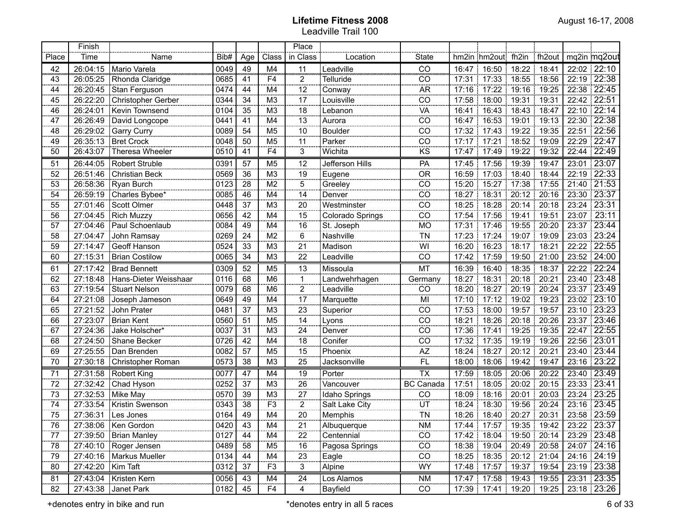|       | Finish   |                         |                     |                |                        | Place                |                  |                                     |             |                                               |             |             |       |                    |
|-------|----------|-------------------------|---------------------|----------------|------------------------|----------------------|------------------|-------------------------------------|-------------|-----------------------------------------------|-------------|-------------|-------|--------------------|
| Place | Time     | Name                    | Bib#                | Age            | Class                  | in Class             | Location         | <b>State</b>                        |             | hm2in hm2out fh2in                            |             | fh2out      |       | mq2in mq2out       |
| 42    | 26:04:15 | Mario Varela            | 0049                | 49             | M4                     | 11                   | Leadville        | ĈŌ                                  |             | 16:47 16:50                                   | 18:22       | 18.41       |       | 22:02 22:10        |
| 43    | 26:05:25 | Rhonda Claridge         | 0685                | 41             | F <sub>4</sub>         | $\overline{2}$       | Telluride        | CO                                  |             | 17:31 17:33                                   |             | 18:55 18:56 |       | 22:19 22:38        |
| 44    | 26:20:45 | Stan Ferguson           | 0474                | 44             | M4                     | 12                   | Conway           | AR <sup></sup>                      |             | 17:16 17:22                                   |             | 19:16 19:25 |       | 22:38 22:45        |
| 45    | 26:22:20 | Christopher Gerber      | 0344                | 34             | M <sub>3</sub>         | 17                   | Louisville       | $\overline{CO}$                     |             | 17:58 18:00                                   | 19:31 19:31 |             |       | 22:42 22:51        |
| 46    | 26:24:01 | Kevin Townsend          | 0104                | 35             | M <sub>3</sub>         | 18                   | Lebanon          | <br>Vä                              | 16:41       | 16:43                                         |             | 18:43 18:47 |       | 22:10 22:14        |
| 47    | 26:26:49 | David Longcope          | 0441                | 41             | M4                     | 13                   | Aurora           | $\overline{CO}$                     |             | 16:47 16:53                                   |             | 19:01 19:13 |       | 22:30 22:38        |
| 48    | 26:29:02 | Garry Curry             | 0089                | 54             | M <sub>5</sub>         | 10                   | <b>Boulder</b>   | $\overline{CO}$                     |             | 17:32 17:43                                   |             | 19:22 19:35 |       | 22:51 22:56        |
| 49    | 26:35:13 | Bret Crock              | 0048                | 50             | M <sub>5</sub>         | 11                   | Parker           | $\overline{CO}$                     |             | 17:17 17:21                                   |             | 18:52 19:09 |       | $22:29$ 22:47      |
| 50    | 26:43:07 | Theresa Wheeler         | 0510                | 41             | F <sub>4</sub>         | 3                    | Wichita          | KS                                  | 17:47       | 17:49                                         | 19:22       | 19:32       |       | 22:44 22:49        |
| 51    | 26:44:05 | Robert Struble          | 0391                | 57             | M <sub>5</sub>         | 12                   | Jefferson Hills  | PA                                  | 17:45       | 17:56                                         | 19:39       | 19:47       |       | 23:01 23:07        |
| 52    | 26:51:46 | Christian Beck          | 0569                | 36             | M <sub>3</sub>         | 19                   | Eugene           | $\overline{OR}$                     | 16:59       | 17:03                                         | 18:40       | 18:44       | 22:19 | $\frac{1}{22.33}$  |
| 53    | 26:58:36 | Ryan Burch              | 0123                | 28             | M <sub>2</sub>         | $\overline{5}$       | Greeley          | $\overline{CO}$                     | 15:20       | 15:27                                         | 17:38       | 17:55       |       | 21:40 21:53        |
| 54    | 26:59:19 | Charles Bybee*          | 0085                | 46             | M <sub>4</sub>         | 14                   | Denver           | $\overline{CO}$                     | 18:27       | 18:31                                         | 20:12       | 20:16       |       | 23:30 23:37        |
| 55    | 27:01:46 | Scott Olmer             | 0448                | 37             | M <sub>3</sub>         | 20                   | Westminster      | $\overline{CO}$                     | 18:25       | 18:28                                         | 20:14       | 20:18       | 23:24 | $\overline{23:31}$ |
| 56    | 27:04:45 | <b>Rich Muzzy</b>       | 0656                | 42             | M <sub>4</sub>         | 15                   | Colorado Springs | $\overline{CO}$                     | 17:54       | 17:56                                         | 19:41       | 19:51       | 23:07 | 23:11              |
| 57    | 27:04:46 | Paul Schoenlaub         | 0084                | 49             | M <sub>4</sub>         | 16                   | St. Joseph       | <b>MO</b>                           | 17:31       | 17:46                                         | 19:55       | 20:20       | 23:37 | $\overline{23:44}$ |
| 58    | 27:04:47 | John Ramsay             | 0269                | 24             | M <sub>2</sub>         | $6\phantom{a}$       | Nashville        | $\overline{T}$ N                    | 17:23       | 17:24                                         | 19:07       | 19:09<br>Ł  | 23:03 | $\overline{23:24}$ |
| 59    | 27:14:47 | Geoff Hanson            | 0524                | 33             | M <sub>3</sub>         | $\overline{21}$      | Madison          | $\overline{W}$                      | 16:20       | 16:23                                         | 18:17       | 18:21<br>Ŧ. |       | 22:22   22:55      |
| 60    | 27:15:31 | <b>Brian Costilow</b>   | 0065                | 34             | M <sub>3</sub>         | 22                   | Leadville        | $\overline{CO}$                     | 17:42       | 17:59                                         | 19:50       | 21:00       |       | 23:52 24:00        |
| 61    | 27:17:42 | <b>Brad Bennett</b>     | 0309                | 52             | M <sub>5</sub>         | 13<br>.              | Missoula         | MT                                  | 16:39       | 16:40                                         | 18:35       | 18:37       |       | 22:22 22:24        |
| 62    | 27:18:48 | Hans-Dieter Weisshaar   | 0116                | 68             | M <sub>6</sub>         |                      | Landwehrhagen    | Germany                             | 18:27       | 18:31                                         | 20:18       | 20:21       |       | 23:40 23:48        |
| 63    | 27:19:54 | <b>Stuart Nelson</b>    | 0079                | 68             | M <sub>6</sub>         | $\overline{2}$<br>.  | Leadville        | CO<br>.                             | 18:20       | 18:27                                         | 20:19       | 20:24       |       | 23:37 23:49        |
| 64    | 27:21:08 | Joseph Jameson          | 0649                | 49             | M4                     | 17                   | Marquette        | MI                                  | 17:10       | 17:12                                         | 19:02       | 19:23       |       | 23:02 23:10        |
| 65    | 27:21:52 | John Prater             | 0481                | 37             | M <sub>3</sub>         | $\overline{23}$<br>. | Superior         | $\overline{c}$                      | 17:53       | 18:00                                         | 19:57       | 19:57       | 23:10 | 23:23              |
| 66    | 27:23:07 | <b>Brian Kent</b>       | 0560                | 51             | M <sub>5</sub>         | 14<br>               | Lyons            | $\overline{CO}$                     | 18:21       | 18:26                                         | 20:18       | 20:26       | 23:37 | 23:46              |
| 67    | 27:24:36 | Jake Holscher*          | 0037                | 31             | $\overline{\text{M3}}$ | 24<br>               | Denver           | $\overline{C}$                      | 17:36       | 17:41                                         | 19:25       | 19:35       | 22:47 | 22:55              |
| 68    | 27:24:50 | Shane Becker            | 0726                | 42             | M4                     | 18<br>               | Conifer          | $\overline{C}$<br>.                 | 17:32       | 17:35                                         | 19:19       | 19:26       | 22:56 | 23:01              |
| 69    | 27:25:55 | Dan Brenden             | 0082                | 57             | M <sub>5</sub>         | 15                   | Phoenix          | AZ<br>                              | 18:24       | 18:27                                         | 20:12       | 20:21       |       | 23:40 23:44        |
| 70    | 27:30:18 | Christopher Roman       | 0573                | 38             | M <sub>3</sub>         | 25                   | Jacksonville     | <b>FL</b>                           | 18:00       | 18:06                                         | 19:42       | 19:47       | 23:16 | 23:22              |
| 71    | 27:31:58 | Robert King             | 0077                | 47             | M4                     | 19                   | Porter           | <b>TX</b>                           | 17:59       | 18:05                                         | 20:06       | 20:22       |       | 23:40 23:49        |
| 72    | 27:32:42 | Chad Hyson              | 0252                | 37             | M3                     | 26                   | Vancouver        | <b>BC</b> Canada                    | 17:51<br>-1 | 18:05                                         |             | 20:02 20:15 |       | 23:33 23:41        |
| 73    | 27:32:53 | Mike May                | 0570                | 39             | M <sub>3</sub>         | 27                   | Idaho Springs    | CO                                  | 18:09       | 18:16                                         |             | 20:01 20:03 |       | 23:24 23:25        |
| 74    | 27:33:54 | Kristin Swenson         | 0343                | 38             | F <sub>3</sub>         | $\overline{2}$       | Salt Lake City   | $rac{\overline{UT}}{\overline{TN}}$ | 18:24       | 18:30                                         |             | 19:56 20:24 |       | 23:16 23:45        |
| 75    | 27:36:31 | Les Jones               | 0164                | 49             | M4                     | $\overline{20}$      | Memphis          |                                     |             | 18:26 18:40                                   | 20:27 20:31 |             |       | 23:58 23:59        |
| 76    |          | 27:38:06   Ken Gordon   | $\frac{0420}{0127}$ | $\frac{43}{2}$ | M4                     | 21                   | Albuquerque      | $\mathsf{N}\mathsf{M}$              |             | 17:44   17:57   19:35   19:42   23:22   23:37 |             |             |       |                    |
| 77    |          | 27:39:50   Brian Manley |                     | 44             | M4                     | 22                   | Centennial       | $\overline{CO}$                     |             | 17:42 18:04 19:50 20:14 23:29 23:48           |             |             |       |                    |
| 78    | 27:40:10 | Roger Jensen            | 0489                | 58             | M <sub>5</sub>         | 16                   | Pagosa Springs   | CO                                  |             | 18:38 19:04 20:49 20:58 24:07 24:16           |             |             |       |                    |
| 79    | 27:40:16 | Markus Mueller          | 0134                | 44             | M4                     | 23                   | Eagle            | $\overline{CO}$                     |             | 18:25   18:35   20:12   21:04   24:16   24:19 |             |             |       |                    |
| 80    | 27:42:20 | Kim Taft                | 0312                | 37             | F <sub>3</sub>         | 3                    | Alpine           | WY                                  |             | 17:48 17:57 19:37 19:54 23:19 23:38           |             |             |       |                    |
| 81    | 27:43:04 | Kristen Kern            | 0056                | 43             | M4                     | 24                   | Los Alamos       | <b>NM</b>                           |             | 17:47 17:58 19:43 19:55                       |             |             |       | 23:31 23:35        |
| 82    | 27:43:38 | Janet Park              | $\overline{0182}$   | 45             | F4                     | $\overline{4}$       | Bayfield         | $\overline{CO}$                     |             | 17:39 17:41 19:20 19:25 23:18 23:26           |             |             |       |                    |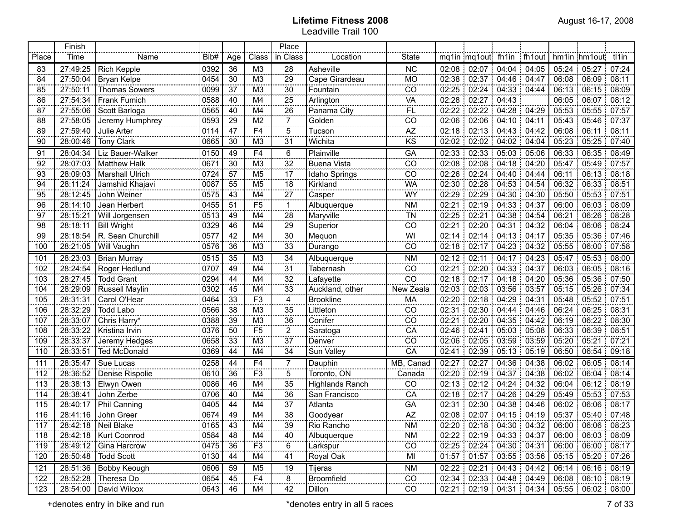|       | Finish   |                                                           |      |                         |                          | Place                    |                        | <b></b>                        |       |                           |                       |             |       |                   |                   |
|-------|----------|-----------------------------------------------------------|------|-------------------------|--------------------------|--------------------------|------------------------|--------------------------------|-------|---------------------------|-----------------------|-------------|-------|-------------------|-------------------|
| Place | Time     | Name                                                      | Bib# | Age                     | Class                    | in Class                 | Location               | <b>State</b>                   |       | mq1in mq1out fh1in fh1out |                       |             |       | hm1in hm1out      | tl1in             |
| 83    | 27:49:25 | <b>Rich Kepple</b>                                        | 0392 | 36                      | M3                       | 28                       | Asheville              | <b>NC</b>                      | 02:08 | 02:07 04:04               |                       | 04:05       | 05:24 | 05.27             | 07:24             |
| 84    | 27:50:04 | <b>Bryan Kelpe</b>                                        | 0454 | 30                      | M3                       | 29                       | Cape Girardeau         | <b>MO</b>                      |       | 02:38 02:37 04:46 04:47   |                       |             |       | 06:08 06:09       | 08:11             |
| 85    | 27:50:11 | <b>Thomas Sowers</b>                                      | 0099 | 37                      | M <sub>3</sub>           | 30                       | Fountain               | CO                             | 02:25 | 02:24                     | 04:33 04:44           |             |       | 06:13   06:15     | 08:09             |
| 86    | 27:54:34 | Frank Fumich                                              | 0588 | 40                      | M4                       | 25                       | Arlington              | VA                             | 02:28 | 02:27                     | 04:43                 |             |       | 06:05 06:07       | 08:12             |
| 87    | 27:55:06 | Scott Barloga                                             | 0565 | 40                      | M4                       | 26                       | Panama City            | ΪË                             | 02:22 | 02:22                     | 04:28:04:29           |             |       | 05:53   05:55     | 07:57             |
| 88    | 27:58:05 | Jeremy Humphrey                                           | 0593 | 29                      | M <sub>2</sub>           | $\overline{7}$           | Golden                 | CO                             | 02:06 | 02:06                     | 04:10:04:11           |             |       | 05:43   05:46     | 107:37            |
| 89    | 27:59:40 | Julie Arter                                               | 0114 | 47                      | F <sub>4</sub>           | 5                        | Tucson                 | AZ                             | 02:18 |                           | $02:13$ 04:43 04:42   |             |       | 06:08 06:11       | 08:11             |
| 90    | 28:00:46 | <b>Tony Clark</b>                                         | 0665 | 30                      | M <sub>3</sub>           | 31                       | Wichita                | KS                             | 02:02 | 02:02                     | 04:02                 | 04:04       |       | 05:23 05:25       | 07:40             |
| 91    | 28:04:34 | Liz Bauer-Walker                                          | 0150 | 49                      | F <sub>4</sub>           | 6<br>                    | Plainville             | GA                             | 02:33 | 02:33                     | 05:03                 | 05:06       | 06:33 | 06:35             | 08:49             |
| 92    | 28:07:03 | <b>Matthew Halk</b>                                       | 0671 | 30                      | M <sub>3</sub>           | 32<br>                   | <b>Buena Vista</b>     | CO                             | 02:08 | 02:08                     |                       | 04:18 04:20 |       | 05:47   05:49     | 07:57             |
| 93    | 28:09:03 | <b>Marshall Ulrich</b>                                    | 0724 | 57                      | M <sub>5</sub>           | 17<br>$rac{1}{2}$        | Idaho Springs          | CO                             | 02:26 | 02:24                     |                       | 04:40 04:44 | 06:11 | 06:13             | 08:18             |
| 94    | 28:11:24 | Jamshid Khajavi                                           | 0087 | 55                      | M <sub>5</sub>           | 18<br>.                  | Kirkland               | <b>WA</b>                      | 02:30 | 02:28                     |                       | 04:53 04:54 |       | 06:32 06:33       | 08:51             |
| 95    | 28:12:45 | John Weiner                                               | 0575 | 43                      | M4                       | 27<br>anna.              | Casper                 | $\frac{1}{W}$<br>.             | 02:29 | 02:29                     |                       | 04:30 04:30 |       | 05:50 05:53       | 07:51             |
| 96    | 28:14:10 | Jean Herbert                                              | 0455 | 51                      | F <sub>5</sub>           | $\mathbf{1}$<br>$\cdots$ | Albuquerque            | <b>NM</b>                      | 02:21 | 02:19                     | 04:33 04:37           |             |       | 06:00 06:03       | 08:09             |
| 97    | 28:15:21 | Will Jorgensen                                            | 0513 | 49                      | M4                       | 28<br>anna.              | Maryville              | $\frac{1}{10}$<br>nings.       | 02:25 | 02:21                     |                       | 04:38 04:54 | 06:21 | 06:26<br>÷.       | 08:28             |
| 98    | 28:18:11 | <b>Bill Wright</b>                                        | 0329 | 46                      | M4                       | 29<br>anana.             | Superior               | CO                             | 02:21 | 02:20                     | 04:31:04:32           |             | 06:04 | 06:06             | 08:24             |
| 99    | 28:18:54 | R. Sean Churchill                                         | 0577 | 42                      | M4                       | 30                       | Mequon                 | WI                             | 02:14 | 02:14                     | $04:13$ 04:17         |             |       | 05:35 05:36       | 07:46             |
| 100   | 28:21:05 | Will Vaughn                                               | 0576 | 36                      | M <sub>3</sub>           | 33                       | Durango                | CO                             |       | 02:18 02:17               |                       | 04:23 04:32 |       | 05:55 06:00       | 07:58             |
| 101   | 28:23:03 | <b>Brian Murray</b>                                       | 0515 | 35                      | M <sub>3</sub>           | 34                       | Albuquerque            | <b>NM</b>                      |       | $02:12$ 02:11             |                       | 04:17 04:23 |       | $05:47$ $05:53$   | 08:00             |
| 102   | 28:24:54 | Roger Hedlund                                             | 0707 | 49                      | M4                       | 31                       | Tabernash              | CO                             | 02:21 | 02:20                     | : 04:33 : 04:37       |             | 06:03 | 06:05             | 08:16             |
| 103   | 28:27:45 | <b>Todd Grant</b>                                         | 0294 | 44                      | M4                       | $\overline{32}$          | Lafayette              | $\overline{c}$                 |       | 02:18 02:17               |                       | 04:18 04:20 | 05:36 | 05:36             | 07:50             |
| 104   | 28:29:09 | <b>Russell Maylin</b>                                     | 0302 | 45                      | M4                       | $\overline{33}$<br>      | Auckland, other        | New Zeala                      | 02:03 | 02:03                     | 03:56 03:57           |             | 05:15 | 05:26             | 07:34             |
| 105   | 28:31:31 | Carol O'Hear                                              | 0464 | 33                      | F <sub>3</sub>           | 4                        | <b>Brookline</b>       | MA                             |       | $02:20$ 02:18             | 04:29 04:31           |             | 05:48 | 05:52             | 07:51             |
| 106   | 28:32:29 | Todd Labo                                                 | 0566 | 38                      | $\overline{\mathsf{M}3}$ | $\overline{35}$          | Littleton              | CO                             | 02:31 | 02:30 04:44               |                       | 04:46       | 06:24 | 06:25             | 08:31             |
| 107   | 28:33:07 | Chris Harry*                                              | 0388 | 39                      | M3                       | 36<br>                   |                        | CO                             | 02:21 |                           | 02:20 04:35 04:42     |             | 06:19 | 06:22             | 08:30             |
| 108   | 28:33:22 | Kristina Irvin                                            | 0376 | 50                      | F <sub>5</sub>           | $\overline{c}$           | Saratoga               | CA                             |       | 02:46 02:41               |                       | 05:03 05:08 | 06:33 | 06:39             | 08:51             |
| 109   | 28:33:37 | Jeremy Hedges                                             | 0658 | 33                      | M <sub>3</sub>           | $\overline{37}$          | Denver                 | CO                             |       | 02:06 02:05               | $03:59$ 03:59         |             |       | 05:20 05:21       | 07:21             |
| 110   | 28:33:51 | <b>Ted McDonald</b>                                       | 0369 | 44                      | M4                       | 34                       | Sun Valley             | CA                             | 02:41 | 02:39                     | 05:13                 | 05:19       | 06:50 | 06:54             | 09:18             |
| 111   | 28:35:47 | Sue Lucas                                                 | 0258 | 44                      | F4                       | 7                        | Dauphin                | MB, Canad                      | 02:27 | 02:27                     |                       | 04:36 04:38 | 06:02 | 06:05             | 08:14             |
| 112   | 28:36:52 | Denise Rispolie                                           | 0610 | 36                      | F <sub>3</sub>           | 5                        | Toronto, ON            | Canada                         | 02:20 | 02:19                     | 04:37:04:38           |             |       | 06:02   06:04     | 08:14             |
| 113   | 28:38:13 | Elwyn Owen                                                | 0086 | 46                      | M4                       | 35                       | <b>Highlands Ranch</b> | CO                             | 02:13 | 02:12                     | 04:24                 | 04:32       | 06:04 | 06:12             | 08:19             |
| 114   | 28:38:41 | John Zerbe                                                | 0706 | 40                      | M4                       | $\overline{36}$          | San Francisco          | CA                             | 02:18 | 02:17                     | 04:26                 | 04:29       |       | 05:49   05:53     | 07:53             |
| 115   | 28:40:17 | Phil Canning                                              | 0405 | 44                      | M4                       | 37                       | Atlanta                | GA                             | 02:31 |                           | 02:30   04:38   04:46 |             |       | 06:02   06:06     | 08:17             |
| 116   | 28:41:16 | John Greer                                                | 0674 | 49                      | M4                       | $\overline{38}$          | Goodyear               | AZ                             | 02:08 |                           | $02:07$ 04:15 04:19   |             |       | 05:37   05:40     | 107:48            |
| 117   |          | 28:42:18   Neil Blake<br>,,,,,,,,,,,,,,,,,,,,,,,,,,,,,,,, | 0165 | 43<br><b>CONTRACTOR</b> | M4                       | 39                       | Rio Rancho             | <b>NM</b><br><b>CONTRACTOR</b> |       | 02:20 02:18 04:30 04:32   |                       |             |       | 06:00 06:06 08:23 |                   |
| 118   |          | 28:42:18   Kurt Coonrod                                   | 0584 | 48                      | M4                       | 40                       | Albuquerque            | NM                             |       | 02:22 02:19 04:33 04:37   |                       |             |       | 06:00 06:03 08:09 |                   |
| 119   | 28:49:12 | Gina Harcrow                                              | 0475 | 36                      | F <sub>3</sub>           | 6                        | Larkspur               | CO                             |       | 02:25 02:24 04:30 04:31   |                       |             |       |                   | 06:00 06:00 08:17 |
| 120   | 28:50:48 | <b>Todd Scott</b>                                         | 0130 | 44                      | M4                       | 41                       | Royal Oak              | MI                             |       | 01:57 01:57 03:55 03:56   |                       |             |       |                   | 05:15 05:20 07:26 |
| 121   | 28:51:36 | Bobby Keough                                              | 0606 | 59                      | M5                       | 19                       | Tijeras                | <b>NM</b>                      |       | $02:22$ 02:21 04:43 04:42 |                       |             |       |                   | 06:14 06:16 08:19 |
| 122   | 28:52:28 | Theresa Do                                                | 0654 | 45                      | F4                       | 8<br>.                   | <b>Broomfield</b>      | CO                             |       | 02:34 02:33 04:48 04:49   |                       |             |       |                   | 06:08 06:10 08:19 |
| 123   | 28:54:00 | David Wilcox                                              | 0643 | -46                     | M4                       | 42                       | Dillon                 | CO                             |       | 02:21 02:19 04:31 04:34   |                       |             |       |                   | 05:55 06:02 08:00 |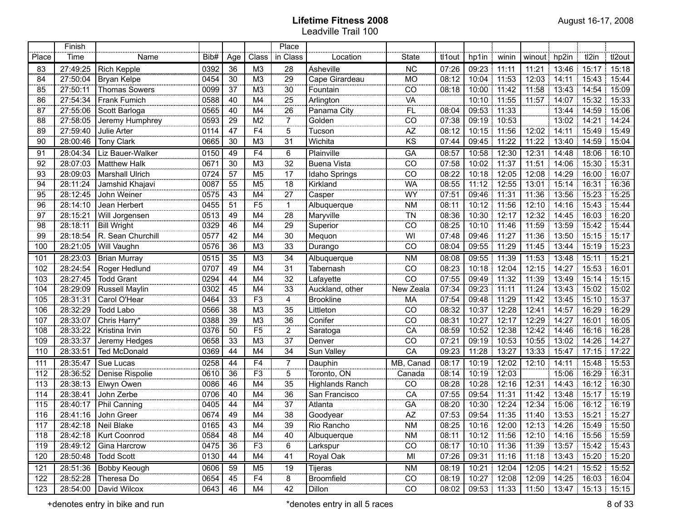|       | Finish   |                         |      |                 |                         | Place                        |                        |                 |        |                     |             |              |       |                                                       |        |
|-------|----------|-------------------------|------|-----------------|-------------------------|------------------------------|------------------------|-----------------|--------|---------------------|-------------|--------------|-------|-------------------------------------------------------|--------|
| Place | Time     | Name                    | Bib# | Age             | Class                   | in Class                     | Location               | <b>State</b>    | tl1out | hp1in               | winin       | winout hp2in |       | tl2in                                                 | tl2out |
| 83    | 27:49:25 | Rich Kepple             | 0392 | 36              | M <sub>3</sub>          | 28                           | <b>Asheville</b>       | ÑĈ              | 07:26  | 09:23               | 11:11       | 11:21        | 13:46 | 15:17                                                 | 15:18  |
| 84    | 27:50:04 | Bryan Kelpe             | 0454 | 30              | M3                      | 29                           | Cape Girardeau         | <b>MO</b>       | 08:12  | 10:04               | 11:53       | 12:03        | 14:11 | 15:43                                                 | 15:44  |
| 85    | 27:50:11 | <b>Thomas Sowers</b>    | 0099 | 37              | M <sub>3</sub>          | $30\,$                       | Fountain               | $\overline{CO}$ | 08:18  | 10:00               | 11:42       | 11:58        |       | 13:43 14:54                                           | 15:09  |
| 86    | 27:54:34 | Frank Fumich            | 0588 | 40              | M4                      | 25                           | Arlington              | VÄ              |        |                     | 10:10 11:55 | 11:57        |       | 14:07 15:32                                           | 15:33  |
| 87    | 27:55:06 | Scott Barloga           | 0565 | 40              | M4                      | 26                           | Panama City            | $\overline{FL}$ | 08:04  | 09:53               | 11:33       |              |       | 13:44 14:59                                           | 15:06  |
| 88    | 27:58:05 | Jeremy Humphrey         | 0593 | 29              | M <sub>2</sub>          | $\overline{7}$               | Golden                 | CO              | 07:38  | 09:19               | 10:53       |              |       | 13:02 14:21                                           | 14:24  |
| 89    | 27:59:40 | Julie Arter             | 0114 | 47              | F <sub>4</sub>          | 5                            | Tucson                 | AZ              | 08:12  | 10:15               | 11:56       | 12:02        | 14:11 | 15.49                                                 | 15:49  |
| 90    | 28:00:46 | <b>Tony Clark</b>       | 0665 | 30              | M <sub>3</sub>          | 31                           | Wichita                | KS              | 07:44  | 09:45               | 11:22       | 11:22        | 13:40 | 14:59                                                 | 15:04  |
| 91    | 28:04:34 | Liz Bauer-Walker        | 0150 | 49              | F4                      | 6                            | Plainville             | GA              | 08:57  | 10:58               | 12:30       | 12:31        | 14:48 | 18:06                                                 | 16:10  |
| 92    | 28:07:03 | <b>Matthew Halk</b>     | 0671 | 30              | M <sub>3</sub>          | 32                           | <b>Buena Vista</b>     | CO              | 07:58  | 10:02               | 11:37       | 11:51        | 14:06 | 15:30                                                 | 15:31  |
| 93    | 28:09:03 | <b>Marshall Ulrich</b>  | 0724 | 57              | M <sub>5</sub>          | 17                           | Idaho Springs          | CO              | 08:22  | 10:18               | 12:05       | 12:08        | 14:29 | 16:00                                                 | 16:07  |
| 94    | 28:11:24 | Jamshid Khajavi         | 0087 | 55              | M <sub>5</sub>          | $\overline{18}$              | Kirkland               | <b>WA</b>       | 08:55  | 11:12               | 12:55       | 13:01        | 15:14 | 16:31                                                 | 16:36  |
| 95    | 28:12:45 | John Weiner             | 0575 | 43              | M4                      | 27                           | Casper                 | WY              | 07:51  | 09:46               | 11:31       | 11:36        | 13:56 | 15:23                                                 | 15:25  |
| 96    | 28:14:10 | Jean Herbert            | 0455 | 51              | F <sub>5</sub>          | $\mathbf{1}$<br><b>SOCKS</b> | Albuquerque            | <b>NM</b>       | 08:11  | 10:12               | 11:56       | 12:10        | 14:16 | 15:43                                                 | 15:44  |
| 97    | 28:15:21 | Will Jorgensen          | 0513 | 49              | M4                      | 28                           | Maryville              | TN              | 08:36  | 10:30               | 12:17       | 12:32        | 14:45 | 16:03                                                 | 16:20  |
| 98    | 28:18:11 | <b>Bill Wright</b>      | 0329 | 46              | M4                      | 29                           | Superior               | CO              | 08:25  | 10:10               | 11:46       | 11:59        | 13:59 | 15:42                                                 | 15:44  |
| 99    | 28:18:54 | R. Sean Churchill       | 0577 | 42              | M4                      | 30                           | Mequon                 | WI              | 07:48  | 09:46               | 11:27       | 11:36        | 13:50 | 15:15                                                 | 15:17  |
| 100   | 28:21:05 | <b>Will Vaughn</b>      | 0576 | 36              | M <sub>3</sub>          | 33                           | Durango                | CO              | 08:04  | 09:55               | 11:29       | 11:45        | 13:44 | 15:19                                                 | 15:23  |
| 101   | 28:23:03 | <b>Brian Murray</b>     | 0515 | 35              | M <sub>3</sub>          | 34<br>                       | Albuquerque            | <b>NM</b>       | 08:08  | 09:55               | 11:39       | 11:53        | 13:48 | 15:11                                                 | 15:21  |
| 102   | 28:24:54 | Roger Hedlund           | 0707 | 49              | M4                      | 31                           | Tabernash              | CO              | 08:23  | 10:18               | 12:04       | 12:15        | 14:27 | 15:53                                                 | 16:01  |
| 103   | 28:27:45 | <b>Todd Grant</b>       | 0294 | 44              | M4                      | $rac{1}{32}$                 | Lafayette              | CO              | 07:55  | 09:49               | 11:32       | 11:39        | 13:49 | 15:14                                                 | 15:15  |
| 104   | 28:29:09 | Russell Maylin          | 0302 | 45              | M4                      | $\frac{1}{33}$<br>           | Auckland, other        | New Zeala       | 07:34  | 09:23               | 11:11       | 11:24        | 13:43 | 15:02                                                 | 15:02  |
| 105   | 28:31:31 | Carol O'Hear            | 0464 | 33              | $\overline{F3}$<br>     | 4<br>                        | <b>Brookline</b>       | MA              | 07:54  | 09:48               | 11:29       | 11:42        | 13:45 | 15:10                                                 | 15:37  |
| 106   | 28:32:29 | <b>Todd Labo</b>        | 0566 | $\overline{38}$ | M <sub>3</sub>          | 35<br>                       | Littleton              | CO              | 08:32  | 10:37<br>÷          | 12:28       | 12:41        | 14:57 | 16:29                                                 | 16:29  |
| 107   | 28:33:07 | Chris Harry*            | 0388 | $\overline{39}$ | M <sub>3</sub>          | 36                           | Conifer                | $\overline{CO}$ | 08:31  | 10:27               | 12:17       | 12:29        | 14:27 | 16:01                                                 | 16:05  |
| 108   | 28:33:22 | Kristina Irvin          | 0376 | 50              | $\overline{F5}$<br>     | $\frac{1}{2}$<br>1.111       | Saratoga               | $\overline{CA}$ | 08:59  | 10:52               | 12:38       | 12:42        | 14:46 | 16:16                                                 | 16:28  |
| 109   | 28:33:37 | Jeremy Hedges           | 0658 | 33              | M <sub>3</sub>          | 37<br>                       | Denver                 | CO              | 07:21  | 09:19               | 10:53       | 10:55        | 13:02 | 14:26                                                 | 14:27  |
| 110   | 28:33:51 | <b>Ted McDonald</b>     | 0369 | 44              | M4                      | 34                           | Sun Valley             | CA              | 09:23  | 11:28               | 13:27       | 13:33        | 15:47 | 17:15                                                 | 17:22  |
| 111   | 28:35:47 | Sue Lucas               | 0258 | 44              | F <sub>4</sub>          | $\overline{7}$               | Dauphin                | MB, Canad       | 08:17  | 10:19               | 12:02       | 12:10        | 14:11 | 15:48                                                 | 15:53  |
| 112   | 28:36:52 | Denise Rispolie         | 0610 | 36              | F <sub>3</sub>          | $\overline{5}$               | Toronto, ON            | Canada          | 08:14  | 10:19               | 12:03       |              |       | 15:06 16:29                                           | 16:31  |
| 113   | 28:38:13 | Elwyn Owen              | 0086 | 46              | M4                      | 35                           | <b>Highlands Ranch</b> | CO              | 08:28  | 10:28               | 12:16       | 12:31        |       | 14:43 16:12                                           | 16:30  |
| 114   | 28:38:41 | John Zerbe              | 0706 | 40              | M4                      | 36                           | San Francisco          | $\overline{CA}$ | 07:55  | 09:54               | 11:31       | 11:42        |       | 13:48 15:17                                           | 15:19  |
| 115   | 28:40:17 | Phil Canning            | 0405 | 44              | M4                      | $37\,$                       | Atlanta                | GA              | 08:20  | 10:30               | 12:24       | 12:34        |       | 15:06 16:12                                           | 16:19  |
| 116   | 28:41:16 | John Greer<br>          | 0674 | 49              | M4                      | $\overline{38}$              | Goodyear<br>           | AZ              | 07:53  | 09:54               | 11:35       |              |       | 11:40 13:53 15:21 15:27                               |        |
| 117   |          | 28:42:18 Neil Blake     | 0165 | 43              | M4<br><b>STATISTICS</b> | 39                           | Rio Rancho             | $\frac{NM}{M}$  |        |                     |             |              |       | 08:25   10:16   12:00   12:13   14:26   15:49   15:50 |        |
| 118   |          | 28:42:18   Kurt Coonrod | 0584 | 48              | M4                      | 40                           | Albuquerque            | NM              |        |                     |             |              |       | 08:11   10:12   11:56   12:10   14:16   15:56   15:59 |        |
| 119   |          | 28:49:12 Gina Harcrow   | 0475 | 36              | F <sub>3</sub>          | 6                            | Larkspur               | CO              | 08:17  | 10:10 11:36         |             |              |       | 11:39 13:57 15:42 15:43                               |        |
| 120   |          | 28:50:48   Todd Scott   | 0130 | 44              | M4                      | 41                           | Royal Oak              | MI              | 07:26  | 09:31 11:16         |             |              |       | 11:18 13:43 15:20 15:20                               |        |
| 121   |          | 28:51:36 Bobby Keough   | 0606 | 59              | M <sub>5</sub>          | 19                           | Tijeras                | NM              | 08:19  |                     | 10:21 12:04 |              |       | 12:05 14:21 15:52 15:52                               |        |
| 122   | 28:52:28 | Theresa Do              | 0654 | 45              | F <sub>4</sub>          | $\overline{8}$               | Broomfield             | CO              |        | 08:19 10:27 12:08   |             |              |       | 12:09 14:25 16:03 16:04                               |        |
| 123   | 28:54:00 | David Wilcox            | 0643 | 46              | M4                      | 42                           | Dillon                 | CO              |        | $08:02$ 09:53 11:33 |             |              |       | 11:50 13:47 15:13 15:15                               |        |

+denotes entry in bike and run and run the state of 33 and the state of 33 and the state and run all 5 races and run all 5 races and run all 5 races and run all 5 races and run all 5 races and run all 5 races and run all 5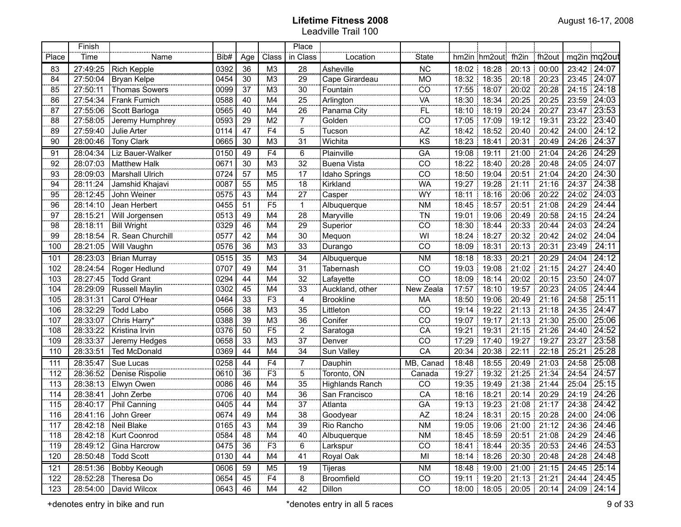|       | Finish   |                         |      |                |                        | Place                                |                    |                                         |       |                                               |               |               |             |                                     |
|-------|----------|-------------------------|------|----------------|------------------------|--------------------------------------|--------------------|-----------------------------------------|-------|-----------------------------------------------|---------------|---------------|-------------|-------------------------------------|
| Place | Time     | Name                    | Bib# | Age            | Class                  | in Class                             | Location           | <b>State</b>                            |       | hm2in hm2out fh2in                            |               | fh2out        |             | mq2in mq2out                        |
| 83    | 27:49:25 | <b>Rich Kepple</b>      | 0392 | 36             | M <sub>3</sub>         | 28                                   | <b>Asheville</b>   | ÑĈ                                      |       | 18:02 18:28                                   | 20:13         | 00:00         |             | 23:42 24:07                         |
| 84    | 27:50:04 | Bryan Kelpe             | 0454 | 30             | M <sub>3</sub>         | 29                                   | Cape Girardeau     | <b>MO</b>                               |       | 18:32 18:35                                   | 20:18 20:23   |               |             | 23:45 24:07                         |
| 85    | 27:50:11 | <b>Thomas Sowers</b>    | 0099 | 37             | M3                     | 30                                   | Fountain           | $\overline{CO}$                         | 17:55 | 18:07                                         |               | 20:02 20:28   |             | 24:15 24:18                         |
| 86    | 27:54:34 | Frank Fumich            | 0588 | 40             | M4                     | 25                                   | Arlington          | <b>VA</b>                               | 18:30 | 18:34                                         |               | 20:25   20:25 |             | 23:59 24:03                         |
| 87    | 27:55:06 | Scott Barloga           | 0565 | 40             | M4                     | 26                                   | Panama City        | <br>FL                                  |       | 18:10 18:19                                   | 20:24 20:27   |               |             | 23:47 23:53                         |
| 88    | 27:58:05 | Jeremy Humphrey         | 0593 | 29             | M <sub>2</sub>         | $\overline{7}$                       | Golden             | $\overline{CO}$                         |       | 17:05 17:09                                   | 19:12 19:31   |               |             | 23:22 23:40                         |
| 89    | 27:59:40 | Julie Arter             | 0114 | 47             | F <sub>4</sub>         | 5                                    | Tucson             | AZ                                      | 18:42 | 18:52                                         | 20:40 20:42   |               |             | 24:00 24:12                         |
| 90    | 28:00:46 | <b>Tony Clark</b>       | 0665 | 30             | M <sub>3</sub>         | 31                                   | Wichita            | KS                                      | 18:23 | 18:41                                         | 20:31<br>÷,   | 20:49         |             | 24:26 24:37                         |
| 91    | 28:04:34 | Liz Bauer-Walker        | 0150 | 49             | F <sub>4</sub>         | 6                                    | Plainville         | <b>GA</b>                               | 19:08 | 19:11                                         | 21:00         | 21:04         | 24:26       | 24:29                               |
| 92    | 28:07:03 | <b>Matthew Halk</b>     | 0671 | 30             | M <sub>3</sub>         | 32                                   | <b>Buena Vista</b> | $\overline{CO}$                         | 18:22 | 18:40                                         | 20:28         | 20:48         | 24:05       | $\frac{1}{24:07}$                   |
| 93    | 28:09:03 | <b>Marshall Ulrich</b>  | 0724 | 57             | M <sub>5</sub>         | 17                                   | Idaho Springs      | $\overline{CO}$                         | 18:50 | 19:04                                         | 20:51         | 21:04         | 24:20       | 124:30                              |
| 94    | 28:11:24 | Jamshid Khajavi         | 0087 | 55             | M <sub>5</sub>         | 18                                   | Kirkland           | <b>WA</b>                               | 19:27 | 19:28                                         | 21:11         | 21:16         |             | 24:37 24:38                         |
| 95    | 28:12:45 | John Weiner             | 0575 | 43             | M4                     | $\overline{27}$                      | Casper             | WY                                      | 18:11 | 18:16                                         | 20:06         | 20:22         | 24:02       | 124:03                              |
| 96    | 28:14:10 | Jean Herbert            | 0455 | 51             | F <sub>5</sub>         | $\mathbf{1}$                         | Albuquerque        | <b>NM</b>                               | 18:45 | 18:57                                         | 20:51         | 21:08         | 24:29       | 24:44                               |
| 97    | 28:15:21 | Will Jorgensen          | 0513 | 49             | M <sub>4</sub>         | 28                                   | Maryville          | $\overline{T}N$                         | 19:01 | 19:06                                         | 20:49         | 20:58         | 24:15       | 24:24                               |
| 98    | 28:18:11 | <b>Bill Wright</b>      | 0329 | 46             | M <sub>4</sub>         | 29                                   | Superior           | $\overline{co}$                         | 18:30 | 18:44                                         | 20:33         | 20:44         | 24:03       | 24:24                               |
| 99    | 28:18:54 | R. Sean Churchill       | 0577 | 42             | M <sub>4</sub>         | 30                                   | Mequon             | $\overline{W}$                          | 18:24 | 18:27                                         | 20:32<br>÷    | 20:42         |             | 24:02 24:04                         |
| 100   | 28:21:05 | Will Vaughn             | 0576 | 36             | M <sub>3</sub>         | 33                                   | Durango            | $\overline{CO}$                         | 18:09 | 18:31                                         | 20:13         | 20:31         | 23:49 24:11 |                                     |
| 101   | 28:23:03 | <b>Brian Murray</b>     | 0515 | 35             | M <sub>3</sub>         | 34                                   | Albuquerque        | <b>NM</b>                               | 18:18 | 18:33                                         | 20:21<br>1    | 20:29         |             | 24:04 24:12                         |
| 102   | 28:24:54 | Roger Hedlund           | 0707 | 49             | M4                     | 31                                   | Tabernash          | CO                                      | 19:03 | 19:08                                         | 21:02         | 21:15         | 24:27       | 24:40                               |
| 103   | 28:27:45 | <b>Todd Grant</b>       | 0294 | 44             | M4                     | $\frac{1}{32}$                       | Lafayette          | $\overline{C}$                          | 18:09 | 18:14                                         | 20:02         | 20:15         | 23:50       | 24:07                               |
| 104   | 28:29:09 | Russell Maylin          | 0302 | 45             | M4                     | 33<br>                               | Auckland, other    | New Zeala                               | 17:57 | 18:10                                         | 19:57         | 20:23         | 24:05       | 24:44                               |
| 105   | 28:31:31 | Carol O'Hear            | 0464 | 33             | $\overline{F3}$        | 4<br>                                | <b>Brookline</b>   | MA                                      | 18:50 | 19:06                                         | 20:49         | 21:16         | 24:58       | 25:11                               |
| 106   | 28:32:29 | <b>Todd Labo</b>        | 0566 | 38             | $\overline{\text{M3}}$ | 35                                   | Littleton          | $\overline{CO}$                         | 19:14 | 19:22                                         | 21:13         | 21:18         | 24:35       | 24:47                               |
| 107   | 28:33:07 | Chris Harry*            | 0388 | 39             | $\overline{\text{M3}}$ | 36<br>.                              | Conifer            | $\overline{CO}$                         | 19:07 | 19:17                                         | 21:13         | 21:30         | 25:00:      | 25:06                               |
| 108   | 28:33:22 | Kristina Irvin          | 0376 | 50             | $\overline{F5}$        | $\overline{2}$<br>.                  | Saratoga           | $\overline{CA}$                         | 19:21 | 19:31                                         | 21:15         | 21:26         |             | 24:40 24:52                         |
| 109   | 28:33:37 | Jeremy Hedges           | 0658 | 33             | M <sub>3</sub>         | 37                                   | Denver             | $\overline{C}$                          | 17:29 | 17:40                                         | 19:27         | 19:27         |             | 23:27 23:58                         |
| 110   | 28:33:51 | <b>Ted McDonald</b>     | 0369 | 44             | M4                     | 34                                   | Sun Valley         | CA                                      | 20:34 | 20:38                                         | 22:11         | 22:18         | 25:21       | 25:28                               |
| 111   | 28:35:47 | Sue Lucas               | 0258 | 44             | F <sub>4</sub>         | 7                                    | Dauphin            | MB, Canad                               | 18:48 | 18:55                                         | 20:49<br>÷    | 21:03         | 24:58       | 25:08                               |
| 112   | 28:36:52 | Denise Rispolie         | 0610 | 36             | F <sub>3</sub>         | 5                                    | Toronto, ON        | Canada                                  | 19:27 | 19:32                                         | 21:25 21:34   |               |             | 24:54 24:57                         |
| 113   | 28:38:13 | Elwyn Owen              | 0086 | 46             | M4                     | 35                                   | Highlands Ranch    | CO                                      |       | 19:35 19:49                                   | 21:38 21:44   |               |             | 25:04 25:15                         |
| 114   | 28:38:41 | John Zerbe              | 0706 | 40             | M4                     | 36                                   | San Francisco      | $\overline{CA}$                         |       | 18:16 18:21                                   | 20:14 20:29   |               |             | 24:19 24:26                         |
| 115   | 28:40:17 | Phil Canning            | 0405 | 44             | M4                     | $\overline{37}$                      | Atlanta            | GÄ                                      |       | 19:13 19:23                                   | 21:08 21:17   |               |             | 24:38 24:42                         |
| 116   | 28:41:16 | John Greer              | 0674 | 49             | M4                     | $\overline{38}$                      | Goodyear           | $\overline{AZ}$                         |       | 18:24 18:31                                   | 20:15   20:28 |               |             | 24:00 24:06                         |
| $117$ | 28:42:18 | Neil Blake              | 0165 | $\frac{43}{2}$ | M4                     | 39                                   | Rio Rancho         | $\mathsf{N}\mathsf{M}$<br>anana amin'ny |       | 19:05   19:06   21:00   21:12   24:36   24:46 |               |               |             |                                     |
| 118   |          | 28:42:18   Kurt Coonrod | 0584 | 48             | M4                     | 40                                   | Albuquerque        | <b>NM</b>                               |       | 18:45   18:59   20:51   21:08   24:29   24:46 |               |               |             |                                     |
| 119   | 28:49:12 | Gina Harcrow            | 0475 | 36             | F <sub>3</sub>         | 6                                    | Larkspur           | CO                                      |       | 18:41 18:44 20:35 20:53 24:46 24:53           |               |               |             |                                     |
| 120   | 28:50:48 | Todd Scott              | 0130 | 44             | M4                     | 41                                   | Royal Oak          | MI                                      |       |                                               |               |               |             | 18:14 18:26 20:30 20:48 24:28 24:48 |
| 121   | 28:51:36 | Bobby Keough            | 0606 | 59             | M <sub>5</sub>         | 19                                   | Tijeras            | <b>NM</b>                               |       | 18:48 19:00 21:00 21:15 24:45 25:14           |               |               |             |                                     |
| 122   | 28:52:28 | Theresa Do              | 0654 | 45             | F <sub>4</sub>         | $\overline{\overline{\overline{8}}}$ | Broomfield         | $\overline{CO}$                         |       | 19:11   19:20   21:13   21:21   24:44   24:45 |               |               |             |                                     |
| 123   | 28:54:00 | David Wilcox            | 0643 | 46             | M4                     | 42                                   | Dillon             | CO                                      |       | 18:00   18:05   20:05   20:14   24:09   24:14 |               |               |             |                                     |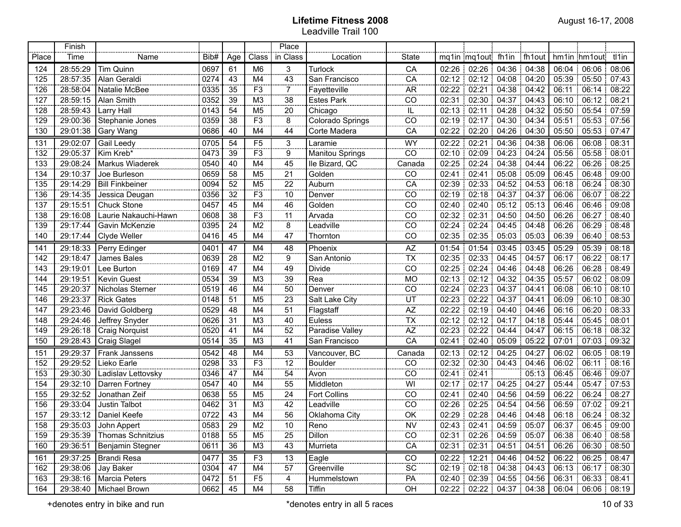| <b></b> | Finish   |                              |      |                |                 | Place               |                           | .                                                                           |       |                               |               |             |       |                                    |        |
|---------|----------|------------------------------|------|----------------|-----------------|---------------------|---------------------------|-----------------------------------------------------------------------------|-------|-------------------------------|---------------|-------------|-------|------------------------------------|--------|
| Place   | Time     | Name                         | Bib# | Age            | Class           | in Class            | Location                  | <b>State</b>                                                                |       | mq1in mq1out fh1in fh1out     |               |             |       | hm1in hm1out tl1in                 |        |
| 124     | 28:55:29 | Tim Quinn                    | 0697 | 61             | M <sub>6</sub>  | 3                   | Turlock                   | CA                                                                          |       | 02:26 02:26 04:36 04:38       |               |             |       | 06:04 06:06 08:06                  |        |
| 125     | 28:57:35 | Alan Geraldi                 | 0274 | 43             | M4              | 43                  | San Francisco             | CA                                                                          |       | 02:12 02:12 04:08 04:20       |               |             |       | 05:39 05:50 07:43                  |        |
| 126     | 28:58:04 | Natalie McBee                | 0335 | 35             | F <sub>3</sub>  | $\overline{7}$      | Fayetteville              | <b>AR</b>                                                                   |       | 02:22   02:21                 | 04:38 04:42   |             | 06:11 | 106:14                             | 08:22  |
| 127     | 28:59:15 | Alan Smith                   | 0352 | 39             | M3              | 38                  | <b>Estes Park</b>         | CO                                                                          |       | $02:31$ : 02:30               | 104:37:04:43  |             |       | 06:10 06:12 08:21                  |        |
| 128     | 28:59:43 | Larry Hall                   | 0143 | 54             | M <sub>5</sub>  | 20                  | Chicago                   | IL                                                                          |       | $02:13$ : 02:11               | 04:28   04:32 |             |       | 05:50 05:54 07:59                  |        |
| 129     | 29:00:36 | Stephanie Jones              | 0359 | 38             | F <sub>3</sub>  | 8                   | Colorado Springs          | CO                                                                          |       | 02:19   02:17                 | 04:30   04:34 |             |       | 05:51 05:53 07:56                  |        |
| 130     | 29:01:38 | Gary Wang                    | 0686 | 40             | M4              | 44                  | Corte Madera              | CA                                                                          | 02:22 | 02:20                         | 04:26         | 04:30       |       | 05:50 05:53 07:47                  |        |
| 131     | 29:02:07 | Gail Leedy                   | 0705 | 54             | F <sub>5</sub>  | 3<br><b>SORG</b>    | Laramie                   | <b>WY</b>                                                                   | 02:22 | 02:21                         | 04:36         | 04:38       | 06:06 | 06:08                              | 08:31  |
| 132     | 29:05:37 | Kim Kreb*                    | 0473 | 39             | $\overline{F3}$ | 9<br>----           | Manitou Springs           | $\overline{co}$                                                             |       | 02:10 02:09                   | 04:23 04:24   |             |       | 05:56 05:58                        | 08:01  |
| 133     | 29:08:24 | Markus Wiaderek              | 0540 | 40             | M4              | 45                  | Ile Bizard, QC            | Canada                                                                      |       | 02:25   02:24                 | 04:38 04:44   |             |       | 06:22   06:26                      | 08:25  |
| 134     | 29:10:37 | Joe Burleson                 | 0659 | 58             | M <sub>5</sub>  | 21<br>$rac{1}{2}$   | Golden                    | CO                                                                          | 02:41 | 02:41                         | 05:08 05:09   |             |       | 06:45 06:48                        | 09:00  |
| 135     | 29:14:29 | <b>Bill Finkbeiner</b>       | 0094 | 52             | M <sub>5</sub>  | 22<br>$rac{1}{2}$   | Auburn                    | $\overline{CA}$                                                             |       | 02:39 02:33                   | 04:52 04:53   |             |       | 06:18 06:24                        | 08:30  |
| 136     | 29:14:35 | Jessica Deugan               | 0356 | 32             | F <sub>3</sub>  | 10<br>$rac{1}{2}$   | Denver                    | CO                                                                          |       | $02:19$ 02:18                 | 04:37 04:37   |             |       | 06:06   06:07                      | 08:22  |
| 137     | 29:15:51 | <b>Chuck Stone</b>           | 0457 | 45             | M4              | 46                  | Golden                    | CO                                                                          |       | 02:40   02:40                 | 05:12 05:13   |             |       | 06:46 06:46                        | 09:08  |
| 138     | 29:16:08 | Laurie Nakauchi-Hawn         | 0608 | 38             | F <sub>3</sub>  | 11<br>$\cdots$      | Arvada                    | CO                                                                          |       | 02:32   02:31                 | 04:50 04:50   |             |       | 06:26 06:27                        | 08:40  |
| 139     | 29:17:44 | Gavin McKenzie               | 0395 | 24             | M <sub>2</sub>  | 8<br>$rac{1}{2}$    | Leadville                 | CO                                                                          |       | 02:24 02:24                   | 04:45   04:48 |             |       | 06:26 06:29                        | 08:48  |
| 140     | 29:17:44 | Clyde Weller                 | 0416 | 45             | M4              | 47                  | Thornton                  | CO                                                                          |       | 02:35 02:35                   | 05:03 05:03   |             |       | 06:39   06:40   08:53              |        |
| 141     | 29:18:33 | Perry Edinger                | 0401 | 47             | M4              | 48<br>              | Phoenix                   | AZ                                                                          |       | 01:54 01:54                   | $03:45$ 03:45 |             |       | 05:29 05:39 08:18                  |        |
| 142     | 29:18:47 | James Bales                  | 0639 | 28             | M <sub>2</sub>  | 9<br>               | San Antonio               | $\overline{TX}$                                                             |       | 02:35 02:33                   | 04:45 04:57   |             |       | 06:17 06:22 08:17                  |        |
| 143     | 29:19:01 | Lee Burton                   | 0169 | 47             | M4              | 49<br>              | Divide                    | $\overline{C}$                                                              | 02:25 | 02:24                         | 04:46 04:48   |             |       | 06:26 06:28 08:49                  |        |
| 144     | 29:19:51 | <b>Kevin Guest</b>           | 0534 | 39             | M <sub>3</sub>  | 39<br>              | Rea                       | <b>MO</b>                                                                   |       | 02:13 02:12                   | 04:32 04:35   |             |       | 05:57 06:02 08:09                  |        |
| 145     | 29:20:37 | Nicholas Sterner             | 0519 | 46             | M4              | 50                  | Denver                    | CO                                                                          | 02:24 | 02:23                         | 04:37 04:41   |             |       | 06:08 06:10 08:10                  |        |
| 146     | 29:23:37 | <b>Rick Gates</b>            | 0148 | 51             | M <sub>5</sub>  | 23                  | Salt Lake City            |                                                                             |       | 02:23 02:22                   | 04:37 04:41   |             |       | 06:09 06:10 08:30                  |        |
| 147     | 29:23:46 | David Goldberg               | 0529 | 48             | M4              | $\overline{51}$     | Flagstaff                 | $\begin{array}{c}\n & \text{UT} \\ & \text{AZ} \\ & \text{TX}\n\end{array}$ |       | 02:22 02:19                   | 04:40 04:46   |             |       | $06:16 \mid 06:20 \mid 08:33$      |        |
| 148     | 29:24:46 | Jeffrey Snyder               | 0626 | 31             | M <sub>3</sub>  | $\overline{40}$<br> | Euless<br>Euless<br>Alley |                                                                             |       | 02:12 02:12                   | 04:17 04:18   |             |       | 05:44 05:45 08:01                  |        |
| 149     | 29:26:18 | <b>Craig Norquist</b>        | 0520 | 41             | M4              | 52                  | Paradise Valley           | $\overline{AZ}$                                                             |       | 02:23 02:22                   | 04:44         | 04.47       |       | 06:15 06:18 08:32                  |        |
| 150     | 29:28:43 | <b>Craig Slagel</b>          | 0514 | 35             | M <sub>3</sub>  | 41                  | San Francisco             | CA                                                                          | 02:41 |                               | $02:40$ 05:09 | 05:22       |       | $07:01$ 07:03                      | 09:32  |
| 151     | 29:29:37 | Frank Janssens               | 0542 | 48             | M4              | 53                  | Vancouver, BC             | Canada                                                                      | 02:13 | $02:12$ 04:25                 |               | 04:27       |       | 06:02 06:05                        | .08:19 |
| 152     | 29:29:52 | Lieko Earle                  | 0298 | 33             | F <sub>3</sub>  | $\overline{12}$     | <b>Boulder</b>            | CO                                                                          |       | 02:32 02:30 04:43 04:46       |               |             |       | 06:02 06:11                        | 08:16  |
| 153     | 29:30:30 | Ladislav Lettovsky           | 0346 | 47             | M <sub>4</sub>  | $\frac{54}{1}$      | Avon                      | CO                                                                          | 02:41 | 02:41                         |               | 05:13       |       | 06:45   06:46                      | 09:07  |
| 154     | 29:32:10 | Darren Fortney               | 0547 | 40             | M4              | 55                  | Middleton                 | WI                                                                          |       | $02:17$ 02:17 04:25           |               | 04:27<br>÷. |       | 05:44 05:47 07:53                  |        |
| 155     | 29:32:52 | Jonathan Zeif                | 0638 | 55             | M <sub>5</sub>  | $\overline{24}$     | Fort Collins              | CO                                                                          | 02:41 | 02:40                         | 04:56 04:59   |             |       | 06:22 06:24                        | 08:27  |
| 156     | 29:33:04 | Justin Talbot                | 0462 | 31             | M3              | 42                  | Leadville                 | CO                                                                          | 02:26 | 02:25                         | 04:54         | 04:56       |       | 06:59 07:02                        | 109.21 |
| 157     | 29:33:12 | Daniel Keefe                 | 0722 | 43             | M4              | 56                  | Oklahoma City             | OK                                                                          |       | 02:29 02:28                   | 04:46 04:48   |             |       | 06:18 06:24                        | 08:32  |
| 158     | 29:35:03 | John Appert                  | 0583 | 29<br>en en en | M <sub>2</sub>  | 10                  | Reno                      | <b>NV</b>                                                                   |       | 02:43 02:41 04:59 05:07       |               |             |       | 06:37 06:45 09:00                  |        |
| 159     |          | 29:35:39   Thomas Schnitzius | 0188 | 55             | M5              | 25                  | Dillon                    | CO                                                                          |       | 02:31 02:26 04:59 05:07       |               |             |       | 06:38 06:40 08:58                  |        |
| 160     | 29:36:51 | Benjamin Stegner             | 0611 | 36             | M3              | 43                  | Murrieta                  | CA                                                                          |       | 02:31 02:31 04:51 04:51       |               |             |       | $06:26 \mid 06:30 \mid 08:50 \mid$ |        |
| 161     | 29:37:25 | Brandi Resa                  | 0477 | 35             | F <sub>3</sub>  | 13                  | Eagle                     | CO                                                                          |       | 02:22 12:21 04:46 04:52       |               |             |       | $06:22$ $06:25$ 08:47              |        |
| 162     | 29:38:06 | Jay Baker                    | 0304 | 47             | M4              | 57<br>on con        | Greenville                | SC                                                                          |       | 02:19 02:18 04:38 04:43       |               |             |       | 06:13 06:17 08:30                  |        |
| 163     | 29:38:16 | Marcia Peters                | 0472 | 51             | F <sub>5</sub>  | 4<br>               | Hummelstown               | PA                                                                          |       | 02:40   02:39   04:55   04:56 |               |             |       | 06:31   06:33   08:41              |        |
| 164     | 29:38:40 | Michael Brown                | 0662 | 45             | M4              | 58                  | Tiffin                    | OH                                                                          |       | 02:22 02:22 04:37 04:38       |               |             |       | 06:04 06:06 08:19                  |        |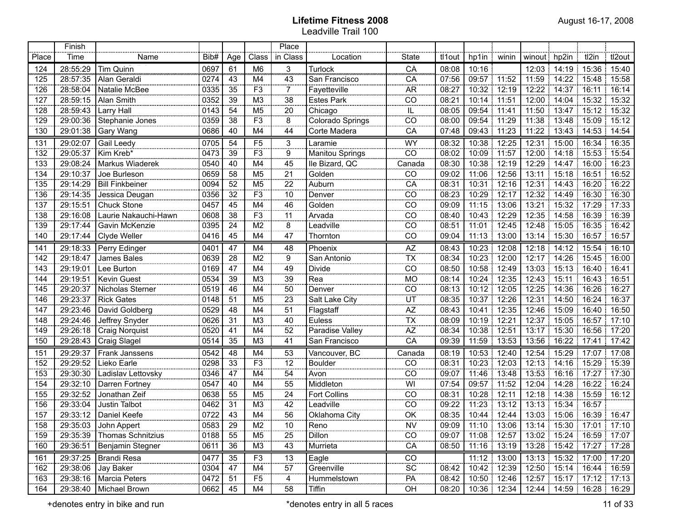|       | Finish   |                              |      |     |                | Place                    |                     |                               |        |                   |             |                                                       |                       |                         |        |
|-------|----------|------------------------------|------|-----|----------------|--------------------------|---------------------|-------------------------------|--------|-------------------|-------------|-------------------------------------------------------|-----------------------|-------------------------|--------|
| Place | Time     | Name                         | Bib# | Age | Class          | in Class                 | Location            | <b>State</b>                  | tl1out | hp1in             | winin       | winout hp2in                                          |                       | tl2in                   | tl2out |
| 124   | 28:55:29 | Tim Quinn                    | 0697 | 61  | M <sub>6</sub> | 3                        | Turlock             | ĈÃ                            | 08:08  | 10:16             |             |                                                       | 12:03 14:19 15:36     |                         | 15:40  |
| 125   | 28:57:35 | Alan Geraldi                 | 0274 | 43  | M4             | 43                       | San Francisco       | CA                            | 07:56  | 09:57 11:52       |             | 11:59                                                 | $14:22$ 15:48         |                         | 15:58  |
| 126   | 28:58:04 | Natalie McBee                | 0335 | 35  | F <sub>3</sub> | $\overline{7}$           | Fayetteville        | <b>AR</b>                     | 08:27  |                   | 10:32 12:19 | 12:22                                                 | $14:37$ 16:11         |                         | 16:14  |
| 127   | 28:59:15 | Alan Smith                   | 0352 | 39  | M <sub>3</sub> | 38                       | <b>Estes Park</b>   | CO                            | 08:21  | 10:14 11:51       |             |                                                       | 12:00 14:04 15:32     |                         | 15:32  |
| 128   | 28:59:43 | <b>Larry Hall</b>            | 0143 | 54  | M <sub>5</sub> | 20                       | Chicago             | ïË,                           | 08:05  | 09:54 11:41       |             | 11:50                                                 | $13:47$ 15:12         |                         | 15:32  |
| 129   | 29:00:36 | Stephanie Jones              | 0359 | 38  | F <sub>3</sub> | 8                        | Colorado Springs    | CO                            | 08:00  | 09:54 11:29       |             | 11:38                                                 | $13:48$ 15:09         |                         | 15:12  |
| 130   | 29:01:38 | Gary Wang                    | 0686 | 40  | M4             | 44                       | Corte Madera        | CA                            | 07:48  | 09:43             | 11:23       | 11:22                                                 |                       | 13:43 14:53             | 14:54  |
| 131   | 29:02:07 | Gail Leedy                   | 0705 | 54  | F <sub>5</sub> | 3                        | Laramie             | <b>WY</b>                     | 08:32  |                   | 10:38 12:25 | 12:31                                                 | 15:00                 | 16:34                   | 16:35  |
| 132   | 29:05:37 | Kim Kreb*                    | 0473 | 39  | F3             | $\overline{9}$           | Manitou Springs     | $\overline{CO}$               | 08:02  | 10:09 11:57       |             | 12:00                                                 | 14:18                 | 15:53                   | 15:54  |
| 133   | 29:08:24 | Markus Wiaderek              | 0540 | 40  | M4             | 45                       | Ile Bizard, QC      | Canada                        | 08:30  | 10:38             | 12:19       | 12:29                                                 | 14:47                 | 16:00                   | 16:23  |
| 134   | 29:10:37 | Joe Burleson                 | 0659 | 58  | M <sub>5</sub> | 21                       | Golden              | CO                            | 09:02  | 11:06             | 12:56<br>÷. | 13:11                                                 | 15:18                 | 16:51                   | 16:52  |
| 135   | 29:14:29 | <b>Bill Finkbeiner</b>       | 0094 | 52  | M <sub>5</sub> | 22                       | Auburn              | CA                            | 08:31  | 10:31             | 12:16       | 12:31                                                 | 14:43                 | 16:20                   | 16:22  |
| 136   | 29:14:35 | Jessica Deugan               | 0356 | 32  | F3             | 10                       | Denver              | CO                            | 08:23  | 10:29             | 12:17       | 12:32 14:49                                           |                       | 16:30                   | 16:30  |
| 137   | 29:15:51 | Chuck Stone                  | 0457 | 45  | M4             | 46                       | Golden              | CO                            | 09:09  | 11:15             | 13:06<br>÷. | 13:21                                                 | 15:32                 | 17:29                   | 17:33  |
| 138   | 29:16:08 | Laurie Nakauchi-Hawn         | 0608 | 38  | F3             | 11                       | Arvada              | CO                            | 08:40  | 10:43             | 12:29       | 12:35                                                 | 14:58                 | 16:39                   | 16:39  |
| 139   | 29:17:44 | Gavin McKenzie               | 0395 | 24  | M <sub>2</sub> | $\overline{8}$           | Leadville           | CO                            | 08:51  | 11:01             | 12:45       | 12:48                                                 | 15:05                 | 16:35                   | 16:42  |
| 140   | 29:17:44 | <b>Clyde Weller</b>          | 0416 | 45  | M <sub>4</sub> | 47                       | Thornton            | CO                            | 09:04  | 11:13             | 13:00       | 13:14                                                 | 15:30                 | 16:57                   | 16:57  |
| 141   | 29:18:33 | Perry Edinger                | 0401 | 47  | M4             | 48<br>.                  | Phoenix             | AZ                            | 08:43  |                   | 10:23 12:08 |                                                       | 12:18   14:12   15:54 |                         | 16:10  |
| 142   | 29:18:47 | James Bales                  | 0639 | 28  | M <sub>2</sub> | 9<br>$\cdots$            | San Antonio         | <b>TX</b>                     | 08:34  | 10:23             | 12:00<br>÷. | 12:17                                                 | 14:26                 | 15:45                   | 16:00  |
| 143   | 29:19:01 | Lee Burton                   | 0169 | 47  | M4             | 49<br>                   | Divide              | CO                            | 08:50  | 10:58             | 12:49       | 13:03                                                 | 15:13                 | 16:40                   | 16:41  |
| 144   | 29:19:51 | <b>Kevin Guest</b>           | 0534 | 39  | M <sub>3</sub> | 39<br>                   | Rea                 | $\frac{1}{100}$               | 08:14  | 10:24 12:35       |             | 12:43                                                 | 15:11                 | 16:43                   | 16:51  |
| 145   | 29:20:37 | Nicholas Sterner             | 0519 | 46  | M4             | 50<br>                   | Denver              | CO                            | 08:13  | 10:12             | 12:05<br>÷. | 12:25                                                 | 14:36                 | 16:26                   | 16:27  |
| 146   | 29:23:37 | <b>Rick Gates</b>            | 0148 | 51  | M <sub>5</sub> | 23<br>                   | Salt Lake City      | $\frac{1}{\mathsf{UT}}$       | 08:35  | 10:37 12:26       |             | 12:31                                                 | 14:50                 | 16:24                   | 16:37  |
| 147   | 29:23:46 | David Goldberg               | 0529 | 48  | M4             | 51<br>                   | Flagstaff           | $\overline{AZ}$<br>.          | 08:43  | 10:41             | 12:35       | 12:46                                                 | 15:09                 | 16:40                   | 16:50  |
| 148   | 29:24:46 | Jeffrey Snyder               | 0626 | 31  | M <sub>3</sub> | 40<br>                   | Euless              | <b>TX</b>                     | 08:09  | 10:19 12:21       |             | 12:37                                                 | 15:05                 | 16:57                   | 17:10  |
| 149   | 29:26:18 | <b>Craig Norquist</b>        | 0520 | 41  | M4             | 52<br>                   | Paradise Valley     | $\overline{AZ}$               | 08:34  | 10:38             | 12:51       | 13:17                                                 | 15:30                 | 16:56                   | 17:20  |
| 150   | 29:28:43 | Craig Slagel                 | 0514 | 35  | M <sub>3</sub> | 41                       | San Francisco       | CA                            | 09:39  | 11:59             | 13:53       | 13:56                                                 | 16:22                 | 17:41                   | 17:42  |
| 151   | 29:29:37 | Frank Janssens               | 0542 | 48  | M4             | 53                       | Vancouver, BC       | Canada                        | 08:19  | 10:53 12:40       |             | 12:54                                                 | 15:29                 | 17:07:17:08             |        |
| 152   | 29:29:52 | Lieko Earle                  | 0298 | 33  | F <sub>3</sub> | $\overline{12}$          | Boulder             | CO                            | 08:31  | 10:23             | 12:03       |                                                       | 12:13 14:16 15:29     |                         | 15:39  |
| 153   | 29:30:30 | Ladislav Lettovsky           | 0346 | 47  | M4             | 54                       | Avon                | $\overline{CO}$               | 09:07  | 11:46             | 13:48<br>÷. | 13:53                                                 |                       | $16:16$ 17:27           | 17:30  |
| 154   | 29:32:10 | Darren Fortney               | 0547 | 40  | M4             | 55                       | Middleton           | $\overline{W}$                | 07:54  | 09:57 11:52       |             |                                                       | 12:04 14:28 16:22     |                         | 16:24  |
| 155   | 29:32:52 | Jonathan Zeif                | 0638 | 55  | M <sub>5</sub> | 24                       | <b>Fort Collins</b> | $\overline{co}$               | 08:31  | 10:28 12:11       |             |                                                       |                       | 12:18 14:38 15:59 16:12 |        |
| 156   | 29:33:04 | Justin Talbot                | 0462 | 31  | M <sub>3</sub> | 42                       | Leadville           | $\overline{CO}$               | 09:22  | 11:23             | 13:12<br>÷. |                                                       | 13:13 15:34 16:57     |                         |        |
| 157   | 29:33:12 | Daniel Keefe<br>             | 0722 | 43  | M4             | 56                       | Oklahoma City       | $\overline{OK}$               | 08:35  |                   | 10:44 12:44 |                                                       |                       | 13:03 15:06 16:39 16:47 |        |
| 158   |          | 29:35:03 John Appert         | 0583 | 29  | M2             | $10$<br>.                | Reno                | <b>NV</b><br>,,,,,,,,,,,,,,,, |        |                   |             | 09:09   11:10   13:06   13:14   15:30   17:01   17:10 |                       |                         |        |
| 159   |          | 29:35:39   Thomas Schnitzius | 0188 | 55  | M <sub>5</sub> | 25                       | Dillon              | CO                            |        |                   |             | 09:07   11:08   12:57   13:02   15:24   16:59   17:07 |                       |                         |        |
| 160   |          | 29:36:51   Benjamin Stegner  | 0611 | 36  | M3             | 43                       | Murrieta            | CA                            | 08:50  |                   |             | 11:16   13:19   13:28   15:42   17:27   17:28         |                       |                         |        |
| 161   |          | 29:37:25   Brandi Resa       | 0477 | 35  | F <sub>3</sub> | 13                       | Eagle               | CO                            |        |                   |             | 11:12 13:00 13:13 15:32 17:00 17:20                   |                       |                         |        |
| 162   |          | 29:38:06 Jay Baker           | 0304 | 47  | M4             | 57                       | Greenville          | $\overline{SC}$               | 08:42  |                   |             | $10.42$ 12:39 12:50 15:14 16:44 16:59                 |                       |                         |        |
| 163   |          | 29:38:16   Marcia Peters     | 0472 | 51  | F <sub>5</sub> | $\overline{4}$<br>ooceee | Hummelstown         | PA                            |        | 08:42 10:50 12:46 |             | $12:57$ 15:17 17:12 17:13                             |                       |                         |        |
| 164   |          | 29:38:40   Michael Brown     | 0662 | 45  | M4             | 58                       | Tiffin              | $\overline{OH}$               |        |                   |             | 08:20   10:36   12:34   12:44   14:59   16:28   16:29 |                       |                         |        |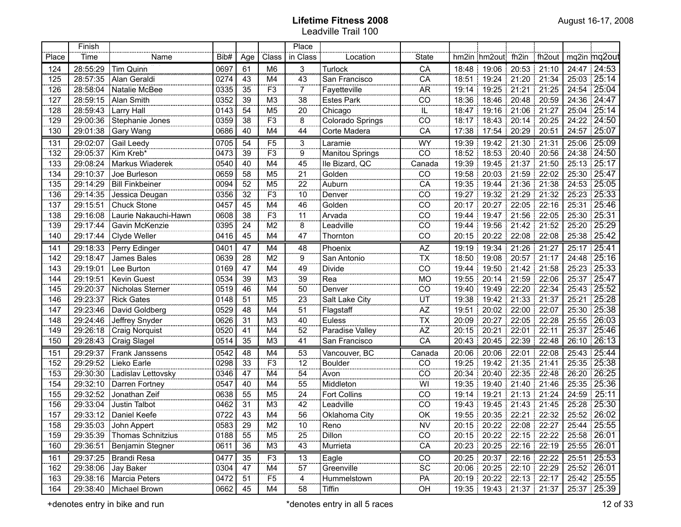|       | Finish   |                       |      |     |                | Place           |                        |                                |       |                                               |             |             |        |                    |
|-------|----------|-----------------------|------|-----|----------------|-----------------|------------------------|--------------------------------|-------|-----------------------------------------------|-------------|-------------|--------|--------------------|
| Place | Time     | Name                  | Bib# | Age | Class          | in Class        | Location               | <b>State</b>                   |       | hm2in hm2out fh2in                            |             | fh2out      |        | mq2in mq2out       |
| 124   | 28:55:29 | Tim Quinn             | 0697 | 61  | M6             | 3               | Turlock                | ĈĀ                             |       | 18:48 19:06                                   |             | 20:53 21:10 |        | 24:47 24:53        |
| 125   | 28:57:35 | Alan Geraldi          | 0274 | 43  | M4             | 43              | San Francisco          | CA                             |       | 18:51 19:24                                   |             | 21:20 21:34 |        | 25:03 25:14        |
| 126   | 28:58:04 | Natalie McBee         | 0335 | 35  | F <sub>3</sub> | $\overline{7}$  | Fayetteville           | <b>AR</b>                      |       | 19:14 19:25                                   |             | 21:21 21:25 |        | 24:54 25:04        |
| 127   | 28:59:15 | Alan Smith            | 0352 | 39  | M <sub>3</sub> | 38              | <b>Estes Park</b>      | CO                             |       | 18:36 18:46                                   |             | 20:48 20:59 |        | 24:36 24:47        |
| 128   | 28:59:43 | <b>Larry Hall</b>     | 0143 | 54  | M <sub>5</sub> | 20              | Chicago                | $\mathbb{L}$                   |       | 18:47   19:16                                 | 21:06 21:27 |             |        | 25:04 25:14        |
| 129   | 29:00:36 | Stephanie Jones       | 0359 | 38  | F <sub>3</sub> | 8               | Colorado Springs       | CO                             |       | 18:17 18:43                                   |             | 20:14 20:25 |        | 24:22 24:50        |
| 130   | 29:01:38 | Gary Wang             | 0686 | 40  | M4             | 44              | Corte Madera           | CA                             | 17:38 | 17:54                                         | 20:29       | 120:51      |        | 24:57 25:07        |
| 131   | 29:02:07 | Gail Leedy            | 0705 | 54  | F5             | 3               | Laramie                | WY                             | 19:39 | 19:42                                         | 21:30       | 21:31<br>÷  | 25:06  | 25:09              |
| 132   | 29:05:37 | Kim Kreb*             | 0473 | 39  | F <sub>3</sub> | $\frac{1}{9}$   | <b>Manitou Springs</b> | $\overline{CO}$                | 18:52 | 18:53                                         | 20:40       | 20:56<br>÷  |        | 24:38 24:50        |
| 133   | 29:08:24 | Markus Wiaderek       | 0540 | 40  | M4             | 45              | lle Bizard, QC         | Canada                         | 19:39 | 19:45                                         | 21:37       | 21:50<br>÷  | 25:13  | $\overline{25:17}$ |
| 134   | 29:10:37 | Joe Burleson          | 0659 | 58  | M <sub>5</sub> | $\overline{21}$ | Golden                 | CO                             | 19:58 | 20:03                                         | 21:59       | 22:02<br>÷  | 25:30  | 25:47              |
| 135   | 29:14:29 | Bill Finkbeiner       | 0094 | 52  | M <sub>5</sub> | 22              | Auburn                 | CA                             | 19:35 | 19:44                                         | 21:36       | 21:38<br>÷  | 24:53  | 725:05             |
| 136   | 29:14:35 | Jessica Deugan        | 0356 | 32  | F <sub>3</sub> | 10              | Denver                 | $\overline{CO}$                | 19:27 | 19:32                                         | 21:29       | 21:32<br>ł  | 25:23  | $\sqrt{25:33}$     |
| 137   | 29:15:51 | Chuck Stone           | 0457 | 45  | M4             | 46              | Golden                 | $\overline{CO}$                | 20:17 | 20:27                                         | 22:05       | 22:16<br>ł. |        | 25:31 25:46        |
| 138   | 29:16:08 | Laurie Nakauchi-Hawn  | 0608 | 38  | F <sub>3</sub> | 11              | Arvada                 | $\overline{CO}$                | 19:44 | 19:47                                         | 21:56       | 22:05<br>÷  |        | 25:30 25:31        |
| 139   | 29:17:44 | Gavin McKenzie        | 0395 | 24  | M <sub>2</sub> | $\overline{8}$  | Leadville              | $\overline{CO}$                | 19:44 | 19:56                                         | 21:42       | 21:52<br>÷  | 25:20  | 125:29             |
| 140   | 29:17:44 | Clyde Weller          | 0416 | 45  | M4             | 47              | Thornton               | CO                             | 20:15 | 20:22                                         | 22:08       | 22:08<br>÷  | 25:38  | 25:42              |
| 141   | 29:18:33 | Perry Edinger         | 0401 | 47  | M4             | 48<br>.         | Phoenix                | $rac{AZ}{TX}$                  | 19:19 | 19:34                                         | 21:26       | 21:27<br>1  | 25:17  | 25:41              |
| 142   | 29:18:47 | James Bales           | 0639 | 28  | M <sub>2</sub> | 9<br>           | San Antonio            |                                | 18:50 | 19:08                                         | 20:57       | 21:17       | 24:48  | 25:16              |
| 143   | 29:19:01 | Lee Burton            | 0169 | 47  | M4             | 49              | Divide                 | $\overline{CO}$<br>            | 19:44 | 19:50                                         | 21:42       | 21:58       | 25:23  | 25:33              |
| 144   | 29:19:51 | <b>Kevin Guest</b>    | 0534 | 39  | M <sub>3</sub> | 39              | Rea                    | <b>MO</b>                      | 19:55 | 20:14                                         | 21:59       | 22:06       | 25:37  | 25:47              |
| 145   | 29:20:37 | Nicholas Sterner      | 0519 | 46  | M4             | 50              | Denver                 | CO<br>.                        | 19:40 | 19:49                                         | 22:20       | 22:34       | 25:43: | 25:52              |
| 146   | 29:23:37 | <b>Rick Gates</b>     | 0148 | 51  | M <sub>5</sub> | 23              | Salt Lake City         | UT<br>                         | 19:38 | 19:42                                         | 21:33       | 21:37       | 25:21: | 25:28              |
| 147   | 29:23:46 | David Goldberg        | 0529 | 48  | M4             | 51              | Flagstaff              | AZ                             | 19:51 | 20:02                                         | 22:00       | 22:07       | 25:30  | 25:38              |
| 148   | 29:24:46 | Jeffrey Snyder        | 0626 | 31  | M <sub>3</sub> | 40              | Euless                 | <b>TX</b><br>                  | 20:09 | 20:27                                         | 22:05       | 22:28       | 25:55  | 26:03              |
| 149   | 29:26:18 | <b>Craig Norquist</b> | 0520 | 41  | M4             | 52              | Paradise Valley        | AZ                             | 20:15 | 20:21                                         | 22:01<br>J. | 22:11       | 25:37  | 25:46              |
| 150   | 29:28:43 | Craig Slagel          | 0514 | 35  | M <sub>3</sub> | 41              | San Francisco          | CA                             | 20:43 | 20:45                                         | 22:39       | 22:48       | 26:10  | 26:13              |
| 151   | 29:29:37 | Frank Janssens        | 0542 | 48  | M4             | 53              | Vancouver, BC          | Canada                         | 20:06 | 20:06                                         |             | 22:01 22:08 |        | 25:43 25:44        |
| 152   | 29:29:52 | Lieko Earle           | 0298 | 33  | F <sub>3</sub> | 12              | <b>Boulder</b>         | CO                             | 19:25 | 19:42                                         | 21:35 21:41 |             |        | 25:35 25:38        |
| 153   | 29:30:30 | Ladislav Lettovsky    | 0346 | 47  | M4             | 54              | Avon                   | $\overline{CO}$                |       | 20:34 20:40                                   | 22:35 22:48 |             |        | 26:20 26:25        |
| 154   | 29:32:10 | Darren Fortney        | 0547 | 40  | M4             | 55              | Middleton              | WI                             |       | 19:35 19:40                                   |             | 21:40 21:46 |        | 25:35 25:36        |
| 155   | 29:32:52 | Jonathan Zeif         | 0638 | 55  | M <sub>5</sub> | 24              | Fort Collins           | $\overline{CO}$                |       | 19:14 19:21                                   | 21:13 21:24 |             |        | 24:59 25:11        |
| 156   | 29:33:04 | Justin Talbot         | 0462 | 31  | M <sub>3</sub> | 42              | Leadville              | $\overline{CO}$                |       | 19:43 19:45                                   |             | 21:43 21:45 |        | 25:28 25:30        |
| 157   | 29:33:12 | Daniel Keefe          | 0722 | 43  | M4             | 56              | Oklahoma City          | $\overline{OK}$                |       | 19:55   20:35   22:21   22:32                 |             |             |        | 25:52 26:02        |
| 158   | 29:35:03 | John Appert           | 0583 | 29  | M <sub>2</sub> | 10<br>.         | Reno                   | <b>NV</b><br><b>CONTRACTOR</b> |       | 20:15   20:22   22:08   22:27   25:44   25:55 |             |             |        |                    |
| 159   | 29:35:39 | Thomas Schnitzius     | 0188 | 55  | M <sub>5</sub> | 25              | Dillon                 | CO                             |       | 20:15   20:22   22:15   22:22   25:58   26:01 |             |             |        |                    |
| 160   | 29:36:51 | Benjamin Stegner      | 0611 | 36  | M <sub>3</sub> | 43              | Murrieta               | CA                             |       | 20:23   20:25   22:16   22:19                 |             |             |        | 25:55 26:01        |
| 161   | 29:37:25 | Brandi Resa           | 0477 | 35  | F <sub>3</sub> | 13              | Eagle                  | $_{\rm CO}$                    |       | 20:25   20:37   22:16   22:22                 |             |             |        | 25:51 25:53        |
| 162   | 29:38:06 | Jay Baker             | 0304 | 47  | M4             | 57              | Greenville             | $\overline{SC}$                |       | 20:06 20:25 22:10 22:29                       |             |             |        | 25:52   26:01      |
| 163   | 29:38:16 | Marcia Peters         | 0472 | 51  | F <sub>5</sub> | $\overline{4}$  | Hummelstown            | PA                             |       | 20:19   20:22   22:13   22:17                 |             |             |        | 25:42   25:55      |
| 164   | 29:38:40 | Michael Brown         | 0662 | 45  | M4             | 58              | Tiffin                 | $\overline{OH}$                |       | 19:35   19:43   21:37   21:37                 |             |             |        | 25:37 25:39        |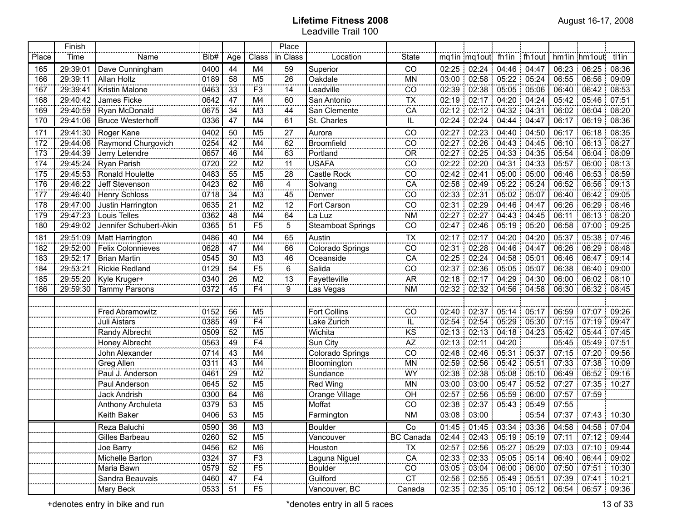|       | Finish   |                          |      |     |                 | Place          |                          |                             |               |                                 |                   |                         |       |                     |                             |
|-------|----------|--------------------------|------|-----|-----------------|----------------|--------------------------|-----------------------------|---------------|---------------------------------|-------------------|-------------------------|-------|---------------------|-----------------------------|
| Place | Time     | Name                     | Bib# | Age | Class           | in Class       | Location                 | <b>State</b>                |               | mq1in mq1out fh1in fh1out       |                   |                         |       | hm1in hm1out tl1in  |                             |
| 165   | 29:39:01 | Dave Cunningham          | 0400 | 44  | M4              | $\frac{59}{2}$ | Superior                 | CO                          | 02:25 02:24   |                                 | 04:46 04:47       |                         |       | 06:23 06:25         | 08:36                       |
| 166   | 29:39:11 | Allan Holtz              | 0189 | 58  | M <sub>5</sub>  | 26             | Oakdale                  | <b>MN</b>                   | 03:00 02:58   |                                 | $05:22$ 05:24     |                         |       | 06:55 06:56         | 09:09                       |
| 167   | 29:39:41 | Kristin Malone           | 0463 | 33  | F <sub>3</sub>  | 14             | Leadville                | CO                          | 02:39   02:38 |                                 | 05:05 05:06       |                         |       | 06:40 06:42 08:53   |                             |
| 168   | 29:40:42 | James Ficke              | 0642 | 47  | M4              | 60             | San Antonio              | $\overline{TX}$             | 02:19   02:17 |                                 | $04:20$ 04:24     |                         |       | 05:42 05:46         | 107:51                      |
| 169   | 29:40:59 | Ryan McDonald            | 0675 | 34  | M <sub>3</sub>  | 44             | San Clemente             | CA                          |               | 02:12 02:12 04:32 04:31         |                   |                         |       | 06:02 06:04         | 08:20                       |
| 170   | 29:41:06 | <b>Bruce Westerhoff</b>  | 0336 | 47  | M4              | 61             | St. Charles              | IL.                         | 02:24         | 02:24                           | 04:44             | 04:47                   |       | 06:17 06:19         | 08:36                       |
| 171   | 29:41:30 | Roger Kane               | 0402 | 50  | M <sub>5</sub>  | 27             | Aurora                   | CO                          | 02:27         | 02:23                           | 04:40             | 04:50                   | 06:17 | 06:18<br>÷.         | 08:35                       |
| 172   | 29:44:06 | Raymond Churgovich       | 0254 | 42  | M4              | 62             | <b>Broomfield</b>        | CO                          | 02:27         | 02:26                           |                   | 04:43 04:45             |       | 06:10 06:13         | 08:27                       |
| 173   | 29:44:39 | Jerry Letendre           | 0657 | 46  | M4              | 63             | Portland                 | <b>OR</b>                   | 02:27         | 02:25                           |                   | 04:33   04:35           | 05:54 | 06:04               | 08:09                       |
| 174   | 29:45:24 | Ryan Parish              | 0720 | 22  | M <sub>2</sub>  | 11             | <b>USAFA</b>             | CO                          | 02:22         | 02:20                           |                   | 04:31 04:33             |       | 05:57 06:00         | 08:13                       |
| 175   | 29:45:53 | Ronald Houlette          | 0483 | 55  | M <sub>5</sub>  | 28             | Castle Rock              | CO                          | 02:42         | 02:41                           |                   | 05:00 05:00             |       | 06:46 06:53         | 08:59                       |
| 176   | 29:46:22 | Jeff Stevenson           | 0423 | 62  | M <sub>6</sub>  | 4<br>ooceee    | Solvang                  | CA                          | 02:58 02:49   |                                 | 05:22 05:24       |                         |       | 06:52 06:56         | 09:13                       |
| 177   | 29:46:40 | <b>Henry Schloss</b>     | 0718 | 34  | M <sub>3</sub>  | 45             | Denver                   | CO                          | 02:33         | 02:31                           | 05:02 05:07       |                         |       | 06:40 06:42         | .09:05                      |
| 178   | 29:47:00 | Justin Harrington        | 0635 | 21  | M <sub>2</sub>  | 12             | Fort Carson              | CO                          | 02:31         | 02:29                           | 04:46 04:47       |                         |       | 06:26 06:29         | 08:46                       |
| 179   | 29:47:23 | Louis Telles             | 0362 | 48  | M4              | 64             | La Luz                   | <b>NM</b>                   | 02:27         | 02:27                           |                   | 04:43   04:45           | 06:11 | 06:13               | 08:20                       |
| 180   | 29:49:02 | Jennifer Schubert-Akin   | 0365 | 51  | F <sub>5</sub>  | 5              | <b>Steamboat Springs</b> | CO                          | 02:47         |                                 | 02:46 05:19 05:20 |                         |       | 06:58 07:00 09:25   |                             |
| 181   | 29:51:09 | Matt Harrington          | 0486 | 40  | M4              | 65             | Austin                   | $\overline{TX}$             |               | 02:17 02:17 04:20 04:20         |                   |                         |       | 05:37 05:38 07:46   |                             |
| 182   | 29:52:00 | <b>Felix Colonnieves</b> | 0628 | 47  | M4              | 66             | Colorado Springs         | $\overline{co}$             | 02:31         | 02:28                           | 04:46             | 04:47                   | 06:26 | 06:29               | 08:48                       |
| 183   | 29:52:17 | <b>Brian Martin</b>      | 0545 | 30  | M <sub>3</sub>  | 46<br>.        | Oceanside                | CA                          | 02:25 02:24   |                                 | 04:58 05:01       |                         | 06:46 | 06.47               | 09:14                       |
| 184   | 29:53:21 | <b>Rickie Redland</b>    | 0129 | 54  | F <sub>5</sub>  | 6              | Salida                   | CO                          | 02:37         | 02:36                           | 05:05             | 05:07                   |       | 06:38 06:40 09:00   |                             |
| 185   | 29:55:20 | Kyle Kruger+             | 0340 | 26  | M <sub>2</sub>  | ببب<br>13<br>  | Fayetteville             | <b>AR</b>                   | 02:18 02:17   |                                 | $04:29$ 04:30     |                         |       | 06.00 06.02 08:10   |                             |
| 186   | 29:59:30 | <b>Tammy Parsons</b>     | 0372 | 45  | $\overline{F4}$ | 9              | Las Vegas                | <b>NM</b>                   |               | 02:32 02:32 04:56 04:58         |                   |                         |       | 06:30 06:32 08:45   |                             |
|       |          |                          |      |     |                 |                |                          |                             |               |                                 |                   |                         |       |                     |                             |
|       |          | Fred Abramowitz          | 0152 | 56  | M <sub>5</sub>  |                | Fort Collins             | CO                          | 02:40   02:37 |                                 | $05:14$ 05:17     |                         |       | 06:59 07:07 09:26   |                             |
|       |          | Juli Aistars             | 0385 | 49  | F <sub>4</sub>  |                | Lake Zurich              | $\frac{1}{K}$               | 02:54 02:54   |                                 | 05:29 05:30       |                         |       | 07:15 07:19 09:47   |                             |
|       |          | Randy Albrecht           | 0509 | 52  | M <sub>5</sub>  |                | Wichita                  |                             | $02:13$ 02:13 |                                 | 04:18:04:23       |                         |       | 05:42:05:44         | 07:45                       |
|       |          | Honey Albrecht           | 0563 | 49  | F <sub>4</sub>  |                | Sun City                 | $\overline{AZ}$             | $02:13$ 02:11 |                                 | 04:20             |                         |       | 05:45 05:49 07:51   |                             |
|       |          | John Alexander           | 0714 | 43  | M4              |                | Colorado Springs         | CO                          | 02:48 02:46   |                                 | 05:31:05:37       |                         |       | 07:15 07:20 09:56   |                             |
|       |          | Greg Allen               | 0311 | 43  | M4              |                | Bloomington              | <b>MN</b>                   | 02:59 02:56   |                                 | 05:42:05:51       |                         |       | $07:33$ 07:38 10:09 |                             |
|       |          | Paul J. Anderson         | 0461 | 29  | M <sub>2</sub>  |                | Sundance                 | WY                          | 02:38 02:38   |                                 | 05:08 05:10       |                         |       | 06:49 06:52 09:16   |                             |
|       |          | Paul Anderson            | 0645 | 52  | M <sub>5</sub>  |                | Red Wing                 | <b>MN</b>                   | 03:00   03:00 |                                 | 05:47 05:52       |                         |       |                     | 07:27 07:35 10:27           |
|       |          | Jack Andrish             | 0300 | 64  | M <sub>6</sub>  |                | Orange Village           | OH                          | 02:57   02:56 |                                 | 05:59:06:00       |                         |       | 07:57 07:59         |                             |
|       |          | Anthony Archuleta        | 0379 | 53  | M <sub>5</sub>  |                | Moffat                   | $\overline{CO}$             |               | 02:38 02:37 05:43 05:49         |                   |                         | 07:55 |                     |                             |
|       |          | Keith Baker              | 0406 | 53  | M <sub>5</sub>  |                | Farmington               | <b>NM</b>                   |               | 03:08 03:00                     |                   | 05:54                   |       | 07:37 07:43 10:30   |                             |
|       |          | Reza Baluchi             | 0590 | 36  | M3              |                | Boulder                  | $\overline{\phantom{a}}$ Co |               |                                 |                   | 01:45 01:45 03:34 03:36 |       |                     | 04:58 04:58 07:04           |
|       |          | Gilles Barbeau           | 0260 | 52  | M5              |                | Vancouver                | <b>BC Canada</b>            |               | $02:44$   02:43   05:19   05:19 |                   |                         |       |                     | $07:11$   $07:12$   $09:44$ |
|       |          | Joe Barry                | 0456 | 62  | M <sub>6</sub>  |                | Houston                  | <b>TX</b>                   |               | 02:57 02:56 05:27 05:29         |                   |                         |       |                     | $07:03$   $07:10$   $09:44$ |
|       |          | Michelle Barton          | 0324 | 37  | F3              |                | Laguna Niguel            | CA                          |               | 02:33 02:33 05:05 05:14         |                   |                         |       |                     | 06:40 06:44 09:02           |
|       |          | Maria Bawn               | 0579 | 52  | E5              |                | <b>Boulder</b>           | CO                          |               | 03:05 03:04 06:00 06:00         |                   |                         |       |                     | 07:50 07:51 10:30           |
|       |          | Sandra Beauvais          | 0460 | 47  | F <sub>4</sub>  |                | Guilford                 | <b>CT</b>                   |               | 02:56 02:55 05:49 05:51         |                   |                         |       |                     | 07:39 07:41 10:21           |
|       |          | Mary Beck                | 0533 | 51  | F <sub>5</sub>  |                | Vancouver, BC            | Canada                      |               | 02:35 02:35 05:10 05:12         |                   |                         |       |                     | 06:54   06:57   09:36       |

+denotes entry in bike and run the same of 33 of 33 and the state of 33 of 33 of 33 of 33 of 33 of 33 of 33 of 33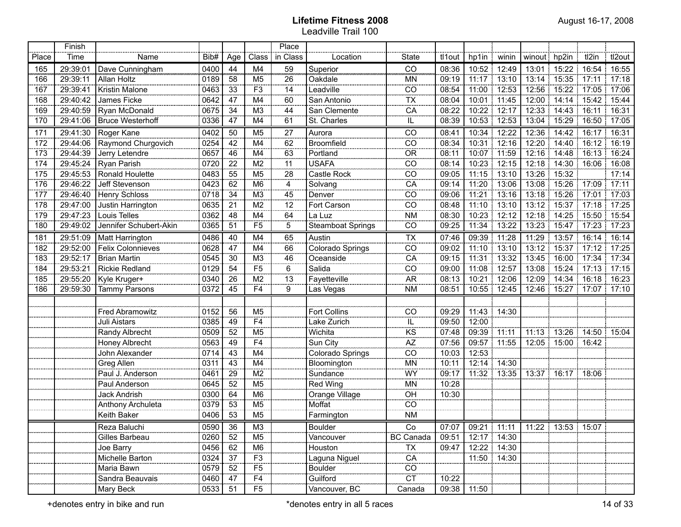|       | Finish   |                          |         |     |                 | Place           |                          |                             |        |               |             |              |                   |                                               |         |
|-------|----------|--------------------------|---------|-----|-----------------|-----------------|--------------------------|-----------------------------|--------|---------------|-------------|--------------|-------------------|-----------------------------------------------|---------|
| Place | Time     | Name                     | Bib#    | Age | Class           | in Class        | Location                 | State                       | tl1out | hp1in         | winin       | winout hp2in |                   | tl2in                                         | tl2out  |
| 165   | 29:39:01 | Dave Cunningham          | 0400    | 44  | M4              | $\overline{59}$ | Superior                 | ĈÕ                          | 08:36  | 10:52 12:49   |             | 13:01        | 15.22             | 16:54                                         | 16:55   |
| 166   | 29:39:11 | <b>Allan Holtz</b>       | 0189    | 58  | M <sub>5</sub>  | 26              | Oakdale                  | MN                          | 09:19  | 11:17 13:10   |             |              |                   | 13:14   15:35   17:11   17:18                 |         |
| 167   | 29:39:41 | Kristin Malone           | 0463    | 33  | F <sub>3</sub>  | 14              | Leadville                | CO                          | 08:54  | 11:00 12:53   |             | 12:56        | $15:22$ 17:05     |                                               | : 17:06 |
| 168   | 29:40:42 | James Ficke              | 0642    | 47  | M4              | 60              | San Antonio              | $\overline{TX}$             | 08:04  | 10:01 11:45   |             |              |                   | 12:00 14:14 15:42 15:44                       |         |
| 169   | 29:40:59 | Ryan McDonald            | 0675    | 34  | M <sub>3</sub>  | 44              | San Clemente             | CA                          | 08:22  | 10:22 12:17   |             | 12:33        | $14:43$ 16:11     |                                               | 16:31   |
| 170   | 29:41:06 | <b>Bruce Westerhoff</b>  | 0336    | 47  | M4              | 61              | St. Charles              | IL.                         | 08:39  | 10:53         | 12:53       | 13:04        | 15:29             | 16:50                                         | 17:05   |
| 171   | 29:41:30 | Roger Kane               | 0402    | 50  | M <sub>5</sub>  | 27              | Aurora                   | CO                          | 08:41  | 10:34         | 12:22       | 12:36        | 14:42             | 16:17                                         | 16:31   |
| 172   | 29:44:06 | Raymond Churgovich       | 0254    | 42  | M4              | 62              | <b>Broomfield</b>        | CO                          | 08:34  | 10:31 12:16   |             | 12:20        | 14:40             | 16:12                                         | 16:19   |
| 173   | 29:44:39 | Jerry Letendre           | 0657    | 46  | M4              | 63              | Portland                 | <b>OR</b>                   | 08:11  | 10:07 11:59   |             | 12:16        | 14:48             | 16:13                                         | 16:24   |
| 174   | 29:45:24 | Ryan Parish              | 0720    | 22  | M <sub>2</sub>  | 11              | <b>USAFA</b>             | CO                          | 08:14  | 10:23         | 12:15       | 12:18        | $14:30$ 16:06     |                                               | 16:08   |
| 175   | 29:45:53 | Ronald Houlette          | 0483    | 55  | M <sub>5</sub>  | 28              | Castle Rock              | CO                          | 09:05  | 11:15         | 13:10       | 13:26        | 15:32             |                                               | 17:14   |
| 176   | 29:46:22 | Jeff Stevenson           | 0423    | 62  | M <sub>6</sub>  | 4<br>oocoo      | Solvang                  | CA                          | 09:14  | 11:20         | 13:06       | 13:08        | 15:26             | 17:09                                         | 17:11   |
| 177   | 29:46:40 | <b>Henry Schloss</b>     | 0718    | 34  | M <sub>3</sub>  | 45              | Denver                   | CO                          | 09:06  | 11:21         | 13:16<br>÷. | 13:18        | 15:26             | 17:01                                         | 17:03   |
| 178   | 29:47:00 | Justin Harrington        | 0635    | 21  | M <sub>2</sub>  | 12              | Fort Carson              | CO                          | 08:48  | 11:10         | 13:10       | 13:12        | $15:37$ 17:18     |                                               | 17:25   |
| 179   | 29:47:23 | Louis Telles             | 0362    | 48  | M4              | 64              | La Luz                   | <b>NM</b>                   | 08:30  | 10:23         | 12:12       | 12:18        | 14:25             | 15:50                                         | 15:54   |
| 180   | 29:49:02 | Jennifer Schubert-Akin   | 0365    | 51  | F <sub>5</sub>  | 5               | <b>Steamboat Springs</b> | CO                          | 09:25  | 11:34 13:22   |             | 13:23        | 15:47             | 17:23<br>Ť.                                   | 17:23   |
| 181   | 29:51:09 | Matt Harrington          | 0486    | 40  | M4              | 65              | Austin                   | <b>TX</b>                   | 07:46  | 09:39 11:28   |             | 11:29        | $13:57$ 16:14     |                                               | 16:14   |
| 182   | 29:52:00 | <b>Felix Colonnieves</b> | 0628    | 47  | M4              | 66              | Colorado Springs         | CO                          | 09:02  | 11:10 13:10   |             | 13:12        | 15:37             | 17:12                                         | 17:25   |
| 183   | 29:52:17 | <b>Brian Martin</b>      | 0545    | 30  | M <sub>3</sub>  | 46<br>          | Oceanside                | $\overline{CA}$             | 09:15  | 11:31         | 13:32       | 13:45        | 16:00             | 17:34                                         | 17:34   |
| 184   | 29:53:21 | <b>Rickie Redland</b>    | 0129    | 54  | $\overline{F5}$ | 6               | Salida                   | CO                          | 09:00  | 11:08         | 12:57<br>÷. | 13:08        | 15:24             | 17:13                                         | 17:15   |
| 185   | 29:55:20 | Kyle Kruger+             | 0340    | 26  | M2              | $\overline{13}$ | Fayetteville             | A <sub>R</sub>              | 08:13  | 10:21         | 12:06<br>÷. |              | 12:09 14:34       | 16:18                                         | 16:23   |
| 186   | 29:59:30 | <b>Tammy Parsons</b>     | 0372    | 45  | $\overline{F4}$ | $\overline{9}$  | Las Vegas                | <b>NM</b>                   | 08:51  |               | 10:55 12:45 | 12:46        | 15.27             | 17:07:<br>÷.                                  | 17:10   |
|       |          |                          |         |     |                 |                 |                          |                             |        |               |             |              |                   |                                               |         |
|       |          | <b>Fred Abramowitz</b>   | 0152    | 56  | M <sub>5</sub>  |                 | <b>Fort Collins</b>      | CO                          | 09:29  |               | 11:43 14:30 |              |                   |                                               |         |
|       |          | Juli Aistars             | 0385    | 49  | F <sub>4</sub>  |                 | Lake Zurich              |                             | 09:50  | 12:00         |             |              |                   |                                               |         |
|       |          | Randy Albrecht           | 0509    | 52  | M <sub>5</sub>  |                 | Wichita                  | $rac{IL}{KS}$               | 07:48  | 09:39 11:11   |             |              |                   | 11:13 13:26 14:50 15:04                       |         |
|       |          | <b>Honey Albrecht</b>    | 0563    | 49  | F <sub>4</sub>  |                 | Sun City                 | $\overline{AZ}$             | 07:56  | 09:57 11:55   |             |              | 12:05 15:00 16:42 |                                               |         |
|       |          | John Alexander           | 0714    | 43  | M4              |                 | Colorado Springs         | CO                          | 10:03  | 12:53         |             |              |                   |                                               |         |
|       |          | Greg Allen               | 0311    | 43  | M4              |                 | Bloomington              | <b>MN</b>                   | 10:11  |               | 12:14 14:30 |              |                   |                                               |         |
|       |          | Paul J. Anderson         | 0461    | 29  | M <sub>2</sub>  |                 | Sundance                 | WY                          | 09:17  |               | 11:32 13:35 |              | 13:37 16:17 18:06 |                                               |         |
|       |          | Paul Anderson            | 0645    | 52  | M <sub>5</sub>  |                 | Red Wing                 | MN                          | 10:28  |               |             |              |                   |                                               |         |
|       |          | Jack Andrish             | 0300    | 64  | M <sub>6</sub>  |                 | Orange Village           | OH                          | 10:30  |               |             |              |                   |                                               |         |
|       |          | Anthony Archuleta        | 0379    | 53  | M <sub>5</sub>  |                 | Moffat                   | CO                          |        |               |             |              |                   |                                               |         |
|       |          | Keith Baker              | 0406    | 53  | M <sub>5</sub>  |                 | Farmington               | <b>NM</b>                   |        |               |             |              |                   |                                               |         |
|       |          | Reza Baluchi             | 0590 36 |     | M3              |                 | Boulder                  | $\overline{\phantom{a}}$ Co |        |               |             |              |                   | 07:07   09:21   11:11   11:22   13:53   15:07 |         |
|       |          | Gilles Barbeau           | 0260    | 52  | M5              |                 | Vancouver                | <b>BC Canada</b>            | 09:51  | 12:17   14:30 |             |              |                   |                                               |         |
|       |          | Joe Barry                | 0456    | 62  | M6              |                 | Houston                  | <b>TX</b>                   | 09:47  | 12:22 14:30   |             |              |                   |                                               |         |
|       |          | Michelle Barton          | 0324    | 37  | F3              |                 | Laguna Niguel            | CA                          |        | 11:50 14:30   |             |              |                   |                                               |         |
|       |          | Maria Bawn               | 0579    | 52  | F5              |                 | <b>Boulder</b>           | $\overline{c}$              |        |               |             |              |                   |                                               |         |
|       |          | Sandra Beauvais          | 0460    | 47  | F <sub>4</sub>  |                 | Guilford                 | <b>CT</b>                   | 10:22  |               |             |              |                   |                                               |         |
|       |          | Mary Beck                | 0533    | 51  | F <sub>5</sub>  |                 | Vancouver, BC            | Canada                      |        | 09:38 11:50   |             |              |                   |                                               |         |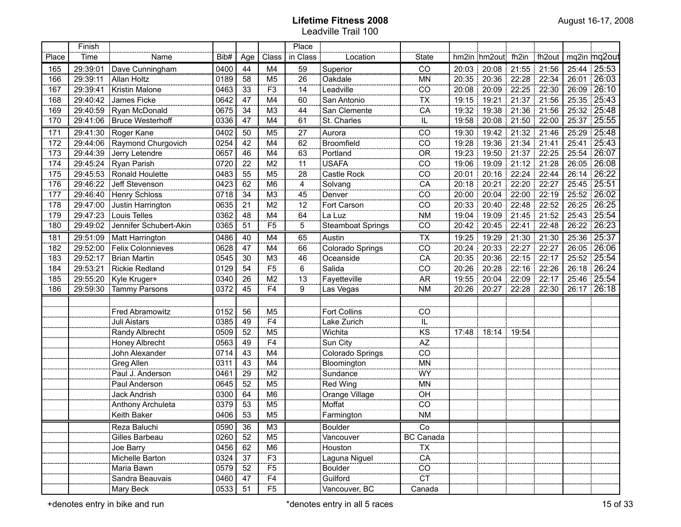|       | Finish   |                          |      |                 |                 | Place           |                          |                                   |       |                               |                   |             |       |                   |
|-------|----------|--------------------------|------|-----------------|-----------------|-----------------|--------------------------|-----------------------------------|-------|-------------------------------|-------------------|-------------|-------|-------------------|
| Place | Time     | Name                     | Bib# | Age             | Class           | in Class        | Location                 | State                             |       | hm2in hm2out fh2in            |                   | ∶fh2out     |       | mq2in mq2out      |
| 165   | 29:39:01 | Dave Cunningham          | 0400 | 44              | M4              | 59              | Superior                 | ĈÕ                                | 20:03 | 20:08                         | 21:55             | 21:56       |       | 25:44 25:53       |
| 166   | 29:39:11 | Allan Holtz              | 0189 | 58              | M <sub>5</sub>  | 26              | Oakdale                  | <b>MN</b>                         |       | 20:35   20:36   22:28   22:34 |                   |             |       | 26:01 26:03       |
| 167   | 29:39:41 | Kristin Malone           | 0463 | 33              | F <sub>3</sub>  | 14              | Leadville                | $\overline{\overline{\text{co}}}$ | 20:08 | 20:09<br>÷                    |                   | 22:25 22:30 |       | 26:09 26:10       |
| 168   | 29:40:42 | James Ficke              | 0642 | $\overline{47}$ | M4              | 60              | San Antonio              | $\overline{\mathsf{TX}}$          | 19:15 | 19:21                         |                   | 21:37 21:56 |       | 25:35 25:43       |
| 169   | 29:40:59 | Ryan McDonald            | 0675 | 34              | M3              | 44              | San Clemente             | CA                                | 19:32 | 19:38<br>÷                    |                   | 21:36 21:56 |       | 25:32 25:48       |
| 170   | 29:41:06 | <b>Bruce Westerhoff</b>  | 0336 | 47              | M4              | 61              | St. Charles              | IL                                | 19:58 |                               | 20:08 21:50 22:00 |             |       | 25:37 25:55       |
| 171   | 29:41:30 | Roger Kane               | 0402 | 50              | M <sub>5</sub>  | 27              | Aurora                   | CO                                | 19:30 | 19:42                         |                   | 21:32 21:46 |       | 25:29 25:48       |
| 172   | 29:44:06 | Raymond Churgovich       | 0254 | 42              | M4              | $\overline{62}$ | Broomfield               | $\overline{co}$                   | 19:28 | 19:36                         | 21:34 21:41<br>п. |             |       | 25:41 25:43       |
| 173   | 29:44:39 | Jerry Letendre           | 0657 | 46              | M4              | 63              | Portland                 | $\overline{OR}$                   | 19:23 | 19:50                         |                   | 21:37 22:25 | 25:54 | 126:07            |
| 174   | 29:45:24 | Ryan Parish              | 0720 | 22              | M <sub>2</sub>  | 11              | <b>USAFA</b>             | $\overline{CO}$                   | 19:06 | 19:09                         |                   | 21:12 21:28 |       | 26:05 26:08       |
| 175   | 29:45:53 | Ronald Houlette          | 0483 | $\overline{55}$ | M <sub>5</sub>  | $\overline{28}$ | Castle Rock              | $\overline{co}$                   | 20:01 | 20:16                         |                   | 22:24 22:44 | 26:14 | $\frac{1}{26.22}$ |
| 176   | 29:46:22 | Jeff Stevenson           | 0423 | 62              | M <sub>6</sub>  | 4               | Solvang                  | CA                                | 20:18 | 20:21                         |                   | 22:20 22:27 |       | 25:45 25:51       |
| 177   | 29:46:40 | <b>Henry Schloss</b>     | 0718 | 34              | M <sub>3</sub>  | 45              | Denver                   | $\overline{co}$                   | 20:00 | 20:04                         |                   | 22:00 22:19 |       | 25:52 26:02       |
| 178   | 29:47:00 | Justin Harrington        | 0635 | 21              | M2              | $\overline{12}$ | Fort Carson              | $\overline{co}$                   | 20:33 | 20:40                         |                   | 22:48 22:52 |       | 26:25 26:25       |
| 179   | 29:47:23 | Louis Telles             | 0362 | 48              | M4              | 64              | La Luz                   | $\overline{\text{NM}}$            | 19:04 | 19:09                         |                   | 21:45 21:52 |       | 25:43 25:54       |
| 180   | 29:49:02 | Jennifer Schubert-Akin   | 0365 | 51              | F <sub>5</sub>  | $\overline{5}$  | <b>Steamboat Springs</b> | CO                                | 20:42 | 20:45                         | 22:41             | 22:48<br>÷  |       | 26:22   26:23     |
| 181   | 29:51:09 | <b>Matt Harrington</b>   | 0486 | 40              | M4              | 65              | Austin                   | $\overline{TX}$                   | 19:25 | 19:29                         | 21:30             | 21:30<br>÷. |       | 25:36 25:37       |
| 182   | 29:52:00 | <b>Felix Colonnieves</b> | 0628 | 47              | M4              | 66              | Colorado Springs         | CO                                | 20:24 | 20:33                         | 22:27             | 22:27       | 26:05 | 126:06            |
| 183   | 29:52:17 | <b>Brian Martin</b>      | 0545 | 30              | M <sub>3</sub>  | 46              | Oceanside                | CA                                | 20:35 | 20:36                         | 22:15             | 22:17       |       | 25:52 25:54       |
| 184   | 29:53:21 | <b>Rickie Redland</b>    | 0129 | 54              | F <sub>5</sub>  | 6               | Salida                   | $\overline{C}$                    | 20:26 | 20:28                         | 22:16             | 22:26<br>Ŧ. |       | 26:18 26:24       |
| 185   | 29:55:20 | Kyle Kruger+             | 0340 | 26              | M <sub>2</sub>  | 13              | Fayetteville             | <b>AR</b>                         | 19:55 | 20:04                         | 22:09             | 22:17       |       | 25:46 25:54       |
| 186   | 29:59:30 | <b>Tammy Parsons</b>     | 0372 | 45              | F4              | 9               | Las Vegas                | <b>NM</b>                         |       | 20:26 20:27                   |                   | 22:28 22:30 |       | 26:17 26:18       |
|       |          |                          |      |                 |                 |                 |                          |                                   |       |                               |                   |             |       |                   |
|       |          | <b>Fred Abramowitz</b>   | 0152 | 56              | M5              |                 | Fort Collins             | $\overline{CO}$                   |       |                               |                   |             |       |                   |
|       |          | Juli Aistars             | 0385 | 49              | F4              |                 | Lake Zurich              | ïË                                |       |                               |                   |             |       |                   |
|       |          | Randy Albrecht           | 0509 | 52              | M5              |                 | Wichita                  | $\overline{\text{KS}}$            |       | 17:48 18:14 19:54             |                   |             |       |                   |
|       |          | Honey Albrecht           | 0563 | 49              | F4              |                 | Sun City                 | $\overline{AZ}$                   |       |                               |                   |             |       |                   |
|       |          | John Alexander           | 0714 | 43              | M4              |                 | Colorado Springs         | $\overline{co}$                   |       |                               |                   |             |       |                   |
|       |          | Greg Allen               | 0311 | 43              | M4              |                 | Bloomington              | $\overline{\text{MN}}$            |       |                               |                   |             |       |                   |
|       |          | Paul J. Anderson         | 0461 | $\overline{29}$ | M2              |                 | Sundance                 | WY                                |       |                               |                   |             |       |                   |
|       |          | Paul Anderson            | 0645 | 52              | M5              |                 | Red Wing                 | <b>MN</b>                         |       |                               |                   |             |       |                   |
|       |          | Jack Andrish             | 0300 | 64              | M6              |                 | Orange Village           | OH                                |       |                               |                   |             |       |                   |
|       |          | Anthony Archuleta        | 0379 | 53              | M <sub>5</sub>  |                 | Moffat                   | $\overline{CO}$                   |       |                               |                   |             |       |                   |
|       |          | Keith Baker              | 0406 | 53              | M <sub>5</sub>  |                 | Farmington               | <b>NM</b>                         |       |                               |                   |             |       |                   |
|       |          | Reza Baluchi             | 0590 | 36              | M3              |                 | Boulder                  | Co                                |       |                               |                   |             |       |                   |
|       |          | Gilles Barbeau           | 0260 | 52              | M <sub>5</sub>  |                 | Vancouver                | <b>BC</b> Canada                  |       |                               |                   |             |       |                   |
|       |          | Joe Barry                | 0456 | $\overline{62}$ | M6              |                 | Houston                  | TX                                |       |                               |                   |             |       |                   |
|       |          | Michelle Barton          | 0324 | $\overline{37}$ | $\overline{F3}$ |                 | Laguna Niguel            | $\overline{CA}$                   |       |                               |                   |             |       |                   |
|       |          | Maria Bawn               | 0579 | 52              | $\overline{F5}$ |                 | Boulder                  | $\overline{co}$                   |       |                               |                   |             |       |                   |
|       |          | Sandra Beauvais          | 0460 | $\overline{47}$ | F4              |                 | Guilford                 | $\overline{CT}$                   |       |                               |                   |             |       |                   |
|       |          | Mary Beck                | 0533 | 51              | $\overline{F5}$ |                 | Vancouver, BC            | Canada                            |       |                               |                   |             |       |                   |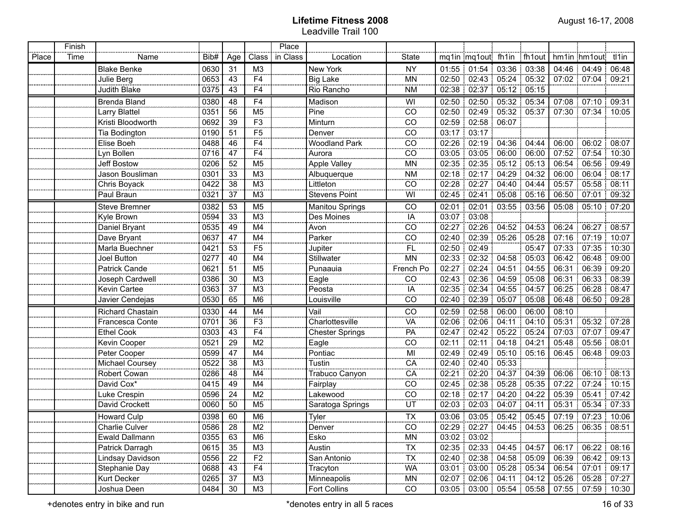|       | Finish |                      |      |                |                            | Place    |                        |                           |       |                                       |                    |             |       |                       |         |
|-------|--------|----------------------|------|----------------|----------------------------|----------|------------------------|---------------------------|-------|---------------------------------------|--------------------|-------------|-------|-----------------------|---------|
| Place | Time   | Name                 | Bib# | Age            | Class                      | in Class | Location               | State                     |       | mq1in mq1out fh1in fh1out             |                    |             |       | hm1in hm1out          | tl1in   |
|       |        | <b>Blake Benke</b>   | 0630 | 31             | M3                         |          | New York               | <b>NY</b>                 |       | $01:55$   $01:54$   $03:36$   $03:38$ |                    |             |       | 04:46 04:49 :         | 06:48   |
|       |        | Julie Berg           | 0653 | 43             | F <sub>4</sub>             |          | Big Lake               | <b>MN</b>                 |       | 02:50 02:43 05:24 05:32               |                    |             |       | 07:02 07:04 09:21     |         |
|       |        | Judith Blake         | 0375 | 43             | F <sub>4</sub>             |          | Rio Rancho             | <b>NM</b>                 |       | 02:38   02:37                         |                    | 05:12 05:15 |       |                       |         |
|       |        | <b>Brenda Bland</b>  | 0380 | 48             | F <sub>4</sub>             |          | Madison                | WI                        | 02:50 | 02:50                                 |                    | 05:32 05:34 |       | 07:08 07:10 09:31     |         |
|       |        | Larry Blattel        | 0351 | 56             | M <sub>5</sub>             |          | Pine                   | CO                        |       | 02:50 02:49                           | 05:32:05:37        |             |       | 07:30 07:34           | 10:05   |
|       |        | Kristi Bloodworth    | 0692 | 39             | F <sub>3</sub>             |          | Minturn                | CO                        |       | 02:59 02:58                           | 06:07              |             |       |                       |         |
|       |        | Tia Bodington        | 0190 | 51             | F <sub>5</sub><br>onen.    |          | Denver                 | $\frac{1}{100}$           |       | 03:17 03:17                           |                    |             |       |                       |         |
|       |        | Elise Boeh           | 0488 | 46             | F <sub>4</sub>             |          | <b>Woodland Park</b>   | $\frac{55}{50}$<br>       |       | 02:26 02:19 04:36 04:44               |                    |             | 06:00 | 06:02                 | 08:07   |
|       |        | Lyn Bollen           | 0716 | 47             | F <sub>4</sub>             |          | Aurora                 | CO                        |       | 03:05 03:05                           | $06:00$ 06:00      |             |       | 07:52 07:54           | 10:30   |
|       |        | <b>Jeff Bostow</b>   | 0206 | 52             | M <sub>5</sub>             |          | <b>Apple Valley</b>    | <b>MN</b>                 |       | 02:35 02:35                           | 05:12 05:13        |             |       | 06:54 06:56           | 09:49   |
|       |        | Jason Bousliman      | 0301 | 33             | M <sub>3</sub>             |          | Albuquerque            | <b>NM</b><br>------       |       | 02:18 02:17                           |                    | 04:29 04:32 |       | 06:00   06:04         | 08:17   |
|       |        | Chris Boyack         | 0422 | 38             | M <sub>3</sub>             |          | Littleton              | CO                        |       | 02:28 02:27                           | 04:40 04:44        |             |       | 05:57 05:58           | 08:11   |
|       |        | Paul Braun           | 0321 | 37             | M <sub>3</sub>             |          | <b>Stevens Point</b>   | WI                        |       | 02:45 02:41                           | $05.08 \div 05.16$ |             |       | 06:50 07:01           | 09:32   |
|       |        | <b>Steve Bremner</b> | 0382 | 53             | M <sub>5</sub>             |          | Manitou Springs        | CO                        |       | 02:01 02:01 03:55 03:56               |                    |             |       | $05:08$ 05:10         | 07:20   |
|       |        | Kyle Brown           | 0594 | 33             | M <sub>3</sub>             |          | Des Moines             | IA                        |       | 03:07 03:08                           |                    |             |       |                       |         |
|       |        | Daniel Bryant        | 0535 | 49             | M4                         |          | Avon<br>               | CO                        | 02:27 |                                       | 02:26:04:52:04:53  |             | 06:24 | 06:27                 | 08:57   |
|       |        | Dave Bryant          | 0637 | 47             | M4                         |          | Parker                 | CO                        |       | 02:40 02:39 05:26 05:28               |                    |             |       | $07:16$ 07:19         | 10:07   |
|       |        | Marla Buechner       | 0421 | 53             | F <sub>5</sub>             |          | Jupiter                | <b>FL</b>                 |       | 02:50 02:49                           |                    | 05:47       |       | 07:33 07:35           | : 10:30 |
|       |        | Joel Button          | 0277 | 40             | M4                         |          | Stillwater             | <b>MN</b>                 |       | 02:33 02:32 04:58 05:03               |                    |             | 06:42 | 06:48                 | 09:00   |
|       |        | Patrick Cande        | 0621 | 51             | M <sub>5</sub>             |          | Punaauia               | French Po                 |       | 02:27 02:24 04:51 04:55               |                    |             |       | 06:31 06:39           | 09:20   |
|       |        | Joseph Cardwell      | 0386 | 30             | M <sub>3</sub>             |          | Eagle                  | $\overline{C}$            |       | 02:43 02:36 04:59 05:08               |                    |             |       | 06:31 06:33           | 08:39   |
|       |        | Kevin Cartee         | 0363 | 37             | M <sub>3</sub>             |          | Peosta                 | IA                        |       | 02:35 02:34 04:55 04:57               |                    |             |       | 06:25 06:28 :         | 08:47   |
|       |        | Javier Cendejas      | 0530 | 65             | M <sub>6</sub>             |          | Louisville             | CO                        | 02:40 |                                       | 02:39 05:07 05:08  |             | 06:48 | 06:50                 | 09:28   |
|       |        | Richard Chastain     | 0330 | 44             | M4                         |          | Vail                   | CO                        | 02:59 | 02:58                                 | 06:00 06:00        |             | 08:10 |                       |         |
|       |        | Francesca Conte      | 0701 | 36             | F <sub>3</sub>             |          | Charlottesville        | VÄ                        |       | 02:06 02:06                           | 04:11 04:10        |             |       | 05:31 05:32           | 07:28   |
|       |        | <b>Ethel Cook</b>    | 0303 | 43             | F <sub>4</sub>             |          | <b>Chester Springs</b> | PA                        |       | 02:47 02:42                           | 105:22:05:24       |             |       | 07:03:07:07:          | 09:47   |
|       |        | Kevin Cooper         | 0521 | 29             | M <sub>2</sub>             |          | Eagle                  | CO                        | 02:11 | 02:11                                 | 04:18 04:21        |             |       | 05:48 05:56           | 08:01   |
|       |        | Peter Cooper         | 0599 | 47             | M4                         |          | Pontiac                | MI                        |       | 02:49 02:49                           | $05:10$ 05:16      |             |       | 06:45   06:48         | 09:03   |
|       |        | Michael Coursey      | 0522 | 38             | M3                         |          | Tustin                 | CA                        |       | 02:40:02:40                           | 05:33              |             |       |                       |         |
|       |        | Robert Cowan         | 0286 | 48             | M4                         |          | Trabuco Canyon         | CA                        |       | $02:21$ : 02:20                       | 104:37:04:39       |             | 06:06 | 106:10                | 08:13   |
|       |        | David Cox*           | 0415 | 49             | M <sub>4</sub>             |          | Fairplay               | CO                        |       | 02:45 02:38                           | 05:28:05:35        |             |       | $07:22$ 07:24         | 10:15   |
|       |        | Luke Crespin         | 0596 | 24             | M <sub>2</sub>             |          | Lakewood               | CO                        |       | 02:18 02:17 04:20 04:22               |                    |             |       | 05:39 05:41           | 07:42   |
|       |        | David Crockett       | 0060 | 50             | M <sub>5</sub>             |          | Saratoga Springs       | UT                        |       | 02:03 02:03 04:07 04:11               |                    |             |       | 05:31 05:34           | 07:33   |
|       |        | <b>Howard Culp</b>   | 0398 | 60             | M <sub>6</sub>             |          | Tyler                  | <b>TX</b>                 |       | 03:06 03:05 05:42 05:45               |                    |             |       | 07:19 07:23 10:06     |         |
|       |        | Charlie Culver       | 0586 | $\frac{28}{1}$ | M2                         |          | Denver                 | ------<br>$\frac{CO}{2}$  |       | 02:29 02:27 04:45 04:53               |                    |             |       | 06:25 06:35 08:51     |         |
|       |        | Ewald Dallmann       | 0355 | 63             | M6                         |          | Esko                   | MN                        |       | $03:02$   $03:02$                     |                    |             |       |                       |         |
|       |        | Patrick Darragh      | 0615 | 35             |                            |          | Austin                 | $\frac{1}{\overline{11}}$ |       | 02:35 02:33 04:45 04:57               |                    |             |       | 06:17 06:22 08:16     |         |
|       |        | Lindsay Davidson     | 0556 | 22             | $\frac{M3}{F2}$            |          | San Antonio            | $\frac{1}{\overline{11}}$ |       | 02:40 02:38 04:58 05:09               |                    |             |       | 06:39   06:42   09:13 |         |
|       |        | Stephanie Day        | 0688 | 43             | $\cdots$<br>F <sub>4</sub> |          | Tracyton               | ------<br>$W$ A           |       | 03:01 03:00 05:28 05:34               |                    |             |       | 06:54 07:01           | 09:17   |
|       |        | Kurt Decker          | 0265 | 37             | M3                         |          | Minneapolis            | MN                        |       | 02:07 02:06 04:11 04:12               |                    |             |       | 05:26 05:28 07:27     |         |
|       |        | Joshua Deen          | 0484 | 30             | M3                         |          | Fort Collins           | CO                        |       | 03:05 03:00 05:54 05:58               |                    |             |       | 07:55 07:59 10:30     |         |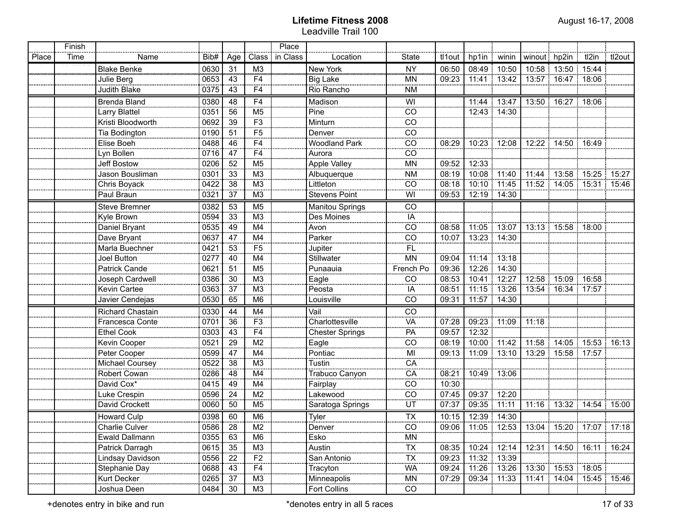|       | Finish |                      |                                                 |                 |                          | Place    |                        |                          |        |                   |               |                                       |                       |                               |        |
|-------|--------|----------------------|-------------------------------------------------|-----------------|--------------------------|----------|------------------------|--------------------------|--------|-------------------|---------------|---------------------------------------|-----------------------|-------------------------------|--------|
| Place | Time   | Name                 | Bib#                                            | Age             | Class                    | in Class | Location               | <b>State</b>             | tl1out | hp1in   winin     |               | winout hp2in                          |                       | tl2in                         | tl2out |
|       |        | <b>Blake Benke</b>   | 0630                                            | 31              | M <sub>3</sub>           |          | New York               | ÑŶ                       | 06:50  |                   | 08:49 10:50   |                                       | 10:58 13:50 15:44     |                               |        |
|       |        | Julie Berg           | 0653                                            | 43              | F4                       |          | Big Lake               | <b>MN</b>                | 09:23  |                   | $11:41$ 13:42 |                                       | 13:57 16:47 18:06     |                               |        |
|       |        | <b>Judith Blake</b>  | 0375                                            | 43              | F4                       |          | Rio Rancho             | <b>NM</b>                |        |                   |               |                                       |                       |                               |        |
|       |        | Brenda Bland         | 0380                                            | 48              | F <sub>4</sub>           |          | Madison                | WI                       |        |                   | 11:44 13:47   |                                       | 13:50 16:27 18:06     |                               |        |
|       |        | Larry Blattel        | 0351                                            | 56              | M <sub>5</sub>           |          | Pine                   | CO                       |        |                   | 12:43 14:30   |                                       |                       |                               |        |
|       |        | Kristi Bloodworth    | 0692                                            | 39              | F3                       |          | Minturn                | $\overline{C}$           |        |                   |               |                                       |                       |                               |        |
|       |        | Tia Bodington        | 0190                                            | 51              | $\overline{F5}$          |          | Denver                 | $\overline{c}$           |        |                   |               |                                       |                       |                               |        |
|       |        | Elise Boeh           | 0488                                            | 46              | $\overline{F4}$          |          | <b>Woodland Park</b>   | CO                       | 08:29  |                   | 10:23 12:08   |                                       | 12:22   14:50   16:49 |                               |        |
|       |        | Lyn Bollen           | 0716                                            | 47              | $\overline{F4}$          |          | Aurora                 | CO                       |        |                   |               |                                       |                       |                               |        |
|       |        | Jeff Bostow          | 0206                                            | 52              | M <sub>5</sub>           |          | <b>Apple Valley</b>    | <b>MN</b>                | 09:52  | 12:33             |               |                                       |                       |                               |        |
|       |        | Jason Bousliman      | 0301                                            | 33              | M <sub>3</sub>           |          | Albuquerque            | <b>NM</b>                | 08:19  | 10:08 11:40       |               |                                       |                       | 11:44   13:58   15:25   15:27 |        |
|       |        | Chris Boyack         | 0422                                            | 38              | M <sub>3</sub>           |          | Littleton              | CO                       | 08:18  | 10:10 11:45       |               |                                       |                       | 11:52 14:05 15:31 15:46       |        |
|       |        | Paul Braun           | 0321                                            | 37              | M <sub>3</sub>           |          | <b>Stevens Point</b>   | WI                       | 09:53  |                   | 12:19 14:30   |                                       |                       |                               |        |
|       |        | <b>Steve Bremner</b> | 0382                                            | 53              | M <sub>5</sub>           |          | <b>Manitou Springs</b> | $\overline{C}$           |        |                   |               |                                       |                       |                               |        |
|       |        | Kyle Brown           | 0594                                            | 33              | M <sub>3</sub>           |          | Des Moines             | $\overline{A}$           |        |                   |               |                                       |                       |                               |        |
|       |        | Daniel Bryant        | 0535                                            | 49              | M4                       |          | Avon                   | CO                       | 08:58  |                   |               | 11:05   13:07   13:13   15:58   18:00 |                       |                               |        |
|       |        | Dave Bryant          | 0637                                            | 47              | M4                       |          | Parker                 | CO                       | 10:07  |                   | 13:23 14:30   |                                       |                       |                               |        |
|       |        | Marla Buechner       | 0421                                            | 53              | F <sub>5</sub>           |          | Jupiter                | <b>FL</b>                |        |                   |               |                                       |                       |                               |        |
|       |        | Joel Button          | 0277                                            | 40              | M4                       |          | Stillwater             | <b>MN</b>                | 09:04  |                   | 11:14   13:18 |                                       |                       |                               |        |
|       |        | Patrick Cande        | 0621                                            | 51              | M <sub>5</sub>           |          | Punaauia               | French Po                | 09:36  |                   | 12:26 14:30   |                                       |                       |                               |        |
|       |        | Joseph Cardwell      | 0386                                            | 30              | M <sub>3</sub>           |          | Eagle                  | $\overline{C}$           | 08:53  |                   | 10:41 12:27   | 12:58:15:09:16:58                     |                       |                               |        |
|       |        | Kevin Cartee         | 0363                                            | 37              | M <sub>3</sub>           |          | Peosta                 | IA                       | 08:51  | 11:15 13:26       |               |                                       | 13:54   16:34   17:57 |                               |        |
|       |        | Javier Cendejas      | 0530                                            | 65              | M <sub>6</sub>           |          | Louisville             | CO                       | 09:31  |                   | 11:57 14:30   |                                       |                       |                               |        |
|       |        | Richard Chastain     | 0330                                            | 44              | M4                       |          | Vail                   | CO                       |        |                   |               |                                       |                       |                               |        |
|       |        | Francesca Conte      | 0701                                            | 36              | F3                       |          | Charlottesville        | <br>Vä                   | 07:28  |                   | 09:23 11:09   | 11:18                                 |                       |                               |        |
|       |        | <b>Ethel Cook</b>    | 0303                                            | 43              | $\overline{F4}$          |          | Chester Springs        | $\overline{PA}$          | 09:57  | 12:32             |               |                                       |                       |                               |        |
|       |        | Kevin Cooper         | 0521                                            | 29              | $\overline{M2}$          |          | $E$ agle               | $\overline{co}$          | 08:19  |                   | 10:00 11:42   |                                       |                       | 11:58 14:05 15:53 16:13       |        |
|       |        | Peter Cooper         | 0599                                            | 47              | $\overline{M4}$          |          | Pontiac                | $\overline{\mathsf{M}}$  | 09:13  |                   | $11:09$ 13:10 |                                       | 13:29 15:58 17:57     |                               |        |
|       |        | Michael Coursey      | 0522                                            | $\overline{38}$ | $\overline{M3}$          |          | Tustin                 | $\overline{CA}$          |        |                   |               |                                       |                       |                               |        |
|       |        | Robert Cowan         | 0286                                            | 48              | $\overline{\mathsf{M4}}$ |          | Trabuco Canyon         | $\overline{CA}$          | 08:21  |                   | 10:49 13:06   |                                       |                       |                               |        |
|       |        | David Cox*           | 0415                                            | 49              | $\overline{M4}$          |          | Fairplay               | $\overline{co}$          | 10:30  |                   |               |                                       |                       |                               |        |
|       |        | Luke Crespin         | 0596                                            | 24              | $\overline{M2}$          |          | Lakewood               | $\overline{co}$          | 07:45  | 09:37 12:20       |               |                                       |                       |                               |        |
|       |        | David Crockett       | 0060                                            | 50              | M <sub>5</sub>           |          | Saratoga Springs       | $\overline{UT}$          | 07:37  | 09:35 11:11       |               |                                       | 11:16 13:32 14:54     |                               | 15:00  |
|       |        | <b>Howard Culp</b>   | 0398                                            | 60              | M <sub>6</sub>           |          | Tyler                  | <b>TX</b>                |        | 10:15 12:39 14:30 |               |                                       |                       |                               |        |
|       |        | Charlie Culver       | $\begin{array}{c c}\n\hline\n0586\n\end{array}$ | 28              | M <sub>2</sub>           |          | Denver                 | $\overline{C}$           |        | 09:06 11:05 12:53 |               |                                       |                       | 13:04 15:20 17:07 17:18       |        |
|       |        | Ewald Dallmann       | 0355                                            | 63              | M6                       |          | Esko                   | MN                       |        |                   |               |                                       |                       |                               |        |
|       |        | Patrick Darragh      | 0615                                            | 35              |                          |          | Austin                 |                          | 08:35  |                   | 10:24 12:14   |                                       |                       | 12:31  14:50  16:11  16:24    |        |
|       |        | Lindsay Davidson     | 0556                                            | 22              | $\frac{M3}{F2}$          |          | San Antonio            | $rac{TX}{TX}$            | 09:23  |                   | 11:32   13:39 |                                       |                       |                               |        |
|       |        | Stephanie Day        | 0688                                            | 43              | F <sub>4</sub>           |          | Tracyton               | $\underline{\mathsf{W}}$ | 09:24  |                   | 11:26 13:26   |                                       |                       | 13:30  15:53  18:05           |        |
|       |        | Kurt Decker          | 0265                                            | 37              | M <sup>3</sup>           |          | Minneapolis            | MN                       | 07:29  | 09:34   11:33     |               |                                       |                       | 11:41  14:04  15:45  15:46    |        |
|       |        | Joshua Deen          | 0484                                            | 30              | M3                       |          | Fort Collins           | CO                       |        |                   |               |                                       |                       |                               |        |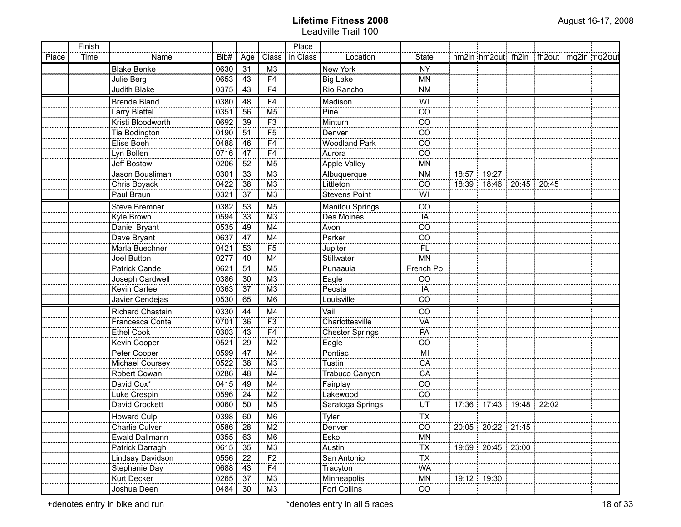|       | Finish |                      |      |                |                                  | Place    |                        |                 |                                          |  |  |
|-------|--------|----------------------|------|----------------|----------------------------------|----------|------------------------|-----------------|------------------------------------------|--|--|
| Place | Time   | Name                 | Bib# | Age            | Class                            | in Class | Location               | State           | hm2in hm2out fh2in fh2out   mq2in mq2out |  |  |
|       |        | <b>Blake Benke</b>   | 0630 | 31             | M3                               |          | New York               | ÑŶ              |                                          |  |  |
|       |        | Julie Berg           | 0653 | 43             | F <sub>4</sub>                   |          | <b>Big Lake</b>        | <b>MN</b>       |                                          |  |  |
|       |        | Judith Blake         | 0375 | 43             | F <sub>4</sub>                   |          | Rio Rancho             | <b>NM</b>       |                                          |  |  |
|       |        | <b>Brenda Bland</b>  | 0380 | 48             | F <sub>4</sub>                   |          | Madison                | WI              |                                          |  |  |
|       |        | Larry Blattel        | 0351 | 56             | M <sub>5</sub>                   |          | Pine                   | CO              |                                          |  |  |
|       |        | Kristi Bloodworth    | 0692 | 39             | $\overline{F3}$                  |          | Minturn                | CO              |                                          |  |  |
|       |        | Tia Bodington        | 0190 | 51             | $\overline{F5}$                  |          | Denver                 | CO              |                                          |  |  |
|       |        | Elise Boeh           | 0488 | 46             | F <sub>4</sub>                   |          | <b>Woodland Park</b>   | CO              |                                          |  |  |
|       |        | Lyn Bollen           | 0716 | 47             | F4                               |          | Aurora                 | CO              |                                          |  |  |
|       |        | Jeff Bostow          | 0206 | 52             | M <sub>5</sub>                   |          | <b>Apple Valley</b>    | <b>MN</b>       |                                          |  |  |
|       |        | Jason Bousliman      | 0301 | 33             | M <sub>3</sub>                   |          | Albuquerque            | <b>NM</b>       | 18:57   19:27                            |  |  |
|       |        | Chris Boyack         | 0422 | 38             | M <sub>3</sub>                   |          | Littleton              | CO              | 18:39   18:46   20:45   20:45            |  |  |
|       |        | Paul Braun           | 0321 | 37             | M3                               |          | <b>Stevens Point</b>   | WI              |                                          |  |  |
|       |        | <b>Steve Bremner</b> | 0382 | 53             | M <sub>5</sub>                   |          | <b>Manitou Springs</b> | $\overline{C}$  |                                          |  |  |
|       |        | Kyle Brown           | 0594 | 33             | M3                               |          | Des Moines             | IA              |                                          |  |  |
|       |        | Daniel Bryant        | 0535 | 49             | M4                               |          | Avon                   | CO              |                                          |  |  |
|       |        | Dave Bryant          | 0637 | 47             | M4                               |          | Parker                 | $\overline{C}$  |                                          |  |  |
|       |        | Marla Buechner       | 0421 | 53             | F <sub>5</sub>                   |          | Jupiter                | FL              |                                          |  |  |
|       |        | Joel Button          | 0277 | 40             | M4                               |          | Stillwater             | MN              |                                          |  |  |
|       |        | Patrick Cande        | 0621 | 51             | M <sub>5</sub>                   |          | Punaauia               | French Po       |                                          |  |  |
|       |        | Joseph Cardwell      | 0386 | 30             | M3                               |          | Eagle                  | CO              |                                          |  |  |
|       |        | Kevin Cartee         | 0363 | 37             | M3                               |          | Peosta                 | IA              |                                          |  |  |
|       |        | Javier Cendejas      | 0530 | 65             | M <sub>6</sub>                   |          | Louisville             | CO              |                                          |  |  |
|       |        | Richard Chastain     | 0330 | 44             | M4                               |          | Vail                   | CO              |                                          |  |  |
|       |        | Francesca Conte      | 0701 | 36             | F <sub>3</sub>                   |          | Charlottesville        | VA              |                                          |  |  |
|       |        | <b>Ethel Cook</b>    | 0303 | 43             | F4                               |          | <b>Chester Springs</b> | PA              |                                          |  |  |
|       |        | Kevin Cooper         | 0521 | 29             | M <sub>2</sub>                   |          | Eagle                  | CO              |                                          |  |  |
|       |        | Peter Cooper         | 0599 | 47             | M4                               |          | Pontiac                | MI              |                                          |  |  |
|       |        | Michael Coursey      | 0522 | 38             | M <sub>3</sub>                   |          | Tustin                 | CA              |                                          |  |  |
|       |        | Robert Cowan         | 0286 | 48             | M4                               |          | Trabuco Canyon         | CA              |                                          |  |  |
|       |        | David Cox*           | 0415 | 49             | M4                               |          | Fairplay               | CO              |                                          |  |  |
|       |        | Luke Crespin         | 0596 | 24             | M <sub>2</sub>                   |          | Lakewood               | CO              |                                          |  |  |
|       |        | David Crockett       | 0060 | 50             | M <sub>5</sub>                   |          | Saratoga Springs       | UT              | 17:36 17:43 19:48 22:02                  |  |  |
|       |        | <b>Howard Culp</b>   | 0398 | 60             | M <sub>6</sub>                   |          | Tyler                  | <b>TX</b>       |                                          |  |  |
|       |        | Charlie Culver       | 0586 | $\frac{28}{2}$ | M2                               |          | Denver                 | $\overline{c}$  | 20:05   20:22   21:45                    |  |  |
|       |        | Ewald Dallmann       | 0355 | 63             | M6                               |          | Esko                   |                 |                                          |  |  |
|       |        | Patrick Darragh      | 0615 | 35             | M <sub>3</sub><br>$\frac{1}{12}$ |          | Austin                 | $\frac{MN}{TX}$ | 19:59   20:45   23:00                    |  |  |
|       |        | Lindsay Davidson     | 0556 | 22             |                                  |          | San Antonio            |                 |                                          |  |  |
|       |        | Stephanie Day        | 0688 | 43             | F <sub>4</sub>                   |          | Tracyton               | WA              |                                          |  |  |
|       |        | Kurt Decker          | 0265 | 37             | M3                               |          | Minneapolis            | MN              | $19:12$ 19:30                            |  |  |
|       |        | Joshua Deen          | 0484 | 30             | ΜЗ                               |          | <b>Fort Collins</b>    | CO              |                                          |  |  |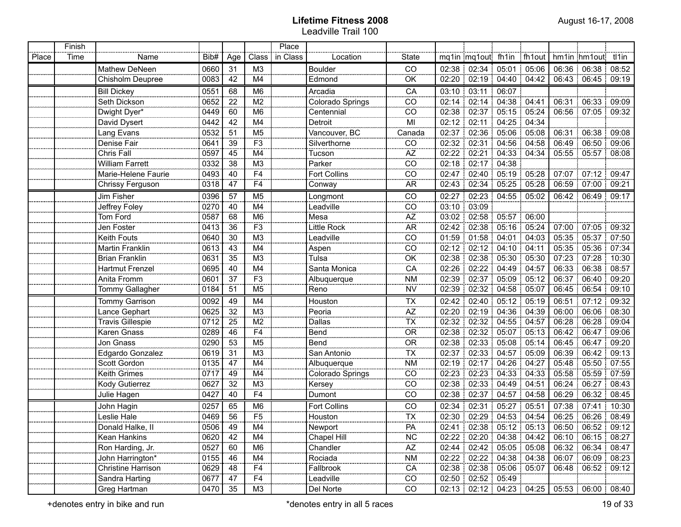|       | Finish |                           |      |                 |                 | Place    |                     |                                     |             |                         |                   |            |       |                       |       |
|-------|--------|---------------------------|------|-----------------|-----------------|----------|---------------------|-------------------------------------|-------------|-------------------------|-------------------|------------|-------|-----------------------|-------|
| Place | Time   | Name                      | Bib# | Age             | Class           | in Class | Location            | <b>State</b>                        |             | mq1in mq1out fh1in      |                   | $ $ fh1out |       | hm1in hm1out tl1in    |       |
|       |        | Mathew DeNeen             | 0660 | 31              | M <sub>3</sub>  |          | <b>Boulder</b>      | CO                                  |             | 02:38 02:34             | $05:01$ 05:06     |            |       | 06:36 06:38           | 08:52 |
|       |        | Chisholm Deupree          | 0083 | 42              | M4              |          | Edmond              | OK                                  |             | 02:20 02:19 04:40 04:42 |                   |            |       | 06:43 06:45 09:19     |       |
|       |        | <b>Bill Dickey</b>        | 0551 | 68              | M <sub>6</sub>  |          | Arcadia             | CA                                  | 03:10       | 103:11                  | 06:07             |            |       |                       |       |
|       |        | Seth Dickson              | 0652 | 22              | M <sub>2</sub>  |          | Colorado Springs    | CO                                  |             | 02:14 02:14             | $04:38$ 04:41     |            |       | 06:31 06:33           | 09:09 |
|       |        | Dwight Dyer*              | 0449 | 60              | M <sub>6</sub>  |          | Centennial          | CO                                  |             | 02:38 02:37 05:15 05:24 |                   |            |       | 06:56 07:05           | 09:32 |
|       |        | David Dysert              | 0442 | 42              | M4              |          | Detroit             | MI                                  |             | 02:12 02:11             | 04:25 04:34       |            |       |                       |       |
|       |        | Lang Evans                | 0532 | 51              | M <sub>5</sub>  |          | Vancouver, BC       | Canada                              |             | 02:37 02:36             | $05.06$ 05:08     |            | 06:31 | 06:38                 | 09:08 |
|       |        | Denise Fair               | 0641 | 39              | F <sub>3</sub>  |          | Silverthorne        | CO                                  |             | 02:32 02:31             | .04:56:04:58      |            |       | 06:49 06:50           | 09:06 |
|       |        | Chris Fall                | 0597 | 45              | M4              |          | Tucson              | AZ                                  | 02:22 02:21 |                         | 04:33 04:34       |            |       | 05:55 05:57           | 08:08 |
|       |        | William Farrett           | 0332 | 38              | M <sub>3</sub>  |          | Parker              | CO                                  |             | 02:18 02:17             | 04:38             |            |       |                       |       |
|       |        | Marie-Helene Faurie       | 0493 | 40              | F <sub>4</sub>  |          | <b>Fort Collins</b> | CO                                  |             | 02:47 02:40 05:19 05:28 |                   |            |       | 07:07   07:12         | 09:47 |
|       |        | Chrissy Ferguson          | 0318 | 47              | F <sub>4</sub>  |          | Conway              | <b>AR</b>                           |             | 02:43 02:34 05:25 05:28 |                   |            |       | 06:59 07:00           | 09:21 |
|       |        | Jim Fisher                | 0396 | 57              | M <sub>5</sub>  |          | Longmont            | CO                                  |             | 02:27 02:23 04:55 05:02 |                   |            |       | 06:42 06:49           | 09:17 |
|       |        | Jeffrey Foley             | 0270 | 40              | M4              |          | Leadville           | CO                                  |             | 03:10 03:09             |                   |            |       |                       |       |
|       |        | Tom Ford                  | 0587 | 68              | M <sub>6</sub>  |          | Mesa                | AZ                                  |             | 03:02 02:58 05:57 06:00 |                   |            |       |                       |       |
|       |        | Jen Foster                | 0413 | 36              | F3              |          | Little Rock         | <b>AR</b>                           |             | 02:42 02:38             | $105:16$ 05:24    |            | 07:00 | 07:05                 | 09:32 |
|       |        | Keith Fouts               | 0640 | 30              | $\overline{M3}$ |          | Leadville           | CO                                  |             | 01:59 01:58             | $104:01$ 04:03    |            | 05:35 | 05:37                 | 07:50 |
|       |        | <b>Martin Franklin</b>    | 0613 | $\overline{43}$ | $\overline{M4}$ |          | Aspen               | CO                                  |             | 02:12 02:12 04:10 04:11 |                   |            | 05:35 | 05:36                 | 07:34 |
|       |        | <b>Brian Franklin</b>     | 0631 | 35              | M <sub>3</sub>  |          | Tulsa               | OK                                  | 02:38       |                         | 02:38 05:30 05:30 |            | 07:23 | 07:28                 | 10:30 |
|       |        | <b>Hartmut Frenzel</b>    | 0695 | 40              | M4              |          | Santa Monica        | CA                                  | 02:26       | $02:22$ 04:49 04:57     |                   |            | 06:33 | 06:38                 | 08:57 |
|       |        | Anita Fromm               | 0601 | 37              | F3              |          | Albuquerque         | <b>NM</b>                           |             | 02:39 02:37 05:09 05:12 |                   |            | 06:37 | 06:40                 | 09:20 |
|       |        | Tommy Gallagher           | 0184 | 51              | M5              |          | Reno                | <b>NV</b>                           | 02:39       | 02:32                   | $104:58$ 05:07    |            | 06:45 | 06:54                 | 09:10 |
|       |        | <b>Tommy Garrison</b>     | 0092 | 49              | M4              |          | Houston             | <b>TX</b>                           | 02:42       | 02:40                   | 05:12 05:19       |            | 06:51 | 07:12                 | 09:32 |
|       |        | Lance Gephart             | 0625 | 32              | M <sub>3</sub>  |          | Peoria              | $rac{\overline{AZ}}{\overline{TX}}$ |             | $02:20$ 02:19           | 04:36 04:39       |            |       | 06:00 06:06           | 08:30 |
|       |        | <b>Travis Gillespie</b>   | 0712 | 25              | M <sub>2</sub>  |          | Dallas              |                                     |             | 02:32:02:32             | $104:55$ 04:57    |            |       | 06:28 06:28           | 09:04 |
|       |        | <b>Karen Gnass</b>        | 0289 | 46              | F <sub>4</sub>  |          | Bend                | $\overline{OR}$                     |             | 02:38 02:32             | $105:07$ 05:13    |            |       | 06:42 06:47           | 09:06 |
|       |        | Jon Gnass                 | 0290 | 53              | M <sub>5</sub>  |          | Bend                | $\overline{OR}$                     |             | 02:38:02:33             | 05.08 05.14       |            |       | 06:45 06:47           | 09:20 |
|       |        | Edgardo Gonzalez          | 0619 | 31              | M <sub>3</sub>  |          | San Antonio         | <b>TX</b>                           |             | $02:37$ 02:33           | 04:57 05:09       |            |       | 06:39 06:42           | 09:13 |
|       |        | Scott Gordon              | 0135 | 47              | M4              |          | Albuquerque         | <b>NM</b>                           |             | 02:19 02:17             | $104:26$ 04:27    |            |       | 05:48 05:50           | 07:55 |
|       |        | Keith Grimes              | 0717 | 49              | M4              |          | Colorado Springs    | CO                                  |             | $02:23$ 02:23           | $104:33$ 04:33    |            |       | 05:58:05:59           | 07:59 |
|       |        | Kody Gutierrez            | 0627 | 32              | M <sub>3</sub>  |          | Kersey              | CO                                  |             | 02:38:02:33             | $104.49$ 04:51    |            |       | 06:24 06:27           | 08:43 |
|       |        | Julie Hagen               | 0427 | 40              | F <sub>4</sub>  |          | Dumont              | CO                                  |             | 02:38 02:37 04:57 04:58 |                   |            |       | 06:29 06:32           | 08:45 |
|       |        | John Hagin                | 0257 | 65              | M <sub>6</sub>  |          | <b>Fort Collins</b> | CO                                  | 02:34       | 02:31                   | 05:27 05:51       |            | 07:38 | 107:41                | 10:30 |
|       |        | Leslie Hale               | 0469 | 56              | F <sub>5</sub>  |          | Houston             | <b>TX</b>                           |             | 02:30 02:29 04:53 04:54 |                   |            |       | 06:25:06:26           | 08.49 |
|       |        | Donald Halke, II          | 0506 | 49              | M4              |          | Newport             | PA                                  |             | 02:41 02:38 05:12 05:13 |                   |            |       | 06:50 06:52 09:12     |       |
|       |        | Kean Hankins              | 0620 | 42              | M4              |          | Chapel Hill         | <b>NC</b>                           |             | 02:22 02:20 04:38 04:42 |                   |            |       | 06:10   06:15   08:27 |       |
|       |        | Ron Harding, Jr.          | 0527 | 60              | M6              |          | Chandler            | $A\!Z$                              |             | 02:44 02:42 05:05 05:08 |                   |            |       | 06:32   06:34         | 08:47 |
|       |        | John Harrington*          | 0155 | 46              | M4              |          | Rociada             | <b>NM</b>                           |             | 02:22 02:22 04:38 04:38 |                   |            |       | 06:07 06:09 08:23     |       |
|       |        | <b>Christine Harrison</b> | 0629 | 48              | F <sub>4</sub>  |          | Fallbrook           | CA                                  |             | 02:38 02:38 05:06 05:07 |                   |            |       | 06:48 06:52 09:12     |       |
|       |        | Sandra Harting            | 0677 | 47              | F <sub>4</sub>  |          | Leadville           | CO                                  |             | 02:50   02:52   05:49   |                   |            |       |                       |       |
|       |        | Greg Hartman              | 0470 | 35              | M <sub>3</sub>  |          | Del Norte           | CO                                  |             | 02:13 02:12 04:23 04:25 |                   |            |       | 05:53 06:00 08:40     |       |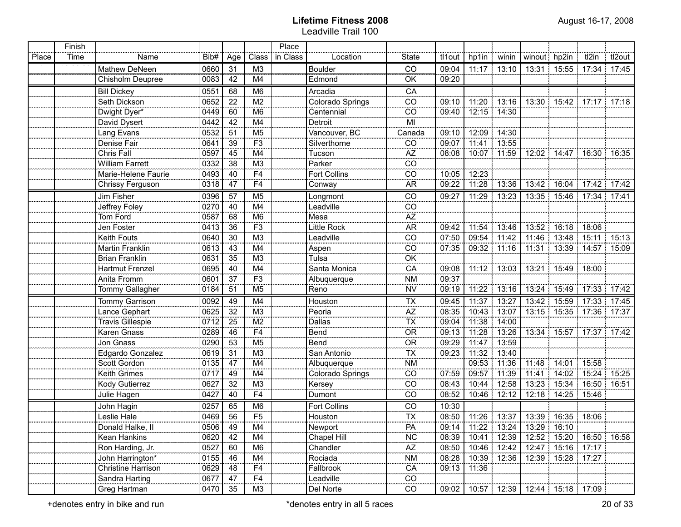|       | Finish |                         |      |     |                          | Place    |                     |                                   |        |               |               |                   |                       |                                 |        |
|-------|--------|-------------------------|------|-----|--------------------------|----------|---------------------|-----------------------------------|--------|---------------|---------------|-------------------|-----------------------|---------------------------------|--------|
| Place | Time   | Name                    | Bib# | Age | Class                    | in Class | Location            | <b>State</b>                      | tl1out | hp1in         | winin         | winout hp2in      |                       | tl2in                           | tl2out |
|       |        | Mathew DeNeen           | 0660 | 31  | M <sub>3</sub>           |          | Boulder             | ĈÕ                                | 09:04  |               | $11:17$ 13:10 |                   |                       | 13:31  15:55  17:34  17:45      |        |
|       |        | Chisholm Deupree        | 0083 | 42  | M4                       |          | Edmond              | OK                                | 09:20  |               |               |                   |                       |                                 |        |
|       |        | <b>Bill Dickey</b>      | 0551 | 68  | M <sub>6</sub>           |          | Arcadia             | CA                                |        |               |               |                   |                       |                                 |        |
|       |        | Seth Dickson            | 0652 | 22  | $\overline{\mathsf{M2}}$ |          | Colorado Springs    | CO                                | 09:10  | 11:20         | 13:16         |                   |                       | 13:30 15:42 17:17 17:18         |        |
|       |        | Dwight Dyer*            | 0449 | 60  | M6                       |          | Centennial          | $\overline{CO}$                   | 09:40  |               | 12:15 14:30   |                   |                       |                                 |        |
|       |        | David Dysert            | 0442 | 42  | M4                       |          | Detroit             | MI                                |        |               |               |                   |                       |                                 |        |
|       |        | Lang Evans              | 0532 | 51  | M <sub>5</sub>           |          | Vancouver, BC       | Canada                            | 09:10  | 12:09         | 14:30         |                   |                       |                                 |        |
|       |        | Denise Fair             | 0641 | 39  | F3                       |          | Silverthorne        | CO                                | 09:07  | 11:41         | 13:55         |                   |                       |                                 |        |
|       |        | Chris Fall              | 0597 | 45  | M4                       |          | Tucson              | <b>AZ</b>                         | 08:08  |               | 10:07 11:59   |                   |                       | 12:02 14:47 16:30 16:35         |        |
|       |        | <b>William Farrett</b>  | 0332 | 38  | M <sub>3</sub>           |          | Parker              | CO                                |        |               |               |                   |                       |                                 |        |
|       |        | Marie-Helene Faurie     | 0493 | 40  | F4                       |          | <b>Fort Collins</b> | CO                                | 10:05  | 12:23         |               |                   |                       |                                 |        |
|       |        | Chrissy Ferguson        | 0318 | 47  | F4                       |          | Conway              | <b>AR</b>                         | 09:22  | 11:28         | 13:36         |                   |                       | 13:42 16:04 17:42 17:42         |        |
|       |        | Jim Fisher              | 0396 | 57  | M <sub>5</sub>           |          | Longmont            | CO                                | 09:27  |               | $11:29$ 13:23 |                   |                       | 13:35   15:46   17:34   17:41   |        |
|       |        | Jeffrey Foley           | 0270 | 40  | M4                       |          | Leadville           | CO                                |        |               |               |                   |                       |                                 |        |
|       |        | Tom Ford                | 0587 | 68  | M <sub>6</sub>           |          | Mesa                | AZ<br>                            |        |               |               |                   |                       |                                 |        |
|       |        | Jen Foster              | 0413 | 36  | F3                       |          | Little Rock         | <b>AR</b>                         | 09:42  |               | 11:54 13:46   | 13:52             |                       | 16:18 18:06                     |        |
|       |        | Keith Fouts             | 0640 | 30  | $\frac{1}{1}$ M3         |          | Leadville           | CO                                | 07:50  | 09:54 11:42   |               | 11:46             |                       | 13:48   15:11   15:13           |        |
|       |        | Martin Franklin         | 0613 | 43  | M4                       |          | Aspen               | CO                                | 07:35  | 09:32 : 11:16 |               | 11:31             |                       | 13:39   14:57   15:09           |        |
|       |        | <b>Brian Franklin</b>   | 0631 | 35  | M <sub>3</sub>           |          | Tulsa               | OK                                |        |               |               |                   |                       |                                 |        |
|       |        | <b>Hartmut Frenzel</b>  | 0695 | 40  | M4                       |          | Santa Monica        | CA                                | 09:08  |               | 11:12 13:03   |                   | 13:21 15:49 18:00     |                                 |        |
|       |        | Anita Fromm             | 0601 | 37  | $\overline{F3}$          |          | Albuquerque         | <b>NM</b>                         | 09:37  |               |               |                   |                       |                                 |        |
|       |        | Tommy Gallagher         | 0184 | 51  | M <sub>5</sub>           |          | Reno                | <b>NV</b>                         | 09:19  | 11:22         | 13:16         | 13:24             |                       | 15:49 17:33 17:42               |        |
|       |        | Tommy Garrison          | 0092 | 49  | M4                       |          | Houston             | <b>TX</b>                         | 09:45  | 11:37 13:27   |               |                   |                       | 13:42 15:59 17:33 17:45         |        |
|       |        | Lance Gephart           | 0625 | 32  | M <sub>3</sub>           |          | Peoria              | ÄZ                                | 08:35  |               | 10:43 13:07   |                   |                       | 13:15   15:35   17:36   17:37   |        |
|       |        | <b>Travis Gillespie</b> | 0712 | 25  | M <sub>2</sub>           |          | Dallas              | TX                                | 09:04  | 11:38         | 14:00         |                   |                       |                                 |        |
|       |        | Karen Gnass             | 0289 | 46  | F4                       |          | Bend                | $\overline{OR}$                   | 09:13  | 11:28         | 13:26         |                   |                       | 13:34 15:57 17:37 17:42         |        |
|       |        | Jon Gnass               | 0290 | 53  | M <sub>5</sub>           |          | Bend                | $\overline{\overline{\text{OR}}}$ | 09:29  | 11:47 13:59   |               |                   |                       |                                 |        |
|       |        | Edgardo Gonzalez        | 0619 | 31  | M <sub>3</sub>           |          | San Antonio         | $\overline{\mathsf{TX}}$          | 09:23  |               | 11:32 13:40   |                   |                       |                                 |        |
|       |        | Scott Gordon            | 0135 | 47  | M4                       |          | Albuquerque         | <b>NM</b>                         |        |               | 09:53 11:36   | 11:48             | $14:01$ 15:58         |                                 |        |
|       |        | Keith Grimes            | 0717 | 49  | M4                       |          | Colorado Springs    | CO                                | 07:59  | 09:57 11:39   |               | 11:41             |                       | 14:02 15:24 15:25               |        |
|       |        | Kody Gutierrez          | 0627 | 32  | M <sub>3</sub>           |          | Kersey              | CO                                | 08:43  | 10:44 12:58   |               |                   |                       | 13:23 15:34 16:50 16:51         |        |
|       |        | Julie Hagen             | 0427 | 40  | F <sub>4</sub>           |          | Dumont              | CO                                | 08:52  |               | 10:46 12:12   |                   | 12:18 14:25 15:46     |                                 |        |
|       |        | John Hagin              | 0257 | 65  | M <sub>6</sub>           |          | <b>Fort Collins</b> | CO                                | 10:30  |               |               |                   |                       |                                 |        |
|       |        | Leslie Hale             | 0469 | 56  | F5                       |          | Houston             | <b>TX</b>                         | 08:50  | 11:26 13:37   |               | 13:39 16:35 18:06 |                       |                                 |        |
|       |        | Donald Halke, II        | 0506 | 49  | M4                       |          | Newport             | $\overline{PA}$                   |        |               |               |                   |                       | $09.14$ 11:22 13:24 13:29 16:10 |        |
|       |        | Kean Hankins            | 0620 | 42  | M4                       |          | Chapel Hill         | <b>NC</b>                         | 08:39  |               | 10:41   12:39 |                   |                       | 12:52   15:20   16:50   16:58   |        |
|       |        | Ron Harding, Jr.        | 0527 | 60  | M <sub>6</sub>           |          | Chandler            | $\overline{AZ}$                   | 08:50  |               | 10:46 12:42   |                   |                       | 12:47 15:16 17:17               |        |
|       |        | John Harrington*        | 0155 | 46  | M4                       |          | Rociada             | <b>NM</b>                         | 08:28  |               | 10:39 12:36   |                   | 12:39 15:28 17:27     |                                 |        |
|       |        | Christine Harrison      | 0629 | 48  | F <sub>4</sub>           |          | Fallbrook           | CA                                | 09:13  | 11:36         |               |                   |                       |                                 |        |
|       |        | Sandra Harting          | 0677 | 47  | F4                       |          | Leadville           | CO                                |        |               |               |                   |                       |                                 |        |
|       |        | Greg Hartman            | 0470 | 35  | M <sub>3</sub>           |          | Del Norte           | CO                                | 09:02  |               | 10:57 12:39   |                   | 12:44   15:18   17:09 |                                 |        |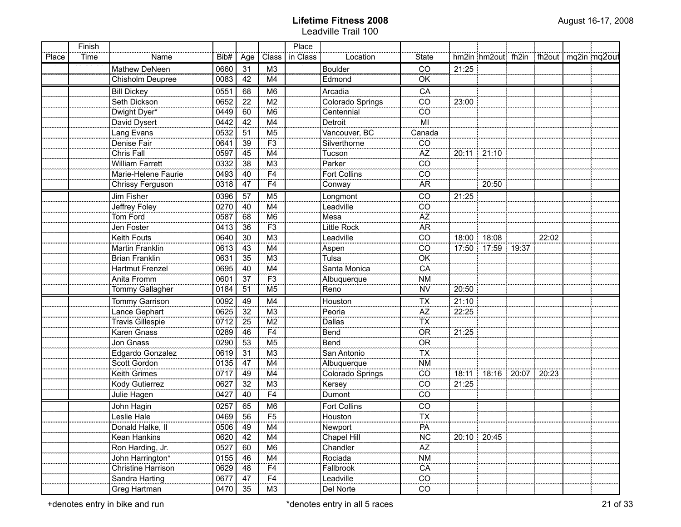|       | Finish |                         |                   |                 |                           | Place    |                     |                          |       |                         |                                          |  |
|-------|--------|-------------------------|-------------------|-----------------|---------------------------|----------|---------------------|--------------------------|-------|-------------------------|------------------------------------------|--|
| Place | Time   | Name                    | Bib#              | Age             | Class                     | in Class | Location            | State                    |       |                         | hm2in hm2out fh2in fh2out   mq2in mq2out |  |
|       |        | Mathew DeNeen           | 0660              | 31              | M <sub>3</sub>            |          | Boulder             | ĈŌ                       | 21:25 |                         |                                          |  |
|       |        | Chisholm Deupree        | 0083              | 42              | M4                        |          | Edmond              | OK                       |       |                         |                                          |  |
|       |        | <b>Bill Dickey</b>      | 0551              | 68              | M <sub>6</sub>            |          | Arcadia             | CA                       |       |                         |                                          |  |
|       |        | Seth Dickson            | 0652              | 22              | M2                        |          | Colorado Springs    | $\overline{co}$          | 23:00 |                         |                                          |  |
|       |        | Dwight Dyer*            | 0449              | 60              | M <sub>6</sub>            |          | Centennial          | $\overline{co}$          |       |                         |                                          |  |
|       |        | David Dysert            | 0442              | 42              | M4                        |          | Detroit             | $\overline{M}$           |       |                         |                                          |  |
|       |        | Lang Evans              | 0532              | 51              | M <sub>5</sub>            |          | Vancouver, BC       | Canada                   |       |                         |                                          |  |
|       |        | Denise Fair             | 0641              | 39              | F3                        |          | Silverthorne        | CO                       |       |                         |                                          |  |
|       |        | Chris Fall              | 0597              | 45              | M4                        |          | Tucson              | $\overline{AZ}$          |       | 20:11 21:10             |                                          |  |
|       |        | <b>William Farrett</b>  | 0332              | 38              | M <sub>3</sub>            |          | Parker              | $\overline{co}$          |       |                         |                                          |  |
|       |        | Marie-Helene Faurie     | 0493              | 40              | F4                        |          | <b>Fort Collins</b> | $\overline{co}$          |       |                         |                                          |  |
|       |        | Chrissy Ferguson        | 0318              | 47              | $\overline{F4}$           |          | Conway              | <b>AR</b>                |       | 20:50                   |                                          |  |
|       |        | Jim Fisher              | 0396              | $\overline{57}$ | M <sub>5</sub>            |          | Longmont            | $\overline{CO}$          | 21:25 |                         |                                          |  |
|       |        | Jeffrey Foley           | 0270              | 40              | M4                        |          | Leadville           | CO                       |       |                         |                                          |  |
|       |        | Tom Ford                | 0587              | 68              | M <sub>6</sub>            |          | Mesa                | AZ                       |       |                         |                                          |  |
|       |        | Jen Foster              | 0413              | 36              | F <sub>3</sub>            |          | Little Rock         | <b>AR</b>                |       |                         |                                          |  |
|       |        | Keith Fouts             | 0640              | 30              | M <sub>3</sub>            |          | Leadville           | CO                       |       | 18:00 18:08             | 22:02                                    |  |
|       |        | Martin Franklin         | 0613              | 43              | M4                        |          | Aspen               | CO                       |       | 17:50 17:59 19:37       |                                          |  |
|       |        | <b>Brian Franklin</b>   | 0631              | 35              | M <sub>3</sub>            |          | Tulsa               | OK                       |       |                         |                                          |  |
|       |        | Hartmut Frenzel         | 0695              | 40              | M4                        |          | Santa Monica        | CA                       |       |                         |                                          |  |
|       |        | Anita Fromm             | 0601              | 37              | F <sub>3</sub>            |          | Albuquerque         | <b>NM</b>                |       |                         |                                          |  |
|       |        | Tommy Gallagher         | 0184              | 51              | M <sub>5</sub>            |          | Reno                | <b>NV</b>                | 20:50 |                         |                                          |  |
|       |        | Tommy Garrison          | 0092              | 49              | M4                        |          | Houston             | <b>TX</b>                | 21:10 |                         |                                          |  |
|       |        | Lance Gephart           | 0625              | 32              | M3                        |          | Peoria              | $\overline{AZ}$          | 22:25 |                         |                                          |  |
|       |        | <b>Travis Gillespie</b> | 0712              | 25              | M2                        |          | <b>Dallas</b>       | $\overline{TX}$          |       |                         |                                          |  |
|       |        | Karen Gnass             | 0289              | 46              | F4                        |          | Bend                | $\overline{OR}$          | 21:25 |                         |                                          |  |
|       |        | Jon Gnass               | 0290              | 53              | M5                        |          | Bend                | OR <sub>1</sub>          |       |                         |                                          |  |
|       |        | Edgardo Gonzalez        | 0619              | 31              | $\overline{M3}$           |          | San Antonio         | $\overline{\mathsf{TX}}$ |       |                         |                                          |  |
|       |        | Scott Gordon            | 0135              | 47              | M4                        |          | Albuquerque         | <b>NM</b>                |       |                         |                                          |  |
|       |        | Keith Grimes            | 0717              | 49              | M4                        |          | Colorado Springs    | $\overline{CO}$          |       | 18:11 18:16 20:07 20:23 |                                          |  |
|       |        | Kody Gutierrez          | 0627              | 32              | M3                        |          | Kersey              | $\overline{co}$          | 21:25 |                         |                                          |  |
|       |        | Julie Hagen             | 0427              | 40              | F4                        |          | Dumont              | CO                       |       |                         |                                          |  |
|       |        | John Hagin              | 0257              | 65              | M <sub>6</sub>            |          | Fort Collins        | CO                       |       |                         |                                          |  |
|       |        | Leslie Hale             | 0469              | 56              | $\overline{F5}$           |          | Houston             | $\overline{TX}$          |       |                         |                                          |  |
|       |        | Donald Halke, II        | $\overline{0506}$ | 49              | $\overline{\mathsf{M}}$ 4 |          | Newport             | PA                       |       |                         |                                          |  |
|       |        | Kean Hankins            | 0620              | 42              | M4                        |          | Chapel Hill         | <b>NC</b>                |       | 20:10   20:45           |                                          |  |
|       |        | Ron Harding, Jr.        | 0527              | 60              | M <sub>6</sub>            |          | Chandler            | $\overline{AZ}$          |       |                         |                                          |  |
|       |        | John Harrington*        | 0155              | 46              | M4                        |          | Rociada             | $\overline{\text{NM}}$   |       |                         |                                          |  |
|       |        | Christine Harrison      | 0629              | 48              | F <sub>4</sub>            |          | Fallbrook           | $rac{CA}{CO}$            |       |                         |                                          |  |
|       |        | Sandra Harting          | 0677              | 47              | F <sub>4</sub>            |          | Leadville           |                          |       |                         |                                          |  |
|       |        | Greg Hartman            | 0470              | 35              | ΜЗ                        |          | Del Norte           | $\overline{co}$          |       |                         |                                          |  |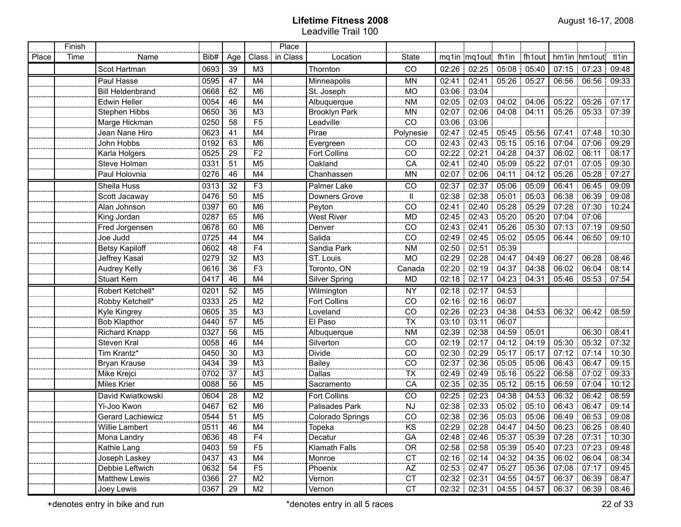|       | Finish |                          |      |                      |                | Place    |                      |                          |       |                               |                   |             |                                              |       |
|-------|--------|--------------------------|------|----------------------|----------------|----------|----------------------|--------------------------|-------|-------------------------------|-------------------|-------------|----------------------------------------------|-------|
| Place | Time   | Name                     | Bib# | Age                  | Class          | in Class | Location             | <b>State</b>             |       |                               |                   |             | mq1in mq1out fh1in fh1out hm1in hm1out tl1in |       |
|       |        | Scot Hartman             | 0693 | 39                   | M <sub>3</sub> |          | Thornton             | CO                       |       | 02:26 02:25 05:08 05:40       |                   |             | $07:15$ 07:23 :                              | 09:48 |
|       |        | Paul Hasse               | 0595 | 47                   | M4             |          | Minneapolis          | <b>MN</b>                |       | 02:41 02:41                   | $05:26$ 05:27     |             | 06:56 06:56                                  | 09:33 |
|       |        | <b>Bill Heldenbrand</b>  | 0668 | 62                   | M <sub>6</sub> |          | St. Joseph           | <b>MO</b>                |       | 03:06 03:04                   |                   |             |                                              |       |
|       |        | <b>Edwin Heller</b>      | 0054 | 46                   | M4             |          | Albuquerque          | <b>NM</b>                |       | 02:05 02:03 04:02 04:06       |                   |             | 05:22 05:26                                  | 07:17 |
|       |        | <b>Stephen Hibbs</b>     | 0650 | 36                   | M <sub>3</sub> |          | <b>Brooklyn Park</b> | <b>MN</b>                |       | 02:07   02:06   04:08   04:11 |                   |             | 05:26 05:33                                  | 07:39 |
|       |        | Marge Hickman            | 0250 | 58                   | F <sub>5</sub> |          | Leadville            | CO                       |       | 03:06 03:06                   |                   |             |                                              |       |
|       |        | Jean Nane Hiro           | 0623 | 41                   | M4             |          | Pirae                | Polynesie                |       | 02:47 02:45 05:45 05:56       |                   |             | 07:41   07:48                                | 10:30 |
|       |        | John Hobbs               | 0192 | 63                   | M <sub>6</sub> |          | Evergreen            | CO                       |       | 02:43 02:43 05:15 05:16       |                   |             | 07:04 07:06                                  | 09:29 |
|       |        | Karla Holgers            | 0525 | 29                   | F <sub>2</sub> |          | <b>Fort Collins</b>  | CO                       |       | 02:22 02:21                   | 04:28:04:37       | 06:02 06:11 |                                              | 08:17 |
|       |        | Steve Holman             | 0331 | 51                   | M <sub>5</sub> |          | Oakland              | CA                       |       | 02:41 02:40 05:09 05:22       |                   | 07:01       | 107:05                                       | 09:30 |
|       |        | Paul Holovnia            | 0276 | 46                   | M4             |          | Chanhassen           | MN                       |       | 02:07 02:06 04:11 04:12       |                   | 05:26       | 05:28                                        | 07:27 |
|       |        | Sheila Huss              | 0313 | 32                   | F3             |          | Palmer Lake          | CO                       |       | 02:37 02:37 05:06 05:09       |                   | 06:41       | 06:45                                        | 09:09 |
|       |        | Scott Jacaway            | 0476 | 50                   | M5             |          | Downers Grove        | Ш                        |       | 02:38 02:38 05:01 05:03       |                   | 06:38       | 06:39                                        | 09:08 |
|       |        | Alan Johnson             | 0397 | $\overline{60}$      | M6             |          | Peyton               | CO                       | 02:41 |                               | 02:40 05:28 05:29 | 07:28       | 07:30                                        | 10:24 |
|       |        | King Jordan              | 0287 | $\overline{65}$      | M6             |          | West River           | <b>MD</b>                |       | 02:45 02:43 05:20 05:20       |                   | 07:04       | 07:06                                        |       |
|       |        | Fred Jorgensen           | 0678 | 60                   | M6             |          | Denver               | CO                       |       | 02:43 02:41 05:26 05:30       |                   |             | $07:13$ 07:19                                | 09:50 |
|       |        | Joe Judd                 | 0725 | 44                   | M4             |          | Salida               | CO                       |       | 02:49 02:45 05:02 05:05       |                   |             | 06:44 06:50                                  | 09:10 |
|       |        | <b>Betsy Kapiloff</b>    | 0602 | 48                   | F4             |          | Sandia Park          | <b>NM</b>                |       | $02:50$ 02:51                 | 105.39            |             |                                              |       |
|       |        | Jeffrey Kasal            | 0279 | $\overline{32}$      | M3             |          | ST. Louis            | <b>MO</b>                |       | 02:29 02:28 04:47 04:49       |                   |             | 06:27 06:28                                  | 08:46 |
|       |        | <b>Audrey Kelly</b>      | 0616 | 36                   | F3             |          | Toronto, ON          | Canada                   |       | 02:20 02:19 04:37 04:38       |                   |             | $06:02$ 06:04                                | 08:14 |
|       |        | <b>Stuart Kern</b>       | 0417 | 46                   | M4             |          | <b>Silver Spring</b> | MD                       |       | 02:18 02:17 04:23 04:31       |                   | 05:46       | 05:53                                        | 07:54 |
|       |        | Robert Ketchell*         | 0201 | 52                   | M <sub>5</sub> |          | Wilmington           | <b>NY</b>                |       | 02:18 02:17 04:53             |                   |             |                                              |       |
|       |        | Robby Ketchell*          | 0333 | 25                   | M <sub>2</sub> |          | <b>Fort Collins</b>  | CO                       |       | 02:16 02:16 06:07             |                   |             |                                              |       |
|       |        | Kyle Kingrey             | 0605 | 35                   | M <sub>3</sub> |          | Loveland             | $\overline{CO}$          |       | $02:26$ 02:23 04:38 04:53     |                   |             | 06:32 06:42 08:59                            |       |
|       |        | <b>Bob Klapthor</b>      | 0440 | 57                   | M <sub>5</sub> |          | El Paso              | $\overline{\mathsf{TX}}$ |       | 03:10 03:11                   | 06:07             |             |                                              |       |
|       |        | Richard Knapp            | 0327 | 56                   | M <sub>5</sub> |          | Albuquerque          | <b>NM</b>                |       | 02:39 02:38                   | 104:59 05:01      |             | 06:30 08:41                                  |       |
|       |        | Steven Kral              | 0058 | 46                   | M4             |          | Silverton            | CO                       |       | 02:19 02:17 04:12 04:19       |                   |             | $05:30$ $05:32$ $07:32$                      |       |
|       |        | Tim Krantz*              | 0450 | 30                   | M <sub>3</sub> |          | Divide               | CO                       |       | 02:30 02:29                   | 05:17 05:17       |             | $07:12$ 07:14                                | 10:30 |
|       |        | Bryan Krause             | 0434 | 39                   | M3             |          | Bailey               | $rac{CO}{TX}$            |       | 02:37 02:36                   | $05:05$ 05:06     |             | 06:43 06:47 09:15                            |       |
|       |        | Mike Krejci              | 0702 | 37                   | M <sub>3</sub> |          | Dallas               |                          |       | 02:49 02:49                   | $05:16$ 05:22     |             | 06:58 07:02                                  | 09:33 |
|       |        | Miles Krier              | 0088 | 56                   | M5             |          | Sacramento           | CA                       |       | $02:35$ 02:35 05:12 05:15     |                   |             | 06:59 07:04                                  | 10:12 |
|       |        | David Kwiatkowski        | 0604 | 28                   | M <sub>2</sub> |          | <b>Fort Collins</b>  | CO                       |       | $02:25$ 02:23                 | 104:38:04:53      |             | 06:32 06:42                                  | 08:59 |
|       |        | Yi-Joo Kwon              | 0467 | 62                   | M <sub>6</sub> |          | Palisades Park       | NJ                       |       | 02:38 02:33 05:02 05:10       |                   |             | 06:43 06:47                                  | 09:14 |
|       |        | <b>Gerard Lachiewicz</b> | 0544 | 51                   | M <sub>5</sub> |          | Colorado Springs     | CO                       |       | 02:38 02:36 05:03 05:06       |                   |             | 06:49 06:53 09:08                            |       |
|       |        | Willie Lambert           | 0511 | 46<br><b>COLORED</b> | M4             |          | Topeka               | KS                       |       | 02:29 02:28 04:47 04:50       |                   |             | 06:23 06:25 08:40                            |       |
|       |        | Mona Landry              | 0636 | 48                   | F4             |          | Decatur              | GA                       |       | 02:48 02:46 05:37 05:39       |                   |             | 07:28 07:31 10:30                            |       |
|       |        | Kathie Lang              | 0403 | 59                   | F <sub>5</sub> |          | <b>Klamath Falls</b> | <b>OR</b>                |       | 02:58 02:58 05:39 05:40       |                   |             | 07:23 07:23                                  | 09:48 |
|       |        | Joseph Laskey            | 0437 | 43                   | M4             |          | Monroe               | <b>CT</b>                |       | 02:16 02:14 04:32 04:35       |                   |             | 06:02 06:04                                  | 08:34 |
|       |        | Debbie Leftwich          | 0632 | 54                   | F5             |          | Phoenix              | AZ                       |       | 02:53 02:47 05:27 05:36       |                   |             | $07:08$   $07:17$                            | 09:45 |
|       |        | <b>Matthew Lewis</b>     | 0366 | 27                   | M <sub>2</sub> |          | Vernon               | <b>CT</b>                |       | 02:32 02:31 04:55 04:57       |                   |             | 06:37 06:39 08:47                            |       |
|       |        | Joey Lewis               | 0367 | 29                   | M <sub>2</sub> |          | Vernon               | <b>CT</b>                |       | 02:32 02:31 04:55 04:57       |                   |             | 06:37   06:39   08:46                        |       |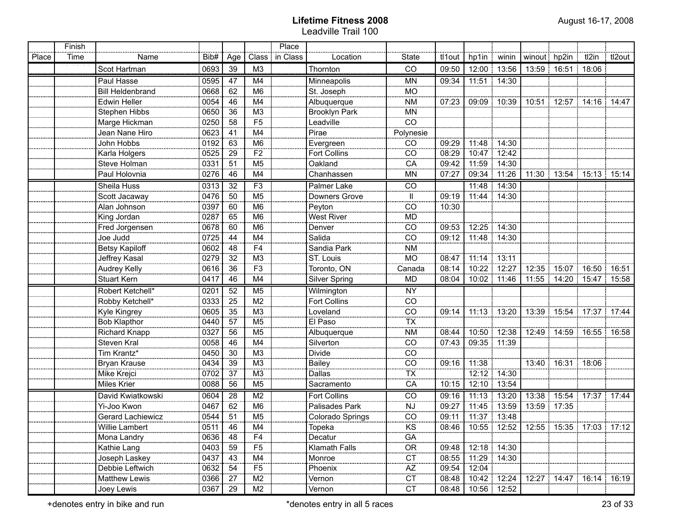|       | Finish |                         |                  |     |                          | Place    |                      |                                     |        |                                                       |               |                                               |                   |                               |        |
|-------|--------|-------------------------|------------------|-----|--------------------------|----------|----------------------|-------------------------------------|--------|-------------------------------------------------------|---------------|-----------------------------------------------|-------------------|-------------------------------|--------|
| Place | Time   | Name                    | Bib#             | Age | Class                    | in Class | Location             | <b>State</b>                        | tl1out | hp1in   winin                                         |               | winout hp2in                                  |                   | tl2in                         | tl2out |
|       |        | Scot Hartman            | 0693             | 39  | M <sub>3</sub>           |          | Thornton             | ĈÕ                                  | 09:50  |                                                       | 12:00 13:56   |                                               | 13:59 16:51 18:06 |                               |        |
|       |        | Paul Hasse              | 0595             | 47  | M <sub>4</sub>           |          | Minneapolis          | <b>MN</b>                           | 09:34  |                                                       | 11:51 14:30   |                                               |                   |                               |        |
|       |        | <b>Bill Heldenbrand</b> | 0668             | 62  | M6                       |          | St. Joseph           | <b>MO</b>                           |        |                                                       |               |                                               |                   |                               |        |
|       |        | <b>Edwin Heller</b>     | 0054             | 46  | M4                       |          | Albuquerque          | <b>NM</b>                           | 07:23  | 09:09 10:39                                           |               |                                               |                   | 10:51 12:57 14:16 14:47       |        |
|       |        | Stephen Hibbs           | 0650             | 36  | $\overline{M3}$          |          | <b>Brooklyn Park</b> | MN                                  |        |                                                       |               |                                               |                   |                               |        |
|       |        | Marge Hickman           | 0250             | 58  | F5                       |          | Leadville            | $\overline{\text{CO}}$              |        |                                                       |               |                                               |                   |                               |        |
|       |        | Jean Nane Hiro          | 0623             | 41  | $\overline{M4}$          |          | Pirae                | Polynesie                           |        |                                                       |               |                                               |                   |                               |        |
|       |        | John Hobbs              | 0192             | 63  | M6                       |          | Evergreen            | CO                                  | 09:29  | 11:48                                                 | 14:30         |                                               |                   |                               |        |
|       |        | Karla Holgers           | 0525             | 29  | $\overline{F2}$          |          | <b>Fort Collins</b>  | $\overline{CO}$                     | 08:29  |                                                       | 10:47 12:42   |                                               |                   |                               |        |
|       |        | Steve Holman            | 0331             | 51  | $\overline{M5}$          |          | Oakland              | CA                                  | 09:42  | 11:59                                                 | 14:30         |                                               |                   |                               |        |
|       |        | Paul Holovnia           | 0276             | 46  | M4                       |          | Chanhassen           | <b>MN</b>                           | 07:27  | 09:34                                                 | 11:26         |                                               |                   | 11:30   13:54   15:13   15:14 |        |
|       |        | Sheila Huss             | 0313             | 32  | F3                       |          | Palmer Lake          | $\overline{C}$                      |        |                                                       | 11:48 14:30   |                                               |                   |                               |        |
|       |        | Scott Jacaway           | 0476             | 50  | M <sub>5</sub>           |          | Downers Grove        | Ш.                                  | 09:19  | 11:44 14:30                                           |               |                                               |                   |                               |        |
|       |        | Alan Johnson            | 0397             | 60  | M <sub>6</sub>           |          | Peyton               | CO                                  | 10:30  |                                                       |               |                                               |                   |                               |        |
|       |        | King Jordan             | 0287             | 65  | M <sub>6</sub>           |          | <b>West River</b>    | <b>MD</b>                           |        |                                                       |               |                                               |                   |                               |        |
|       |        | Fred Jorgensen          | 0678             | 60  | M <sub>6</sub>           |          | Denver               | CO                                  | 09:53  |                                                       | 12:25 14:30   |                                               |                   |                               |        |
|       |        | Joe Judd                | 0725             | 44  | M4                       |          | Salida               | CO                                  | 09:12  |                                                       | 11:48 14:30   |                                               |                   |                               |        |
|       |        | <b>Betsy Kapiloff</b>   | 0602             | 48  | F <sub>4</sub>           |          | Sandia Park          | <b>NM</b>                           |        |                                                       |               |                                               |                   |                               |        |
|       |        | Jeffrey Kasal           | 0279             | 32  | M <sub>3</sub>           |          | ST. Louis            | <b>MO</b>                           | 08:47  | $11:14$ 13:11                                         |               |                                               |                   |                               |        |
|       |        | Audrey Kelly            | 0616             | 36  | F <sub>3</sub>           |          | Toronto, ON          | Canada                              | 08:14  |                                                       | 10:22 12:27   |                                               |                   | 12:35 15:07 16:50 16:51       |        |
|       |        | <b>Stuart Kern</b>      | 0417             | 46  | M4                       |          | <b>Silver Spring</b> | MD                                  | 08:04  |                                                       | 10:02 11:46   |                                               |                   | 11:55   14:20   15:47   15:58 |        |
|       |        | Robert Ketchell*        | 0201             | 52  | M <sub>5</sub>           |          | Wilmington           | <b>NY</b>                           |        |                                                       |               |                                               |                   |                               |        |
|       |        | Robby Ketchell*         | 0333             | 25  | $\overline{M2}$          |          | <b>Fort Collins</b>  | $\overline{CO}$                     |        |                                                       |               |                                               |                   |                               |        |
|       |        | Kyle Kingrey            | 0605             | 35  | $\overline{M3}$          |          | Loveland             | $\overline{CO}$                     | 09:14  |                                                       |               | 11:13   13:20   13:39   15:54   17:37   17:44 |                   |                               |        |
|       |        | <b>Bob Klapthor</b>     | 0440             | 57  | M5                       |          | El Paso              | $\overline{TX}$                     |        |                                                       |               |                                               |                   |                               |        |
|       |        | Richard Knapp           | 0327             | 56  | M5                       |          | Albuquerque          | <b>NM</b>                           | 08:44  |                                                       |               | 10:50   12:38   12:49   14:59   16:55   16:58 |                   |                               |        |
|       |        | Steven Kral             | 0058             | 46  | M4                       |          | Silverton            | $\overline{CO}$                     | 07:43  | 09:35 11:39                                           |               |                                               |                   |                               |        |
|       |        | Tim Krantz*             | 0450             | 30  | $\overline{M3}$          |          | <b>Divide</b>        | $\overline{co}$                     |        |                                                       |               |                                               |                   |                               |        |
|       |        | Bryan Krause            | 0434             | 39  | $\overline{M3}$          |          | <b>Bailey</b>        | $\overline{\overline{\text{co}}}$   | 09:16  | 11:38                                                 |               |                                               | 13:40 16:31 18:06 |                               |        |
|       |        | Mike Krejci             | 0702             | 37  | $\overline{M3}$          |          | Dallas               | $\overline{\mathsf{TX}}$            |        |                                                       | 12:12 14:30   |                                               |                   |                               |        |
|       |        | <b>Miles Krier</b>      | 0088             | 56  | M <sub>5</sub>           |          | Sacramento           | CA                                  | 10:15  | 12:10 13:54                                           |               |                                               |                   |                               |        |
|       |        | David Kwiatkowski       | 0604             | 28  | M <sub>2</sub>           |          | Fort Collins         | CO                                  | 09:16  |                                                       | 11:13 13:20   |                                               |                   | 13:38 15:54 17:37 17:44       |        |
|       |        | Yi-Joo Kwon             | 0467             | 62  | M6                       |          | Palisades Park       | <b>NJ</b>                           | 09:27  | 11:45 13:59                                           |               | 13:59 17:35                                   |                   |                               |        |
|       |        | Gerard Lachiewicz       | 0544             | 51  | $\overline{M5}$          |          | Colorado Springs     | $\overline{\overline{\mathrm{co}}}$ | 09:11  | 11:37 13:48                                           |               |                                               |                   |                               |        |
|       |        | Willie Lambert          | $\frac{1}{0511}$ | 46  | $\overline{\mathsf{M4}}$ |          | Topeka               | $\overline{\text{KS}}$              |        | 08:46   10:55   12:52   12:55   15:35   17:03   17:12 |               |                                               |                   |                               |        |
|       |        | Mona Landry             | 0636             | 48  | F4                       |          | Decatur              | GA                                  |        |                                                       |               |                                               |                   |                               |        |
|       |        | Kathie Lang             | 0403             | 59  | F <sub>5</sub>           |          | Klamath Falls        | <b>OR</b>                           | 09:48  |                                                       | $12:18$ 14:30 |                                               |                   |                               |        |
|       |        | Joseph Laskey           | 0437             | 43  | M4                       |          | Monroe               | $\overline{CT}$                     | 08:55  | 11:29 14:30                                           |               |                                               |                   |                               |        |
|       |        | Debbie Leftwich         | 0632             | 54  | $\overline{F5}$          |          | Phoenix              | $\overline{AZ}$                     | 09:54  | 12:04                                                 |               |                                               |                   |                               |        |
|       |        | Matthew Lewis           | 0366             | 27  | M2                       |          | Vernon               | <b>CT</b>                           | 08:48  |                                                       | 10:42 12:24   |                                               |                   | 12:27   14:47   16:14   16:19 |        |
|       |        | Joey Lewis              | 0367             | 29  | M2                       |          | Vernon               | CT                                  | 08:48  |                                                       | 10:56 12:52   |                                               |                   |                               |        |

+denotes entry in bike and run \*denotes entry in all 5 races 23 of 33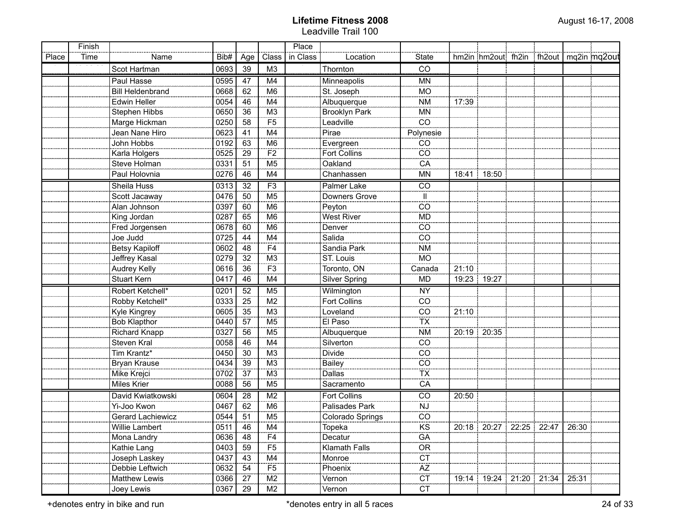|       | Finish |                          |                   |                 |                 | Place    |                      |                        |       |                                          |  |       |  |
|-------|--------|--------------------------|-------------------|-----------------|-----------------|----------|----------------------|------------------------|-------|------------------------------------------|--|-------|--|
| Place | Time   | Name                     | Bib#              | Age             | Class           | in Class | Location             | State                  |       | hm2in hm2out fh2in fh2out   mq2in mq2out |  |       |  |
|       |        | Scot Hartman             | 0693              | 39              | M <sub>3</sub>  |          | Thornton             | ČŌ                     |       |                                          |  |       |  |
|       |        | Paul Hasse               | 0595              | 47              | M4              |          | Minneapolis          | <b>MN</b>              |       |                                          |  |       |  |
|       |        | <b>Bill Heldenbrand</b>  | 0668              | 62              | M6              |          | St. Joseph           | <b>MO</b>              |       |                                          |  |       |  |
|       |        | Edwin Heller             | 0054              | 46              | M4              |          | Albuquerque          | <b>NM</b>              | 17:39 |                                          |  |       |  |
|       |        | Stephen Hibbs            | 0650              | 36              | $\overline{M3}$ |          | <b>Brooklyn Park</b> | <b>MN</b>              |       |                                          |  |       |  |
|       |        | Marge Hickman            | 0250              | 58              | $\overline{F5}$ |          | Leadville            | $\overline{co}$        |       |                                          |  |       |  |
|       |        | Jean Nane Hiro           | 0623              | 41              | M4              |          | Pirae                | Polynesie              |       |                                          |  |       |  |
|       |        | John Hobbs               | 0192              | $-63$           | $\overline{M6}$ |          | Evergreen            | CO                     |       |                                          |  |       |  |
|       |        | Karla Holgers            | 0525              | 29              | $\overline{F2}$ |          | <b>Fort Collins</b>  | $\overline{co}$        |       |                                          |  |       |  |
|       |        | Steve Holman             | 0331              | 51              | $\overline{M5}$ |          | Oakland              | $\overline{CA}$        |       |                                          |  |       |  |
|       |        | Paul Holovnia            | 0276              | 46              | M4              |          | Chanhassen           | <b>MN</b>              |       | 18:41 18:50                              |  |       |  |
|       |        | Sheila Huss              | 0313              | $\overline{32}$ | F3              |          | <b>Palmer Lake</b>   | $\overline{CO}$        |       |                                          |  |       |  |
|       |        | Scott Jacaway            | 0476              | 50              | M <sub>5</sub>  |          | Downers Grove        | Ш                      |       |                                          |  |       |  |
|       |        | Alan Johnson             | 0397              | 60              | M <sub>6</sub>  |          | Peyton               | CO                     |       |                                          |  |       |  |
|       |        | King Jordan              | 0287              | 65              | M <sub>6</sub>  |          | <b>West River</b>    | <b>MD</b>              |       |                                          |  |       |  |
|       |        | Fred Jorgensen           | 0678              | 60              | M <sub>6</sub>  |          | Denver               | CO                     |       |                                          |  |       |  |
|       |        | Joe Judd                 | 0725              | 44              | M4              |          | Salida               | CO                     |       |                                          |  |       |  |
|       |        | <b>Betsy Kapiloff</b>    | 0602              | 48              | F4              |          | Sandia Park          | <b>NM</b>              |       |                                          |  |       |  |
|       |        | Jeffrey Kasal            | 0279              | 32              | $\frac{M3}{F3}$ |          | ST. Louis            | <b>MO</b>              |       |                                          |  |       |  |
|       |        | Audrey Kelly             | 0616              | 36              |                 |          | Toronto, ON          | Canada                 | 21:10 |                                          |  |       |  |
|       |        | <b>Stuart Kern</b>       | 0417              | 46              | M4              |          | <b>Silver Spring</b> | <b>MD</b>              |       | 19:23 19:27                              |  |       |  |
|       |        | Robert Ketchell*         | 0201              | 52              | M <sub>5</sub>  |          | Wilmington           | <b>NY</b>              |       |                                          |  |       |  |
|       |        | Robby Ketchell*          | 0333              | 25              | M <sub>2</sub>  |          | Fort Collins         | CO                     |       |                                          |  |       |  |
|       |        | Kyle Kingrey             | 0605              | 35              | M <sub>3</sub>  |          | Loveland             | CO                     | 21:10 |                                          |  |       |  |
|       |        | <b>Bob Klapthor</b>      | 0440              | 57              | M <sub>5</sub>  |          | El Paso              | <b>TX</b>              |       |                                          |  |       |  |
|       |        | Richard Knapp            | 0327              | 56              | M <sub>5</sub>  |          | Albuquerque          | <b>NM</b>              |       | 20:19 20:35                              |  |       |  |
|       |        | Steven Kral              | 0058              | 46              | M4              |          | Silverton            | CO                     |       |                                          |  |       |  |
|       |        | Tim Krantz*              | 0450              | 30              | M <sub>3</sub>  |          | <b>Divide</b>        | CO                     |       |                                          |  |       |  |
|       |        | Bryan Krause             | 0434              | 39              | M <sub>3</sub>  |          | <b>Bailey</b>        | CO                     |       |                                          |  |       |  |
|       |        | Mike Krejci              | 0702              | 37              | M <sub>3</sub>  |          | <b>Dallas</b>        | <b>TX</b>              |       |                                          |  |       |  |
|       |        | Miles Krier              | 0088              | 56              | M <sub>5</sub>  |          | Sacramento           | CA                     |       |                                          |  |       |  |
|       |        | David Kwiatkowski        | 0604              | 28              | M <sub>2</sub>  |          | <b>Fort Collins</b>  | CO                     | 20:50 |                                          |  |       |  |
|       |        | Yi-Joo Kwon              | 0467              | 62              | M <sub>6</sub>  |          | Palisades Park       | <b>NJ</b>              |       |                                          |  |       |  |
|       |        | <b>Gerard Lachiewicz</b> | 0544              | 51              | $\overline{M5}$ |          | Colorado Springs     | $\overline{co}$        |       |                                          |  |       |  |
|       |        | Willie Lambert           | 0511              | 46              | $\overline{M4}$ |          | Topeka               | $\overline{\text{KS}}$ |       | 20:18   20:27   22:25   22:47   26:30    |  |       |  |
|       |        | Mona Landry              | 0636              | 48              | - e<br>F4       |          | Decatur              | -----<br>GA            |       |                                          |  |       |  |
|       |        | Kathie Lang              | $\overline{0403}$ | 59              | $\overline{F5}$ |          | <b>Klamath Falls</b> | OR                     |       |                                          |  |       |  |
|       |        | Joseph Laskey            | 0437              | 43              | M4              |          | Monroe               | $\overline{C}$         |       |                                          |  |       |  |
|       |        | Debbie Leftwich          | 0632              | 54              | $\overline{F5}$ |          | Phoenix              | $\overline{AZ}$        |       |                                          |  |       |  |
|       |        | <b>Matthew Lewis</b>     | 0366              | 27              | M2              |          | Vernon               | $\overline{CT}$        |       | 19:14   19:24   21:20   21:34            |  | 25:31 |  |
|       |        | Joey Lewis               | 0367              | 29              | M2              |          | Vernon               | $\overline{CT}$        |       |                                          |  |       |  |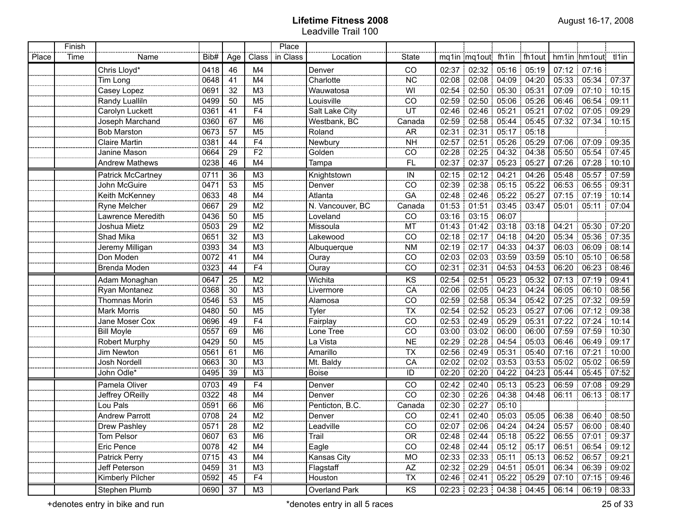|       | Finish |                          |      |                |                 | Place    |                                |                 |       |                                                                     |                   |       |       |                     |                         |
|-------|--------|--------------------------|------|----------------|-----------------|----------|--------------------------------|-----------------|-------|---------------------------------------------------------------------|-------------------|-------|-------|---------------------|-------------------------|
| Place | Time   | Name                     | Bib# | Age            | Class           | in Class | Location                       | State           |       | mq1in mq1out fh1in fh1out                                           |                   |       |       | hm1in hm1out tl1in  |                         |
|       |        | Chris Lloyd*             | 0418 | 46             | M4              |          | Denver                         | CO              | 02:37 | 02:32                                                               | 05:16             | 05:19 |       | $07:12$ 07:16       |                         |
|       |        | Tim Long                 | 0648 | 41             | M4              |          | Charlotte                      | <b>NC</b>       | 02:08 |                                                                     | 02:08 04:09 04:20 |       |       | 05:33 05:34 07:37   |                         |
|       |        | Casey Lopez              | 0691 | 32             | M <sub>3</sub>  |          | Wauwatosa                      | WI              | 02:54 |                                                                     | 02:50 05:30 05:31 |       |       | 07:09 07:10 10:15   |                         |
|       |        | Randy Lualliln           | 0499 | 50             | M <sub>5</sub>  |          | Louisville                     | CO              | 02:59 |                                                                     | 02:50 05:06 05:26 |       |       | 06:46 06:54         | 09:11                   |
|       |        | Carolyn Luckett          | 0361 | 41             | F4              |          | Salt Lake City                 | UT              | 02:46 |                                                                     | $02:46$ 05:21     | 05:21 |       | 07:02 07:05 09:29   |                         |
|       |        | Joseph Marchand          | 0360 | 67             | M6              |          | Westbank, BC                   | Canada          | 02:59 |                                                                     | 02:58 05:44 05:45 |       |       | 07:32 07:34 10:15   |                         |
|       |        | <b>Bob Marston</b>       | 0673 | 57             | M <sub>5</sub>  |          | Roland                         | <b>AR</b>       | 02:31 | 02:31                                                               | $05:17$ 05:18     |       |       |                     |                         |
|       |        | <b>Claire Martin</b>     | 0381 | 44             | F4              |          | Newbury                        | <b>NH</b>       | 02:57 | 02:51                                                               | $05:26$ 05:29     |       |       | 07:06 07:09         | 09:35                   |
|       |        | Janine Mason             | 0664 | 29             | $\overline{F2}$ |          | Golden                         | $\overline{CO}$ |       | 02:28 02:25                                                         | 04:32:04:38       |       |       | 05:50 05:54 07:45   |                         |
|       |        | <b>Andrew Mathews</b>    | 0238 | 46             | M4              |          | Tampa                          | FL.             | 02:37 |                                                                     | 02:37 05:23 05:27 |       |       | $07:26$ 07:28 10:10 |                         |
|       |        | <b>Patrick McCartney</b> | 0711 | 36             | M <sub>3</sub>  |          | Knightstown                    | IN              | 02:15 | 02:12                                                               | $04:21$ 04:26     |       |       | 05:48 05:57         | 07:59                   |
|       |        | John McGuire             | 0471 | 53             | M <sub>5</sub>  |          | Denver                         | CO              | 02:39 | 02:38                                                               | $05:15$ 05:22     |       |       | $06:53 \mid 06:55$  | 09:31                   |
|       |        | Keith McKenney           | 0633 | 48             | M4              |          | Atlanta                        | GA              | 02:48 | 02:46                                                               | 05:22 05:27       |       |       | 07:15 07:19         | 10:14                   |
|       |        | Ryne Melcher             | 0667 | 29             | M2              |          | N. Vancouver, BC               | Canada          | 01:53 | 01:51                                                               | 03:45 03:47       |       | 05:01 | 05:11<br>÷.         | 07:04                   |
|       |        | Lawrence Meredith        | 0436 | 50             | M5              |          | Loveland                       | CO              | 03:16 | 03:15                                                               | 06:07             |       |       |                     |                         |
|       |        | Joshua Mietz             | 0503 | 29             | M <sub>2</sub>  |          | Missoula                       | MT              | 01:43 | 01:42                                                               | $03:18$ 03:18     |       | 04:21 | 05:30               | 07:20                   |
|       |        | Shad Mika                | 0651 | 32             | $\overline{M3}$ |          | Lakewood                       | CO              | 02:18 | 02:17                                                               | 04:18 04:20       |       | 05:34 | 05:36               | : 07:35                 |
|       |        | Jeremy Milligan          | 0393 | 34             | M <sub>3</sub>  |          | Albuquerque                    | <b>NM</b>       | 02:19 | 02:17                                                               | 04:33 04:37       |       |       | 06:03:06:09         | 08:14                   |
|       |        | Don Moden                | 0072 | 41             | M <sub>4</sub>  |          | Ouray                          | CO              | 02:03 | 02:03                                                               | 03:59:03:59       |       |       | 05:10 05:10         | : 06:58                 |
|       |        | Brenda Moden             | 0323 | 44             | F <sub>4</sub>  |          | Ouray                          | CO              | 02:31 | 02:31                                                               | 04:53             | 04:53 | 06:20 | 06:23               | 08:46                   |
|       |        | Adam Monaghan            | 0647 | 25             | M <sub>2</sub>  |          | Wichita                        | KS              | 02:54 | 02:51                                                               | 05:23             | 05:32 | 07:13 | 07:19               | 09:41                   |
|       |        | Ryan Montanez            | 0368 | 30             | M <sub>3</sub>  |          | Livermore                      | CA              | 02:06 | 02:05                                                               | 04:23             | 04:24 | 06:05 | 06:10               | 08:56                   |
|       |        | Thomnas Morin            | 0546 | 53             | M <sub>5</sub>  |          | Alamosa                        | CO              | 02:59 | 02:58                                                               | 105:34            | 05:42 | 07:25 | 07:32               | 09:59                   |
|       |        | Mark Morris              | 0480 | 50             | M <sub>5</sub>  |          | Tyler                          | <b>TX</b>       | 02:54 | 02:52                                                               | 05:23             | 05:27 | 07:06 | 07:12               | 09:38                   |
|       |        | Jane Moser Cox           | 0696 | 49             | F <sub>4</sub>  |          | Fairplay                       | CO              | 02:53 | 02:49                                                               | 105:29            | 05:31 | 07:22 | 07:24               | 10:14                   |
|       |        | <b>Bill Moyle</b>        | 0557 | 69             | M <sub>6</sub>  |          | Lone Tree                      | CO              | 03:00 | 03:02                                                               | 06:00             | 06:00 | 07:59 | 07:59               | 10:30                   |
|       |        | <b>Robert Murphy</b>     | 0429 | 50             | M <sub>5</sub>  |          | La Vista                       | <b>NE</b>       | 02:29 | 02:28                                                               | 04:54             | 05:03 | 06:46 | 06:49               | 09:17                   |
|       |        | Jim Newton               | 0561 | 61             | M <sub>6</sub>  |          | Amarillo                       | <b>TX</b>       | 02:56 | 02:49                                                               | 105:31            | 05:40 | 07:16 | 07:21               | 10:00                   |
|       |        | Josh Nordell             | 0663 | 30             | M <sub>3</sub>  |          | Mt. Baldy                      | CA              | 02:02 | 02:02                                                               | $103:53$ 03:53    |       | 05:02 | 05:02               | 06:59                   |
|       |        | John Odle*               | 0495 | 39             | M <sub>3</sub>  |          | Boise                          | ID              | 02:20 | 02:20   04:22                                                       |                   | 04:23 | 05:44 |                     | 05:45   07:52           |
|       |        | Pamela Oliver            | 0703 | 49             | F4              |          | Denver                         | $\overline{C}$  | 02:42 |                                                                     | 02:40 05:13 05:23 |       | 06:59 | 07:08               | 09:29                   |
|       |        | Jeffrey OReilly          | 0322 | 48             | M4              |          | Denver                         | CO              |       | 02:30 02:26 04:38 04:48                                             |                   |       | 06:11 |                     | 06:13:08:17             |
|       |        | Lou Pals                 | 0591 | 66             | M <sub>6</sub>  |          | Penticton, B.C.                | Canada          |       | 02:30 02:27 05:10                                                   |                   |       |       |                     |                         |
|       |        | <b>Andrew Parrott</b>    | 0708 | 24             | M <sub>2</sub>  |          | Denver                         | CO              |       | 02:41 02:40 05:03 05:05                                             |                   |       |       | 06:38 06:40 08:50   |                         |
|       |        | Drew Pashley             | 0571 | $\frac{28}{1}$ | M <sub>2</sub>  |          | Leadville                      | $\frac{CO}{C}$  |       | $02:07$   $02:06$   $04:24$   $04:24$   $05:57$   $06:00$   $08:40$ |                   |       |       |                     |                         |
|       |        | Tom Pelsor               | 0607 | 63             | M6              |          | Trail                          | <b>OR</b>       |       | $02:48$   02:44   05:18   05:22   06:55   07:01   09:37             |                   |       |       |                     |                         |
|       |        | Eric Pence               | 0078 | 42             | M4              |          | $E$ agle                       | $\overline{co}$ |       | 02:48 02:44 05:12 05:17                                             |                   |       |       |                     | 06:51 06:54 09:12       |
|       |        | Patrick Perry            | 0715 | 43             | M4              |          | <u>. Lua: -</u><br>Kansas City | <b>MO</b>       |       | $02:33$   $02:33$   $05:11$   $05:13$                               |                   |       |       | 06:52 06:57 09:21   |                         |
|       |        | Jeff Peterson            | 0459 | 31             | M <sub>3</sub>  |          | Flagstaff                      | $\overline{AZ}$ |       | $02:32$ 02:29 04:51 05:01                                           |                   |       |       |                     | 06:34   06:39   09:02   |
|       |        | Kimberly Pilcher         | 0592 | 45             | F <sub>4</sub>  |          | Houston                        | $\overline{TX}$ |       | 02:46 02:41 05:22 05:29                                             |                   |       |       |                     | 07:10 07:15 09:46       |
|       |        | Stephen Plumb            | 0690 | 37             | ΜЗ              |          | Overland Park                  | KS              |       | $02:23$ 02:23 04:38 04:45                                           |                   |       |       |                     | $06:14$ $06:19$ $08:33$ |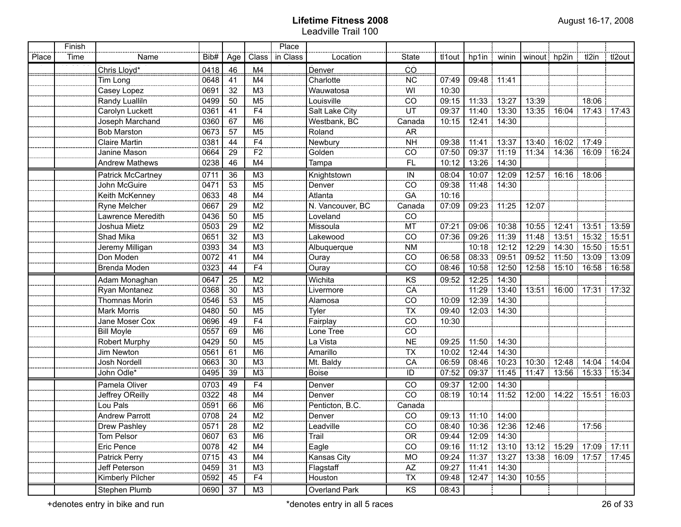|       | Finish |                          |      |                 |                    | Place    |                               |                          |        |                         |               |              |                   |                               |                         |
|-------|--------|--------------------------|------|-----------------|--------------------|----------|-------------------------------|--------------------------|--------|-------------------------|---------------|--------------|-------------------|-------------------------------|-------------------------|
| Place | Time   | Name                     | Bib# | Age             | Class              | in Class | Location                      | <b>State</b>             | tl1out |                         | hp1in   winin | winout hp2in |                   | tl2in                         | i tl2out                |
|       |        | Chris Lloyd*             | 0418 | 46              | M4                 |          | <b>Denver</b>                 | ČŌ                       |        |                         |               |              |                   |                               |                         |
| .     |        | Tim Long                 | 0648 | 41              | M4                 |          | Charlotte                     | <b>NC</b>                | 07:49  | 09:48 11:41             |               |              |                   |                               |                         |
|       |        | Casey Lopez              | 0691 | 32              | M <sub>3</sub>     |          | Wauwatosa                     | WI                       | 10:30  |                         |               |              |                   |                               |                         |
|       |        | Randy Lualliln           | 0499 | 50              | M <sub>5</sub>     |          | Louisville                    | CO                       | 09:15  |                         | 11:33 13:27   | 13:39        |                   | 18:06                         |                         |
|       |        | Carolyn Luckett          | 0361 | 41              | <br>F4             |          | Salt Lake City                | ÜT                       | 09:37  |                         | $11:40$ 13:30 |              |                   | $-13:35$ 16:04 17:43 17:43    |                         |
|       |        | Joseph Marchand          | 0360 | 67              | M <sub>6</sub>     |          | Westbank, BC                  | Canada                   | 10:15  |                         | 12:41 14:30   |              |                   |                               |                         |
|       |        | <b>Bob Marston</b>       | 0673 | 57              | M <sub>5</sub><br> |          | Roland                        | <b>AR</b>                |        |                         |               |              |                   |                               |                         |
|       |        | <b>Claire Martin</b>     | 0381 | 44              | F4                 |          | Newbury<br>Golden             | <b>NH</b>                | 09:38  |                         | 11:41 13:37   |              | 13:40 16:02 17:49 |                               |                         |
|       |        | Janine Mason             | 0664 | 29              | $\overline{F2}$    |          |                               | CO                       | 07:50  | 09:37   11:19           |               |              |                   | 11:34   14:36   16:09   16:24 |                         |
|       |        | <b>Andrew Mathews</b>    | 0238 | 46              | M4                 |          | Tampa                         | FL.                      | 10:12  |                         | 13:26 14:30   |              |                   |                               |                         |
|       |        | <b>Patrick McCartney</b> | 0711 | 36              | M3                 |          | Knightstown                   | $\sf IN$                 | 08:04  |                         | 10:07 12:09   |              | 12:57 16:16 18:06 |                               |                         |
|       |        | John McGuire             | 0471 | 53              | M5                 |          | Denver                        | CO                       | 09:38  |                         | 11:48 14:30   |              |                   |                               |                         |
|       |        | Keith McKenney           | 0633 | 48              | M4                 |          | Atlanta                       | GA                       | 10:16  |                         |               |              |                   |                               |                         |
|       |        | Ryne Melcher             | 0667 | 29              | M2                 |          | N. Vancouver, BC              | Canada                   | 07:09  | 09:23 11:25             |               | 12:07        |                   |                               |                         |
|       |        | Lawrence Meredith        | 0436 | 50              | $\overline{M5}$    |          | Loveland                      | CO                       |        |                         |               |              |                   |                               |                         |
|       |        | Joshua Mietz             | 0503 | 29              | $\overline{M2}$    |          | Missoula                      | MT                       | 07:21  |                         | 09:06 10:38   | 10:55        |                   | $12:41$ 13:51 13:59           |                         |
|       |        | Shad Mika                | 0651 | $\overline{32}$ | $\overline{M3}$    |          | Lakewood                      | CO                       | 07:36  | 09:26 11:39             |               | 11:48        |                   | $13:51$ 15:32 15:51           |                         |
|       |        | Jeremy Milligan          | 0393 | $\overline{34}$ | M3                 |          | Albuquerque                   | <b>NM</b>                |        |                         | 10:18 12:12   |              |                   | 12:29   14:30   15:50   15:51 |                         |
|       |        | Don Moden                | 0072 | 41              | $\overline{M4}$    |          | Ouray                         | CO                       | 06:58  | 08:33 09:51             |               |              |                   | 09:52 11:50 13:09 13:09       |                         |
|       |        | Brenda Moden             | 0323 | 44              | F4                 |          | Ouray                         | CO                       | 08:46  |                         | 10:58 12:50   | 12:58        |                   | $15:10$ 16:58 16:58           |                         |
|       |        | Adam Monaghan            | 0647 | 25              | M <sub>2</sub>     |          | Wichita                       | KS                       | 09:52  |                         | 12:25 14:30   |              |                   |                               |                         |
|       |        | Ryan Montanez            | 0368 | 30              | M3                 |          | Livermore                     | CA                       |        |                         | 11:29 13:40   |              |                   | 13:51  16:00  17:31  17:32    |                         |
|       |        | Thomnas Morin            | 0546 | 53              | M <sub>5</sub>     |          | Alamosa                       | CO                       | 10:09  |                         | 12:39 14:30   |              |                   |                               |                         |
|       |        | Mark Morris              | 0480 | 50              | M5                 |          | Tyler                         | $\overline{\mathsf{TX}}$ | 09:40  |                         | 12:03 14:30   |              |                   |                               |                         |
|       |        | Jane Moser Cox           | 0696 | 49              | F4                 |          | Fairplay                      | CO                       | 10:30  |                         |               |              |                   |                               |                         |
|       |        | <b>Bill Moyle</b>        | 0557 | 69              | M <sub>6</sub>     |          | Lone Tree                     | CO                       |        |                         |               |              |                   |                               |                         |
|       |        | Robert Murphy            | 0429 | 50              | M <sub>5</sub>     |          | La Vista                      | NE                       | 09:25  |                         | 11:50 14:30   |              |                   |                               |                         |
|       |        | Jim Newton               | 0561 | 61              | M <sub>6</sub>     |          | Amarillo                      | <b>TX</b>                | 10:02  |                         | 12:44 14:30   |              |                   |                               |                         |
|       |        | <b>Josh Nordell</b>      | 0663 | 30              | M <sub>3</sub>     |          | Mt. Baldy                     | CA                       | 06:59  | 08:46 10:23             |               |              |                   | 10:30   12:48   14:04   14:04 |                         |
|       |        | John Odle*               | 0495 | 39              | M <sub>3</sub>     |          | <b>Boise</b>                  | ID                       | 07:52  | 09:37 11:45             |               |              |                   | 11:47   13:56   15:33   15:34 |                         |
|       |        | <b>Pamela Oliver</b>     | 0703 | 49              | F4                 |          | Denver                        | $\overline{CO}$          | 09:37  |                         | 12:00 14:30   |              |                   |                               |                         |
|       |        | Jeffrey OReilly          | 0322 | 48              | M4                 |          | Denver                        | $\overline{co}$          | 08:19  |                         | 10:14 11:52   |              |                   | 12:00   14:22   15:51   16:03 |                         |
|       |        | Lou Pals                 | 0591 | 66              | M <sub>6</sub>     |          | Penticton, B.C.               | Canada                   |        |                         |               |              |                   |                               |                         |
|       |        | <b>Andrew Parrott</b>    | 0708 | 24              | M <sub>2</sub>     |          | Denver                        | $\overline{co}$          |        | 09:13   11:10   14:00   |               |              |                   |                               |                         |
|       |        | Drew Pashley             |      | 28              | M2                 |          | Leadville                     | CO<br>.                  |        | 08:40 10:36 12:36 12:46 |               |              |                   | 17:56                         |                         |
|       |        | Tom Pelsor               | 0607 | 63              | M6                 |          | Trail                         | <b>OR</b>                |        | 09:44   12:09   14:30   |               |              |                   |                               |                         |
|       |        | Eric Pence               | 0078 | 42              | M4                 |          | Eagle<br>Eagle<br>Kansas City | CO                       | 09:16  | $11:12$ 13:10           |               |              |                   |                               | 13:12 15:29 17:09 17:11 |
|       |        | Patrick Perry            | 0715 | 43              | M4                 |          |                               | $\frac{MO}{AZ}$          | 09:24  |                         | 11:37 13:27   |              |                   | 13:38   16:09   17:57   17:45 |                         |
|       |        | Jeff Peterson            | 0459 | 31              | M <sup>3</sup>     |          | Flagstaff                     |                          | 09:27  |                         | 11:41 14:30   |              |                   |                               |                         |
|       |        | Kimberly Pilcher         | 0592 | 45              | F4                 |          | Houston                       | TX                       | 09:48  |                         | 12:47 14:30   | 10:55        |                   |                               |                         |
|       |        | Stephen Plumb            | 0690 | 37              | M3                 |          | Overland Park                 | KS                       | 08:43  |                         |               |              |                   |                               |                         |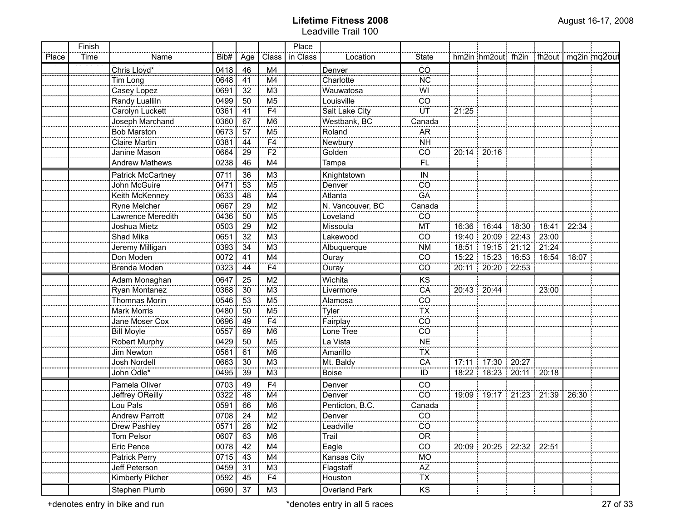|       | Finish |                          |      |                 |                           | Place    |                    |                          |       |                               |                   |                                          |       |  |
|-------|--------|--------------------------|------|-----------------|---------------------------|----------|--------------------|--------------------------|-------|-------------------------------|-------------------|------------------------------------------|-------|--|
| Place | Time   | Name                     | Bib# | Age             | Class                     | in Class | Location           | State                    |       |                               |                   | hm2in hm2out fh2in fh2out   mq2in mq2out |       |  |
|       |        | Chris Lloyd*             | 0418 | 46              | $\overline{\mathsf{M}}$ 4 |          | Denver             | ČŌ                       |       |                               |                   |                                          |       |  |
|       |        | Tim Long                 | 0648 | 41              | M4                        |          | Charlotte          | $\overline{\text{NC}}$   |       |                               |                   |                                          |       |  |
|       |        | Casey Lopez              | 0691 | 32              | $\overline{M3}$           |          | Wauwatosa          | WI                       |       |                               |                   |                                          |       |  |
|       |        | Randy Lualliln           | 0499 | 50              | M5                        |          | Louisville         | $\overline{CO}$          |       |                               |                   |                                          |       |  |
|       |        | Carolyn Luckett          | 0361 | $-41$           | F4                        |          | Salt Lake City     | ΪÜΤ                      | 21:25 |                               |                   |                                          |       |  |
|       |        | Joseph Marchand          | 0360 | 67              | M6                        |          | Westbank, BC       | Canada                   |       |                               |                   |                                          |       |  |
|       |        | <b>Bob Marston</b>       | 0673 | $\overline{57}$ | M5                        |          | Roland             | <b>AR</b>                |       |                               |                   |                                          |       |  |
|       |        | <b>Claire Martin</b>     | 0381 | 44              | $\overline{F4}$           |          | Newbury            | <b>NH</b>                |       |                               |                   |                                          |       |  |
|       |        | Janine Mason             | 0664 | $\overline{29}$ | $\overline{F2}$           |          | Golden             | $\overline{CO}$          |       | 20:14 20:16                   |                   |                                          |       |  |
|       |        | <b>Andrew Mathews</b>    | 0238 | 46              | M4                        |          | Tampa              | Ϊï                       |       |                               |                   |                                          |       |  |
|       |        | <b>Patrick McCartney</b> | 0711 | 36              | M <sub>3</sub>            |          | Knightstown        | $\sf IN$                 |       |                               |                   |                                          |       |  |
|       |        | John McGuire             | 0471 | 53              | M <sub>5</sub>            |          | Denver             | CO                       |       |                               |                   |                                          |       |  |
|       |        | Keith McKenney           | 0633 | 48              | M4                        |          | Atlanta            | GA                       |       |                               |                   |                                          |       |  |
|       |        | Ryne Melcher             | 0667 | 29              | M <sub>2</sub>            |          | N. Vancouver, BC   | Canada                   |       |                               |                   |                                          |       |  |
|       |        | Lawrence Meredith        | 0436 | 50              | M <sub>5</sub>            |          | Loveland           | CO                       |       |                               |                   |                                          |       |  |
|       |        | Joshua Mietz             | 0503 | 29              | M <sub>2</sub>            |          | Missoula           | MT                       | 16:36 |                               | 16:44 18:30 18:41 |                                          | 22:34 |  |
|       |        | Shad Mika                | 0651 | 32              | M <sub>3</sub>            |          | Lakewood           | CO                       | 19:40 | 20:09                         |                   | 22:43 23:00                              |       |  |
|       |        | Jeremy Milligan          | 0393 | 34              | M <sub>3</sub>            |          | Albuquerque        | <b>NM</b>                | 18:51 |                               |                   | 19:15 21:12 21:24                        |       |  |
|       |        | Don Moden                | 0072 | 41              | M4                        |          | Ouray              | CO                       | 15:22 | 15:23 16:53 16:54             |                   |                                          | 18:07 |  |
|       |        | Brenda Moden             | 0323 | 44              | F <sub>4</sub>            |          | Ouray              | CO                       | 20:11 | 20:20                         | 22:53             |                                          |       |  |
|       |        | Adam Monaghan            | 0647 | 25              | M <sub>2</sub>            |          | Wichita            | KS                       |       |                               |                   |                                          |       |  |
|       |        | Ryan Montanez            | 0368 | 30              | M <sub>3</sub>            |          | Livermore          | CA                       |       | 20:43   20:44                 |                   | 23:00                                    |       |  |
|       |        | <b>Thomnas Morin</b>     | 0546 | 53              | M <sub>5</sub>            |          | Alamosa            | CO                       |       |                               |                   |                                          |       |  |
|       |        | Mark Morris              | 0480 | 50              | M <sub>5</sub>            |          | Tyler              | TX                       |       |                               |                   |                                          |       |  |
|       |        | Jane Moser Cox           | 0696 | 49              | F4                        |          | Fairplay           | CO                       |       |                               |                   |                                          |       |  |
|       |        | <b>Bill Moyle</b>        | 0557 | 69              | M <sub>6</sub>            |          | Lone Tree          | CO                       |       |                               |                   |                                          |       |  |
|       |        | Robert Murphy            | 0429 | 50              | M <sub>5</sub>            |          | La Vista           | <b>NE</b>                |       |                               |                   |                                          |       |  |
|       |        | Jim Newton               | 0561 | 61              | M <sub>6</sub>            |          | Amarillo           | <b>TX</b>                |       |                               |                   |                                          |       |  |
|       |        | Josh Nordell             | 0663 | 30              | M <sub>3</sub>            |          | Mt. Baldy          | CA                       |       | 17:11 17:30 20:27             |                   |                                          |       |  |
|       |        | John Odle*               | 0495 | 39              | M <sub>3</sub>            |          | <b>Boise</b>       | ID                       |       | 18:22   18:23   20:11   20:18 |                   |                                          |       |  |
|       |        | Pamela Oliver            | 0703 | 49              | F4                        |          | Denver             | $\overline{C}$           |       |                               |                   |                                          |       |  |
|       |        | Jeffrey OReilly          | 0322 | 48              | M4                        |          | Denver             | $\overline{CO}$          |       | 19:09   19:17   21:23   21:39 |                   |                                          | 26:30 |  |
|       |        | Lou Pals                 | 0591 | 66              | M6                        |          | Penticton, B.C.    | Canada                   |       |                               |                   |                                          |       |  |
|       |        | <b>Andrew Parrott</b>    | 0708 | 24              | M2                        |          | Denver             | $\overline{CO}$          |       |                               |                   |                                          |       |  |
|       |        | Drew Pashley             | 0571 | 28              | $\overline{M2}$           |          | Leadville<br>Trail | CO                       |       |                               |                   |                                          |       |  |
|       |        | Tom Pelsor               | 0607 | 63              | $\overline{\mathsf{M6}}$  |          |                    | $\overline{OR}$          |       |                               |                   |                                          |       |  |
|       |        | Eric Pence               | 0078 | 42              | M4                        |          | $E$ agle           | $\overline{CO}$          |       | 20:09 20:25 22:32 22:51       |                   |                                          |       |  |
|       |        | Patrick Perry            | 0715 | 43              | M4                        |          | Kansas City        | MO <sup>T</sup>          |       |                               |                   |                                          |       |  |
|       |        | Jeff Peterson            | 0459 | $\overline{31}$ | M3                        |          | Flagstaff          | $\overline{AZ}$          |       |                               |                   |                                          |       |  |
|       |        | Kimberly Pilcher         | 0592 | 45              | F <sub>4</sub>            |          | Houston            | $\overline{\mathsf{TX}}$ |       |                               |                   |                                          |       |  |
|       |        | Stephen Plumb            | 0690 | 37              | M3                        |          | Overland Park      | KS                       |       |                               |                   |                                          |       |  |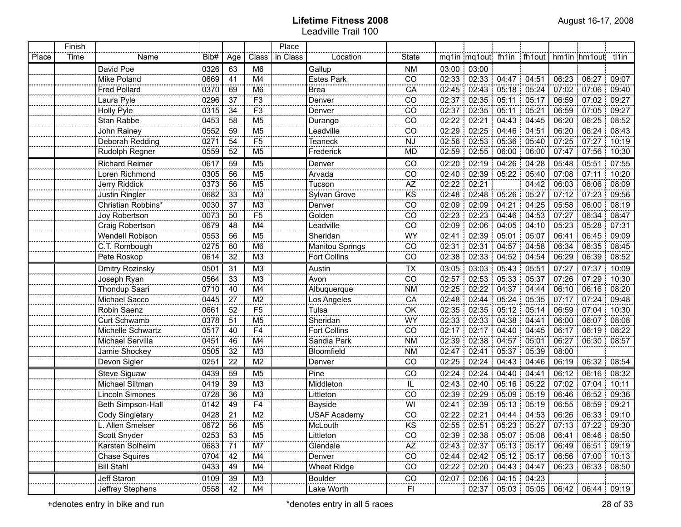|       | Finish |                        |      |           |                 | Place    |                        |                 |       |                                 |                    |             |       |                                                   |       |
|-------|--------|------------------------|------|-----------|-----------------|----------|------------------------|-----------------|-------|---------------------------------|--------------------|-------------|-------|---------------------------------------------------|-------|
| Place | Time   | Name                   | Bib# | Age       | Class           | in Class | Location               | State           |       | mq1in mq1out fh1in              |                    | fh1out      |       | hm1in hm1out tl1in                                |       |
|       |        | David Poe              | 0326 | 63        | M <sub>6</sub>  |          | Gallup                 | <b>NM</b>       |       | 03:00 03:00                     |                    |             |       |                                                   |       |
|       |        | Mike Poland            | 0669 | 41        | M4              |          | <b>Estes Park</b>      | CO              |       | 02:33 02:33 04:47 04:51         |                    |             |       | 06:23   06:27                                     | 09:07 |
|       |        | <b>Fred Pollard</b>    | 0370 | 69        | M <sub>6</sub>  |          | <b>Brea</b>            | CA              |       | 02:45 02:43 05:18 05:24         |                    |             |       | 07:02   07:06                                     | 09:40 |
|       |        | Laura Pyle             | 0296 | 37        | F <sub>3</sub>  |          | Denver                 | CO              |       | 02:37 02:35                     |                    | 05:17       | 06:59 | 07:02                                             | 09:27 |
|       |        | Holly Pyle             | 0315 | 34        | F3              |          | Denver                 | CO              | 02:37 | 02:35                           | 05:11              | 05:21       | 06:59 | 07:05                                             | 09:27 |
|       |        | Stan Rabbe             | 0453 | 58        | M <sub>5</sub>  |          | Durango                | CO              | 02:22 | 02:21                           | 04:43              | 04:45       |       | 06:20 06:25                                       | 08:52 |
|       |        | John Rainey            | 0552 | 59        | M <sub>5</sub>  |          | Leadville              | CO              | 02:29 | 02:25                           | $04:46 \div 04:51$ |             |       | 06:20 06:24                                       | 08:43 |
|       |        | Deborah Redding        | 0271 | 54        | F <sub>5</sub>  |          | Teaneck                | <b>NJ</b>       | 02:56 | 02:53                           | 05:36 05:40        |             |       | 07:25 07:27                                       | 10:19 |
|       |        | Rudolph Regner         | 0559 | 52        | M <sub>5</sub>  |          | Frederick              | MD              | 02:59 | 02:55                           | 06:00              | 06:00       | 07:47 | 07:56                                             | 10:30 |
|       |        | <b>Richard Reimer</b>  | 0617 | 59        | M <sub>5</sub>  |          | Denver                 | CO              | 02:20 | 02:19                           | 04:26              | 04:28       | 05:48 | 05:51                                             | 07:55 |
|       |        | Loren Richmond         | 0305 | 56        | M <sub>5</sub>  |          | Arvada                 | CO              | 02:40 | 02:39                           | 05:22              | 05:40       | 07:08 | 07:11                                             | 10:20 |
|       |        | Jerry Riddick          | 0373 | 56        | M <sub>5</sub>  |          | Tucson                 | <b>AZ</b>       | 02:22 | 02:21                           |                    | 04:42       | 06:03 | 06:06                                             | 08:09 |
|       |        | Justin Ringler         | 0682 | 33        | M <sub>3</sub>  |          | Sylvan Grove           | KS              | 02:48 | 02:48                           | 05:26              | 05:27       | 07:12 | 07:23                                             | 09:56 |
|       |        | Christian Robbins*     | 0030 | 37        | M <sub>3</sub>  |          | Denver                 | CO              | 02:09 | 02:09                           | 04:21              | 04:25       | 05:58 | 06:00                                             | 08:19 |
|       |        | Joy Robertson          | 0073 | 50        | F <sub>5</sub>  |          | Golden                 | CO              | 02:23 | 02:23                           | 04:46              | 04:53       | 07:27 | 06:34                                             | 08:47 |
|       |        | Craig Robertson        | 0679 | 48        | M <sub>4</sub>  |          | Leadville              | CO              | 02:09 | 02:06                           |                    | 04:05 04:10 | 05:23 | 05:28                                             | 07:31 |
|       |        | <b>Wendell Robison</b> | 0553 | 56        | M <sub>5</sub>  |          | Sheridan               | WY              | 02:41 | 02:39                           | 05:01              | 05:07       | 06:41 | 06:45                                             | 09:09 |
|       |        | C.T. Rombough          | 0275 | 60        | M <sub>6</sub>  |          | <b>Manitou Springs</b> | CO              | 02:31 | 02:31                           | 04:57              | 04:58       | 06:34 | 06:35                                             | 08:45 |
|       |        | Pete Roskop            | 0614 | 32        | M <sub>3</sub>  |          | <b>Fort Collins</b>    | CO              | 02:38 | 02:33                           | $04:52$ 04:54      |             | 06:29 | 06:39                                             | 08:52 |
|       |        | Dmitry Rozinsky        | 0501 | 31        | M <sub>3</sub>  |          | Austin                 | <b>TX</b>       |       | 03:05 03:03 05:43 05:51         |                    |             | 07:27 | 07:37:                                            | 10:09 |
|       |        | Joseph Ryan            | 0564 | 33        | M <sub>3</sub>  |          | Avon                   | $\overline{CO}$ | 02:57 | 02:53                           | 05:33              | 05:37       | 07:26 | 07:29                                             | 10:30 |
|       |        | Thondup Saari          | 0710 | 40        | M4              |          | Albuquerque            | <b>NM</b>       | 02:25 | 02:22                           | 04:37              | 04:44       | 06:10 | 06:16                                             | 08:20 |
|       |        | Michael Sacco          | 0445 | 27        | M <sub>2</sub>  |          | Los Angeles            | CA              | 02:48 | 02:44                           | 05:24              | 05:35       | 07:17 | 07:24                                             | 09:48 |
|       |        | Robin Saenz            | 0661 | 52        | $\overline{F5}$ |          | Tulsa                  | OK              | 02:35 | 02:35                           | 05:12              | 05:14       | 06:59 | 07:04                                             | 10:30 |
|       |        | Curt Schwamb           | 0378 | 51        | M <sub>5</sub>  |          | Sheridan               | WY              | 02:33 | 02:33                           | 04:38              | 04:41       | 06:00 | 06:07                                             | 08:08 |
|       |        | Michelle Schwartz      | 0517 | 40        | F4              |          | Fort Collins           | CO              | 02:17 | 02:17                           | 04:40              | 04:45       | 06:17 | 06:19                                             | 08:22 |
|       |        | Michael Servilla       | 0451 | 46        | M4              |          | Sandia Park            | <b>NM</b>       | 02:39 | 02:38                           | 04:57              | 05:01       | 06:27 | $06:30$ :                                         | 08:57 |
|       |        | Jamie Shockey          | 0505 | 32        | M <sub>3</sub>  |          | Bloomfield             | <b>NM</b>       | 02:47 | 02:41                           | 05:37              | 05:39       | 08:00 |                                                   |       |
|       |        | Devon Sigler           | 0251 | 22        | M <sub>2</sub>  |          | Denver                 | CO              | 02:25 | 02:24                           | 04:43              | 04:46       | 06:19 | 06:32                                             | 08:54 |
|       |        | Steve Siguaw           | 0439 | 59        | M <sub>5</sub>  |          | Pine                   | CO              | 02:24 | 02:24                           | 04:40              | 04:41       | 06:12 | 06:16                                             | 08:32 |
|       |        | Michael Siltman        | 0419 | 39        | M3              |          | Middleton              | IL              | 02:43 | 02:40                           | 05:16:05:22        |             |       | 07:02   07:04                                     | 10:11 |
|       |        | Lincoln Simones        | 0728 | 36        | M <sub>3</sub>  |          | Littleton              | CO              | 02:39 | 02:29                           | 05:09              | 05:19       |       | 06:46   06:52                                     | 09:36 |
|       |        | Beth Simpson-Hall      | 0142 | 49        | F <sub>4</sub>  |          | Bayside                | WI              | 02:41 | 02:39                           | $05:13$ 05:19      |             |       | 06:55   06:59                                     | 09:21 |
|       |        | Cody Singletary        | 0428 | 21        | M <sub>2</sub>  |          | USAF Academy           | $\overline{co}$ |       | 02:22 02:21                     |                    | 04:44 04:53 |       | 06:26 06:33 09:10                                 |       |
|       |        | L. Allen Smelser       | 0672 | 56<br>--- | M <sub>5</sub>  |          | McLouth                | KS              |       | $02:55$   02:51   05:23   05:27 |                    |             |       | 07:13 07:22 09:30                                 |       |
|       |        | Scott Snyder           | 0253 | 53        | M <sub>5</sub>  |          | Littleton              | CO              |       |                                 |                    |             |       | $02:39$ $02:38$ $05:07$ $05:08$ 06:41 06:46 08:50 |       |
|       |        | Karsten Solheim        | 0683 | 71        | M7              |          | Glendale               | $\overline{AZ}$ |       | 02:43 02:37 05:13 05:17         |                    |             |       | 06:49 06:51 09:19                                 |       |
|       |        | <b>Chase Squires</b>   | 0704 | 42        | M4              |          | Denver                 | CO              |       | 02:44 02:42 05:12 05:17         |                    |             |       | 06:56 07:00 10:13                                 |       |
|       |        | <b>Bill Stahl</b>      | 0433 | 49        | M4              |          | <b>Wheat Ridge</b>     | CO              |       | 02:22 02:20 04:43 04:47         |                    |             |       | $06.23 \div 06.33 \div 08.50$                     |       |
|       |        | Jeff Staron            | 0109 | 39        | M3              |          | <b>Boulder</b>         | CO              |       | 02:07 02:06 04:15 04:23         |                    |             |       |                                                   |       |
|       |        | Jeffrey Stephens       | 0558 | 42        | M4              |          | Lake Worth             | FI.             |       |                                 |                    |             |       | 02:37 05:03 05:05 06:42 06:44 09:19               |       |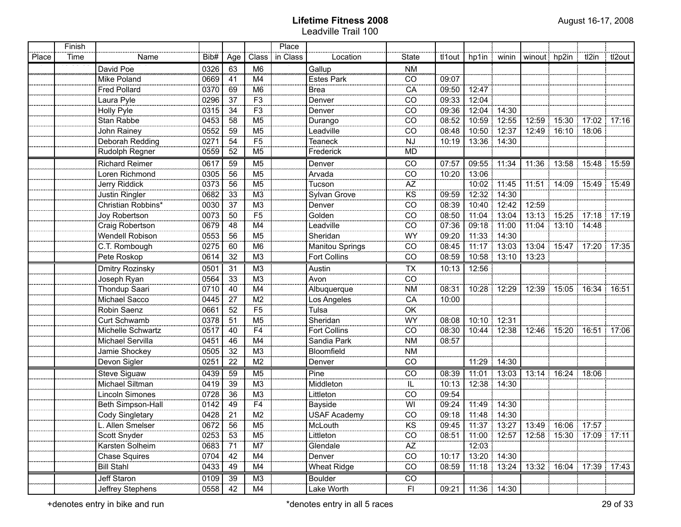|       | Finish |                       |      |     |                        | Place    |                               |                          |        |                                               |               |       |                               |       |        |
|-------|--------|-----------------------|------|-----|------------------------|----------|-------------------------------|--------------------------|--------|-----------------------------------------------|---------------|-------|-------------------------------|-------|--------|
| Place | Time   | Name                  | Bib# | Age | Class                  | in Class | Location                      | State                    | tl1out | hp1in   winin                                 |               |       | winout hp2in                  | tl2in | tl2out |
|       |        | David Poe             | 0326 | 63  | M <sub>6</sub>         |          | Gallup                        | <b>NM</b>                |        |                                               |               |       |                               |       |        |
|       |        | Mike Poland           | 0669 | 41  | M4                     |          | <b>Estes Park</b>             | CO                       | 09:07  |                                               |               |       |                               |       |        |
|       |        | <b>Fred Pollard</b>   | 0370 | 69  | M <sub>6</sub>         |          | <b>Brea</b>                   | CA                       | 09:50  | 12:47                                         |               |       |                               |       |        |
|       |        | Laura Pyle            | 0296 | 37  | F3                     |          | Denver                        | CO                       | 09:33  | 12:04                                         |               |       |                               |       |        |
|       |        | <b>Holly Pyle</b>     | 0315 | 34  | F3                     |          | Denver                        | CO                       | 09:36  | 12:04                                         | 14:30         |       |                               |       |        |
|       |        | Stan Rabbe            | 0453 | 58  | M5                     |          | Durango                       | CO                       | 08:52  | 10:59                                         | 12:55         |       | 12:59 15:30 17:02 17:16       |       |        |
|       |        | John Rainey           | 0552 | 59  | M5                     |          | Leadville                     | CO                       | 08:48  | 10:50                                         | 12:37         |       | 12:49 16:10 18:06             |       |        |
|       |        | Deborah Redding       | 0271 | 54  | F5                     |          | <b>Teaneck</b>                | <b>NJ</b>                | 10:19  | 13:36 14:30                                   |               |       |                               |       |        |
|       |        | Rudolph Regner        | 0559 | 52  | M <sub>5</sub>         |          | Frederick                     | <b>MD</b>                |        |                                               |               |       |                               |       |        |
|       |        | <b>Richard Reimer</b> | 0617 | 59  | M <sub>5</sub>         |          |                               | CO                       | 07:57  | 09:55 11:34                                   |               |       | 11:36   13:58   15:48   15:59 |       |        |
|       |        | Loren Richmond        | 0305 | 56  | M <sub>5</sub>         |          | Denver<br>Arvada              | $\overline{co}$          | 10:20  | 13:06                                         |               |       |                               |       |        |
|       |        | Jerry Riddick         | 0373 | 56  | M <sub>5</sub>         |          | Tucson                        | <b>AZ</b>                |        | 10:02                                         | 11:45         |       | 11:51 14:09 15:49 15:49       |       |        |
|       |        | Justin Ringler        | 0682 | 33  | M3                     |          | Sylvan Grove                  | $\overline{\text{KS}}$   | 09:59  | 12:32                                         | 14:30         |       |                               |       |        |
|       |        | Christian Robbins*    | 0030 | 37  | M <sub>3</sub><br>---- |          | Denver<br>Golden              | $\frac{1}{100}$          | 08:39  | 10:40                                         | 12:42         | 12:59 |                               |       |        |
|       |        | Joy Robertson         | 0073 | 50  | F <sub>5</sub>         |          |                               | $\frac{1}{100}$          | 08:50  | 11:04                                         | 13:04         |       | 13:13 15:25 17:18 17:19       |       |        |
|       |        | Craig Robertson       | 0679 | 48  | M4                     |          | Leadville                     | CO                       | 07:36  | 09:18                                         | 11:00         |       | 11:04 13:10 14:48             |       |        |
|       |        | Wendell Robison       | 0553 | 56  | M <sub>5</sub>         |          | Sheridan                      | WY                       | 09:20  | 11:33                                         | 14:30         |       |                               |       |        |
|       |        | C.T. Rombough         | 0275 | 60  | M <sub>6</sub>         |          | <b>Manitou Springs</b>        | CO                       | 08:45  | 11:17                                         | 13:03         |       | 13:04   15:47   17:20   17:35 |       |        |
|       |        | Pete Roskop           | 0614 | 32  | M3                     |          | <b>Fort Collins</b>           | CO                       | 08:59  | 10:58                                         | 13:10         | 13:23 |                               |       |        |
|       |        | Dmitry Rozinsky       | 0501 | 31  | M3                     |          | Austin                        | $\overline{\mathsf{TX}}$ | 10:13  | 12:56                                         |               |       |                               |       |        |
|       |        | Joseph Ryan           | 0564 | 33  | M <sub>3</sub>         |          | Avon                          | CO                       |        |                                               |               |       |                               |       |        |
|       |        | Thondup Saari         | 0710 | 40  | M4                     |          | Albuquerque                   | <b>NM</b>                | 08:31  | 10:28 12:29                                   |               |       | 12:39   15:05   16:34   16:51 |       |        |
|       |        | Michael Sacco         | 0445 | 27  | M <sub>2</sub>         |          | Los Angeles                   | CA                       | 10:00  |                                               |               |       |                               |       |        |
|       |        | Robin Saenz           | 0661 | 52  | F <sub>5</sub>         |          | Tulsa                         | OK                       |        |                                               |               |       |                               |       |        |
|       |        | Curt Schwamb          | 0378 | 51  | M <sub>5</sub>         |          | Sheridan                      | WY                       | 08:08  | 10:10 12:31                                   |               |       |                               |       |        |
|       |        | Michelle Schwartz     | 0517 | 40  | F4                     |          | <b>Fort Collins</b>           | CO                       | 08:30  | 10:44 12:38                                   |               |       | 12:46 15:20 16:51 17:06       |       |        |
|       |        | Michael Servilla      | 0451 | 46  | M4                     |          | Sandia Park                   | <b>NM</b>                | 08:57  |                                               |               |       |                               |       |        |
|       |        | Jamie Shockey         | 0505 | 32  | M <sub>3</sub>         |          | Bloomfield                    | <b>NM</b>                |        |                                               |               |       |                               |       |        |
|       |        | Devon Sigler          | 0251 | 22  | M <sub>2</sub>         |          | Denver                        | CO                       |        |                                               | 11:29   14:30 |       |                               |       |        |
|       |        | <b>Steve Siguaw</b>   | 0439 | 59  | M <sub>5</sub>         |          | Pine                          | CO                       | 08:39  | 11:01                                         | 13:03         |       | 13:14 16:24 18:06             |       |        |
|       |        | Michael Siltman       | 0419 | 39  | M <sub>3</sub>         |          | Middleton                     | IL.                      | 10:13  | 12:38 14:30                                   |               |       |                               |       |        |
|       |        | Lincoln Simones       | 0728 | 36  | M <sub>3</sub>         |          | Littleton                     | CO                       | 09:54  |                                               |               |       |                               |       |        |
|       |        | Beth Simpson-Hall     | 0142 | 49  | F <sub>4</sub>         |          | <b>Bayside</b>                | WI                       | 09:24  | 11:49                                         | 14:30         |       |                               |       |        |
|       |        | Cody Singletary       | 0428 | 21  | M <sub>2</sub>         |          | <b>USAF Academy</b>           | CO                       | 09:18  | 11:48                                         | 14:30         |       |                               |       |        |
|       |        | L. Allen Smelser      | 0672 | 56  | M <sub>5</sub>         |          | <b>McLouth</b><br>----------- | KS                       |        | 09:45   11:37   13:27   13:49   16:06   17:57 |               |       |                               |       |        |
|       |        | Scott Snyder          | 0253 | 53  | M <sub>5</sub>         |          | Littleton                     | CO                       |        | 08:51   11:00   12:57                         |               |       | 12:58 15:30 17:09 17:11       |       |        |
|       |        | Karsten Solheim       | 0683 | 71  | M7                     |          | Glendale                      | $A\!Z$                   |        | 12:03                                         |               |       |                               |       |        |
|       |        | <b>Chase Squires</b>  | 0704 | 42  | M4                     |          | Denver                        | CO                       | 10:17  | 13:20 14:30                                   |               |       |                               |       |        |
|       |        | <b>Bill Stahl</b>     | 0433 | 49  | M4                     |          | <b>Wheat Ridge</b>            | CO                       | 08:59  |                                               | $11:18$ 13:24 |       | 13:32 16:04 17:39 17:43       |       |        |
|       |        | Jeff Staron           | 0109 | 39  | M <sub>3</sub>         |          | Boulder                       | CO                       |        |                                               |               |       |                               |       |        |
|       |        | Jeffrey Stephens      | 0558 | 42  | M4                     |          | Lake Worth                    | FI.                      | 09:21  | 11:36 14:30                                   |               |       |                               |       |        |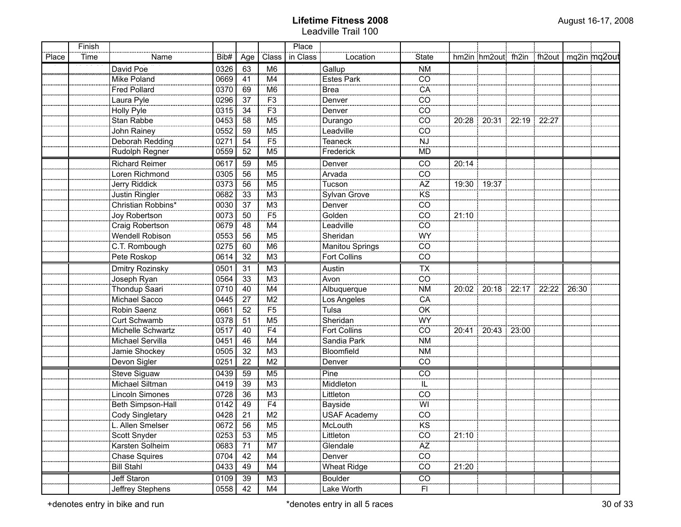|       | Finish |                        |      |                 |                 | Place    |                     |                        |       |                                          |  |       |  |
|-------|--------|------------------------|------|-----------------|-----------------|----------|---------------------|------------------------|-------|------------------------------------------|--|-------|--|
| Place | Time   | Name                   | Bib# | Age             | Class           | in Class | Location            | <b>State</b>           |       | hm2in hm2out fh2in fh2out   mq2in mq2out |  |       |  |
|       |        | David Poe              | 0326 | 63              | M6              |          | Gallup              | <b>NM</b>              |       |                                          |  |       |  |
|       |        | Mike Poland            | 0669 | 41              | M4              |          | <b>Estes Park</b>   | CO                     |       |                                          |  |       |  |
|       |        | <b>Fred Pollard</b>    | 0370 | 69              | M <sub>6</sub>  |          | <b>Brea</b>         | CA                     |       |                                          |  |       |  |
|       |        | Laura Pyle             | 0296 | 37              | F <sub>3</sub>  |          | Denver              | CO                     |       |                                          |  |       |  |
|       |        | Holly Pyle             | 0315 | 34              | F <sub>3</sub>  |          | Denver              | CO                     |       |                                          |  |       |  |
|       |        | Stan Rabbe             | 0453 | 58              | M <sub>5</sub>  |          | Durango             | CO                     |       | 20:28 20:31 22:19 22:27                  |  |       |  |
|       |        | John Rainey            | 0552 | 59              | M <sub>5</sub>  |          | Leadville           | CO                     |       |                                          |  |       |  |
|       |        | Deborah Redding        | 0271 | 54              | F <sub>5</sub>  |          | <b>Teaneck</b>      | <b>NJ</b>              |       |                                          |  |       |  |
|       |        | Rudolph Regner         | 0559 | 52              | M <sub>5</sub>  |          | Frederick           | <b>MD</b>              |       |                                          |  |       |  |
|       |        | <b>Richard Reimer</b>  | 0617 | 59              | M <sub>5</sub>  |          | Denver              | CO                     | 20:14 |                                          |  |       |  |
|       |        | Loren Richmond         | 0305 | 56              | M <sub>5</sub>  |          | Arvada              | CO                     |       |                                          |  |       |  |
|       |        | Jerry Riddick          | 0373 | 56              | M <sub>5</sub>  |          | Tucson              | $\frac{1}{AZ}$         |       | 19:30 19:37                              |  |       |  |
|       |        | Justin Ringler         | 0682 | 33              | M <sub>3</sub>  |          | Sylvan Grove        | <br>KS                 |       |                                          |  |       |  |
|       |        | Christian Robbins*     | 0030 | 37              | M <sub>3</sub>  |          | Denver              | CO                     |       |                                          |  |       |  |
|       |        | Joy Robertson          | 0073 | 50              | $\overline{F5}$ |          | Golden              | CO                     | 21:10 |                                          |  |       |  |
|       |        | Craig Robertson        | 0679 | 48              | M4              |          | Leadville           | CO                     |       |                                          |  |       |  |
|       |        | Wendell Robison        | 0553 | 56              | M <sub>5</sub>  |          | Sheridan            | WY                     |       |                                          |  |       |  |
|       |        | C.T. Rombough          | 0275 | 60              | M <sub>6</sub>  |          | Manitou Springs     | CO                     |       |                                          |  |       |  |
|       |        | Pete Roskop            | 0614 | 32              | M <sub>3</sub>  |          | <b>Fort Collins</b> | CO                     |       |                                          |  |       |  |
|       |        | <b>Dmitry Rozinsky</b> | 0501 | $\overline{31}$ | M <sub>3</sub>  |          | Austin              | TX                     |       |                                          |  |       |  |
|       |        | Joseph Ryan            | 0564 | 33              | M <sub>3</sub>  |          | Avon                | CO                     |       |                                          |  |       |  |
|       |        | Thondup Saari          | 0710 | 40              | M4              |          | Albuquerque         | <b>NM</b>              |       | 20:02   20:18   22:17   22:22            |  | 26:30 |  |
|       |        | Michael Sacco          | 0445 | 27              | M2              |          | Los Angeles         | CA                     |       |                                          |  |       |  |
|       |        | Robin Saenz            | 0661 | 52              | F <sub>5</sub>  |          | Tulsa               | OK                     |       |                                          |  |       |  |
|       |        | Curt Schwamb           | 0378 | 51              | M <sub>5</sub>  |          | Sheridan            | WY                     |       |                                          |  |       |  |
|       |        | Michelle Schwartz      | 0517 | 40              | F4              |          | Fort Collins        | CO                     |       | 20:41   20:43   23:00                    |  |       |  |
|       |        | Michael Servilla       | 0451 | 46              | M4              |          | Sandia Park         | <b>NM</b>              |       |                                          |  |       |  |
|       |        | Jamie Shockey          | 0505 | 32              | M <sub>3</sub>  |          | Bloomfield          | <b>NM</b>              |       |                                          |  |       |  |
|       |        | Devon Sigler           | 0251 | 22              | M <sub>2</sub>  |          | Denver              | CO                     |       |                                          |  |       |  |
|       |        | Steve Siguaw           | 0439 | 59              | M <sub>5</sub>  |          | Pine                | CO                     |       |                                          |  |       |  |
|       |        | Michael Siltman        | 0419 | 39              | M <sub>3</sub>  |          | Middleton           | IL                     |       |                                          |  |       |  |
|       |        | Lincoln Simones        | 0728 | 36              | M <sub>3</sub>  |          | Littleton           | CO                     |       |                                          |  |       |  |
|       |        | Beth Simpson-Hall      | 0142 | 49              | F <sub>4</sub>  |          | Bayside             | WI                     |       |                                          |  |       |  |
|       |        | Cody Singletary        | 0428 | 21              | M <sub>2</sub>  |          | <b>USAF Academy</b> | CO                     |       |                                          |  |       |  |
|       |        | L. Allen Smelser       | 0672 | 56              | M <sub>5</sub>  |          | McLouth             | KS                     |       |                                          |  |       |  |
|       |        | Scott Snyder           | 0253 | 53              | M <sub>5</sub>  |          | Littleton           | CO                     | 21:10 |                                          |  |       |  |
|       |        | Karsten Solheim        | 0683 | 71              | M7              |          | Glendale            | $\mathsf{A}\mathsf{Z}$ |       |                                          |  |       |  |
|       |        | Chase Squires          | 0704 | 42              | M4              |          | Denver              | CO                     |       |                                          |  |       |  |
|       |        | <b>Bill Stahl</b>      | 0433 | 49              | M4              |          | <b>Wheat Ridge</b>  | CO                     | 21:20 |                                          |  |       |  |
|       |        | Jeff Staron            | 0109 | 39              | M3              |          | Boulder             | CO                     |       |                                          |  |       |  |
|       |        | Jeffrey Stephens       | 0558 | 42              | M4              |          | Lake Worth          | F1                     |       |                                          |  |       |  |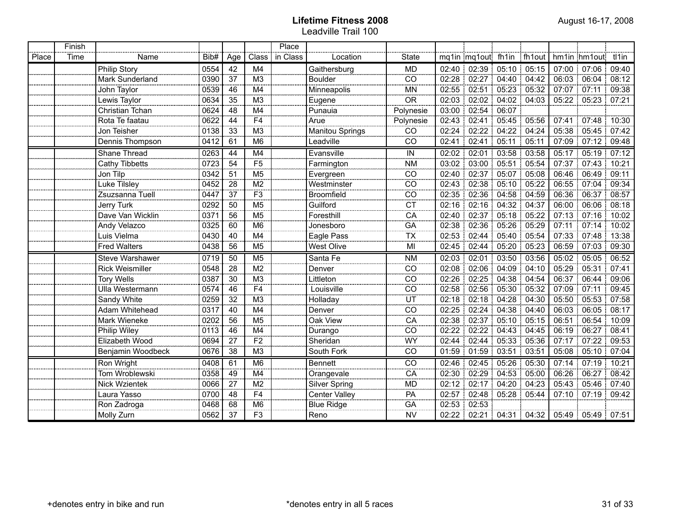|       | Finish |                        |      |                 |                      | Place    |                   |                          |             |                         |             |             |                            |
|-------|--------|------------------------|------|-----------------|----------------------|----------|-------------------|--------------------------|-------------|-------------------------|-------------|-------------|----------------------------|
| Place | Time   | Name                   | Bib# | Age             | Class                | in Class | Location          | <b>State</b>             |             | mq1in mq1out fh1in      |             | : fh1out    | tl1in<br>hm1in hm1out      |
|       |        | <b>Philip Story</b>    | 0554 | 42              | M4                   |          | Gaithersburg      | <b>MD</b>                |             | 02:40 02:39             | 05:10       | 05:15       | 07:00<br>07:06<br>09:40    |
|       |        | Mark Sunderland        | 0390 | 37              | M <sub>3</sub>       |          | <b>Boulder</b>    | CO                       | 02:28       | 02:27                   |             | 04:40 04:42 | 06:03<br>06:04<br>08:12    |
|       |        | John Taylor            | 0539 | 46              | <br>M4               |          | Minneapolis       | <br><b>MN</b>            | 02:55<br>f, | 02:51                   |             | 05:23 05:32 | 07:07<br>07:11<br>09:38    |
|       |        | Lewis Taylor           | 0634 | 35              | M <sub>3</sub>       |          | Eugene            | $\frac{1}{OR}$           | 02:03       | 02:02                   | 04:02       | 04:03       | 05:22<br>05:23<br>07:21    |
|       |        | Christian Tchan        | 0624 | 48              | M <sub>4</sub><br>.  |          | Punauia           | Polynesie                | 03:00       | 02:54                   | 06:07       |             |                            |
|       |        | Rota Te faatau         | 0622 | 44              | F4                   |          | Arue              | Polynesie                | 02:43       | 02:41                   | 05:45       | 05:56       | 07:41<br>07:48<br>10:30    |
|       |        | Jon Teisher            | 0138 | 33              | M <sub>3</sub>       |          | Manitou Springs   | CO                       | 02:24<br>÷  | 02:22                   | 04:22       | 04:24       | 05:38<br>05:45 07:42<br>Ť. |
|       |        | Dennis Thompson        | 0412 | 61              | M6                   |          | Leadville         | CO                       | 02:41       | 02:41                   | 05:11       | 05:11       | 07:09<br>07:12<br>09:48    |
|       |        | Shane Thread           | 0263 | 44              | M4                   |          | Evansville        | IN                       | 02:02       | 02:01                   | 03:58       | 03:58       | 07:12<br>05:17<br>05:19    |
|       |        | Cathy Tibbetts         | 0723 | 54              | F <sub>5</sub>       |          | Farmington        | <b>NM</b>                | 03:02       | 03:00                   | 05:51       | 05:54       | 07:37<br>07:43<br>10:21    |
|       |        | Jon Tilp               | 0342 | 51              | M <sub>5</sub>       |          | Evergreen         | CO                       | 02:40       | 02:37                   | 05:07       | 05:08       | 06:46<br>09:11<br>06:49    |
|       |        | Luke Tilsley           | 0452 | 28              | M <sub>2</sub>       |          | Westminster       | CO                       | 02:43       | 02:38                   | 05:10       | 05:22       | 06:55<br>09:34<br>07:04    |
|       |        | Zsuzsanna Tuell        | 0447 | 37              | F3                   |          | <b>Broomfield</b> | CO                       |             | 02:35 02:36             | 04:58       | 04:59       | 06:36<br>08:57<br>06:37:   |
|       |        | <b>Jerry Turk</b>      | 0292 | 50              | M5                   |          | Guilford          | $\overline{C}$           |             | 02:16:02:16             |             | 04:32 04:37 | 06:00<br>06:06<br>08:18    |
|       |        | Dave Van Wicklin       | 0371 | 56              | M <sub>5</sub>       |          | Foresthill        | CA                       |             | 02:40 02:37             |             | 05:18 05:22 | 07:13 07:16<br>10:02       |
|       |        | <b>Andy Velazco</b>    | 0325 | 60              | M <sub>6</sub>       |          | Jonesboro         | GA                       |             | 02:38 02:36             | 05:26 05:29 |             | 07:11 07:14 10:02          |
|       |        | Luis Vielma            | 0430 | 40              | M4                   |          | Eagle Pass        | $\overline{\mathsf{TX}}$ |             | 02:53 02:44             | 05:40 05:54 |             | 07:33 07:48 13:38          |
|       |        | <b>Fred Walters</b>    | 0438 | 56              | M <sub>5</sub>       |          | <b>West Olive</b> | MI                       |             | 02:45 02:44             | 05:20 05:23 |             | 06:59<br>07:03 09:30       |
|       |        | <b>Steve Warshawer</b> | 0719 | 50              | M <sub>5</sub>       |          | Santa Fe          | <b>NM</b>                | 02:03       | 02:01                   | 03:50       | 03:56       | 05:02<br>06:52<br>05:05:   |
|       |        | <b>Rick Weismiller</b> | 0548 | 28              | $\frac{1}{100}$      |          | Denver            | CO                       | 02:08       | 02:06                   | 04:09       | 04:10       | 05:29<br>05:31:<br>07:41   |
|       |        | <b>Tory Wells</b>      | 0387 | 30              | M <sub>3</sub>       |          | Littleton         | CO                       | 02:26       | 02:25                   | 04:38       | 04:54       | 06:37<br>06:44<br>09:06    |
|       |        | Ulla Westermann        | 0574 | 46              | $\overline{F4}$<br>. |          | Louisville        | CO                       | 02:58       | 02:56                   | 05:30 05:32 |             | 07:09<br>07:11<br>09:45    |
|       |        | Sandy White            | 0259 | 32              | M <sub>3</sub>       |          | Holladay          | UT                       | 02:18       | 02:18                   | 04:28       | 04:30       | 05:50<br>05:53:<br>07:58   |
|       |        | Adam Whitehead         | 0317 | 40              | M4                   |          | Denver            | CO                       | 02:25       | 02:24                   | 04:38       | 04:40       | 06:03<br>08:17<br>06:05    |
|       |        | Mark Wieneke           | 0202 | 56              | M5                   |          | Oak View          | CA                       | 02:38       | 02:37                   | 05:10       | 05:15       | 06:51<br>06:54<br>10:09    |
|       |        | Philip Wiley           | 0113 | $\overline{46}$ | $\overline{M4}$      |          | Durango<br>       | CO                       | 02:22       | 02:22                   | 04:43       | 04:45       | 08:41<br>06:19<br>06:27    |
|       |        | Elizabeth Wood         | 0694 | 27              | $\overline{F2}$<br>. |          | Sheridan          | $\frac{1}{WY}$           | 02:44       | 02:44                   | 05:33       | 05:36       | 07:17<br>07:22<br>09:53    |
|       |        | Benjamin Woodbeck      | 0676 | 38              | M <sub>3</sub>       |          | South Fork        | CO                       | 01:59       | 01:59                   | 03:51       | 03:51       | 05:08<br>05:10:<br>07:04   |
|       |        | Ron Wright             | 0408 | 61              | M <sub>6</sub>       |          | <b>Bennett</b>    | <b>CO</b>                | 02:46       | 02:45                   | 05:26       | 05:30       | 07:14<br>10:21<br>07:19    |
|       |        | Tom Wroblewski         | 0358 | 49              | $\overline{M4}$      |          | Orangevale        | CA                       | 02:30       | 02:29                   | 04:53       | 05:00       | 06:26<br>06:27<br>08:42    |
|       |        | Nick Wzientek          | 0066 | $\overline{27}$ | $\overline{M2}$      |          | Silver Spring     | <b>MD</b>                | 02:12       | 02:17                   | 04:20       | 04:23       | 05:43<br>05:46<br>07:40    |
|       |        | Laura Yasso            | 0700 | 48              | $\overline{F4}$      |          | Center Valley     | $\frac{1}{P}$            | 02:57       | 02:48                   | 05:28       | 05:44       | 07:10 07:19<br>09:42       |
|       |        | Ron Zadroga            | 0468 | 68              | M <sub>6</sub>       |          | <b>Blue Ridge</b> | <br>GA                   |             | $02:53$ 02:53           |             |             |                            |
|       |        | Molly Zurn             | 0562 | 37              | F <sub>3</sub>       |          | Reno              | <b>NV</b>                |             | 02:22 02:21 04:31 04:32 |             |             | 05:49 05:49 07:51          |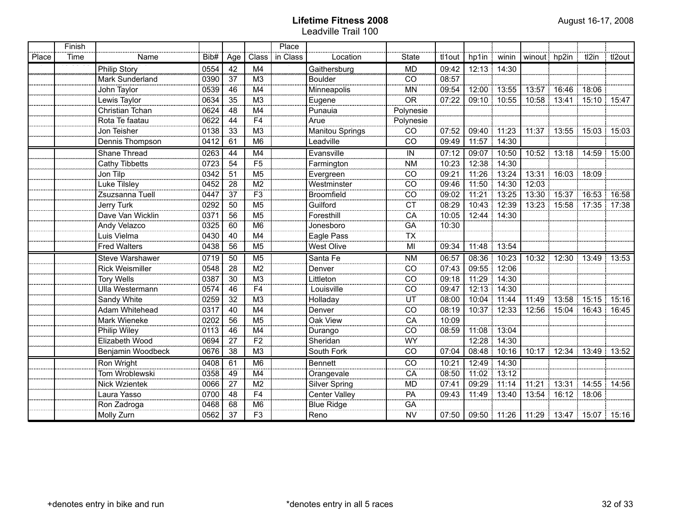|       | Finish |                        |      |                 |                     | Place    |                      |                          |        |                   |               |                                |                       |                                     |       |
|-------|--------|------------------------|------|-----------------|---------------------|----------|----------------------|--------------------------|--------|-------------------|---------------|--------------------------------|-----------------------|-------------------------------------|-------|
| Place | Time   | Name                   | Bib# | Age             | Class               | in Class | Location             | <b>State</b>             | tl1out |                   |               | hp1in   winin   winout   hp2in |                       | tl2in tl2out                        |       |
|       |        | Philip Story           | 0554 | 42              | M4                  |          | Gaithersburg         | МĎ                       | 09:42  | 12:13 14:30       |               |                                |                       |                                     |       |
|       |        | Mark Sunderland        | 0390 | 37              | M3                  |          | <b>Boulder</b>       | CO                       | 08:57  |                   |               |                                |                       |                                     |       |
|       |        | John Taylor            | 0539 | 46              | M4                  |          | Minneapolis          | <b>MN</b>                | 09:54  |                   | $12:00$ 13:55 | 13:57                          |                       | 16:46 18:06                         |       |
|       |        | Lewis Taylor           | 0634 | 35              | M <sub>3</sub>      |          | Eugene               | $\overline{OR}$          | 07:22  |                   | 09:10 10:55   |                                |                       | 10:58 13:41 15:10 15:47             |       |
|       |        | Christian Tchan        | 0624 | 48              | M4                  |          | Punauia              | Polynesie                |        |                   |               |                                |                       |                                     |       |
|       |        | Rota Te faatau         | 0622 | 44              | <br>F4<br>          |          | Arue                 | Polynesie                |        |                   |               |                                |                       |                                     |       |
|       |        | Jon Teisher            | 0138 | 33              | M <sub>3</sub>      |          | Manitou Springs      | CO                       | 07:52  | 09:40 11:23       |               |                                |                       | $-11:37$   13:55   15:03   15:03    |       |
|       |        | Dennis Thompson        | 0412 | 61              | M6                  |          | Leadville            | CO                       | 09:49  | 11:57 14:30       |               |                                |                       |                                     |       |
|       |        | Shane Thread           | 0263 | 44              | M4                  |          | Evansville           | IN                       | 07:12  | 09:07 10:50       |               |                                |                       | 10:52 13:18 14:59                   | 15:00 |
|       |        | <b>Cathy Tibbetts</b>  | 0723 | 54              | F <sub>5</sub>      |          | Farmington           | <b>NM</b>                | 10:23  | 12:38 14:30       |               |                                |                       |                                     |       |
|       |        | Jon Tilp               | 0342 | 51              | M <sub>5</sub>      |          | Evergreen            | <sub>CO</sub>            | 09:21  | 11:26 13:24       |               |                                | 13:31   16:03   18:09 |                                     |       |
|       |        | Luke Tilsley           | 0452 | 28              | M <sub>2</sub>      |          | Westminster          | CO                       | 09:46  | 11:50 14:30       |               | 12:03                          |                       |                                     |       |
|       |        | Zsuzsanna Tuell        | 0447 | 37              | F <sub>3</sub>      |          | <b>Broomfield</b>    | CO                       | 09:02  |                   | $11:21$ 13:25 |                                |                       | 13:30 15:37 16:53                   | 16:58 |
|       |        | <b>Jerry Turk</b>      | 0292 | 50              | M5                  |          | Guilford             | <b>CT</b>                | 08:29  | 10:43 12:39       |               |                                |                       | 13:23 15:58 17:35 17:38             |       |
|       |        | Dave Van Wicklin       | 0371 | 56              | M5                  |          | Foresthill           | CA                       | 10:05  | 12:44 14:30       |               |                                |                       |                                     |       |
|       |        | Andy Velazco           | 0325 | 60              | M6                  |          | Jonesboro            | GA                       | 10:30  |                   |               |                                |                       |                                     |       |
|       |        | Luis Vielma            | 0430 | 40              | M4                  |          | Eagle Pass           | $\overline{\mathsf{TX}}$ |        |                   |               |                                |                       |                                     |       |
|       |        | <b>Fred Walters</b>    | 0438 | 56              | M <sub>5</sub>      |          | <b>West Olive</b>    | MI                       | 09:34  | 11:48             | 13:54         |                                |                       |                                     |       |
|       |        | <b>Steve Warshawer</b> | 0719 | 50              | M <sub>5</sub>      |          | Santa Fe             | <b>NM</b>                | 06:57  |                   | 08:36 10:23   |                                |                       | 10:32 12:30 13:49 13:53             |       |
|       |        | <b>Rick Weismiller</b> | 0548 | 28              | $\overline{M2}$     |          | Denver               | CO                       | 07:43  | 09:55             | 12:06         |                                |                       |                                     |       |
|       |        | Tory Wells             | 0387 | 30              | $\overline{M3}$     |          | Littleton            | $\overline{co}$          | 09:18  | $\frac{1}{11:29}$ | 14:30         |                                |                       |                                     |       |
|       |        | <b>Ulla Westermann</b> | 0574 | 46              | $\overline{F4}$<br> |          | Louisville           | CO                       | 09:47  | $12:13$ 14:30     |               |                                |                       |                                     |       |
|       |        | Sandy White            | 0259 | 32              | M <sub>3</sub>      |          | Holladay             | UT                       | 08:00  | 10:04             | 11:44         | 11:49                          | 13:58                 | 15:15                               | 15:16 |
|       |        | Adam Whitehead         | 0317 | 40              | M4                  |          | Denver               | CO                       | 08:19  | 10:37 12:33       |               | 12:56                          | 15:04                 | 16.43:                              | 16:45 |
|       |        | Mark Wieneke           | 0202 | 56              | M <sub>5</sub>      |          | Oak View             | CA                       | 10:09  |                   |               |                                |                       |                                     |       |
|       |        | Philip Wiley           | 0113 | 46              | M4                  |          | Durango              | CO                       | 08:59  | 11:08 13:04       |               |                                |                       |                                     |       |
|       |        | Elizabeth Wood         | 0694 | 27              | $\overline{F2}$     |          | Sheridan             | <b>WY</b>                |        | 12:28 14:30       |               |                                |                       |                                     |       |
|       |        | Benjamin Woodbeck      | 0676 | $\overline{38}$ | $\overline{M3}$     |          | South Fork           | CO                       | 07:04  |                   | 08:48 10:16   |                                |                       | 10:17 12:34 13:49 13:52             |       |
|       |        | Ron Wright             | 0408 | 61              | M6                  |          | <b>Bennett</b>       | CO                       | 10:21  | 12:49 14:30       |               |                                |                       |                                     |       |
|       |        | Tom Wroblewski         | 0358 | 49              | M <sub>4</sub>      |          | Orangevale           | CA                       | 08:50  | 11:02 13:12       |               |                                |                       |                                     |       |
|       |        | <b>Nick Wzientek</b>   | 0066 | 27              | M2                  |          | <b>Silver Spring</b> | <b>MD</b>                | 07:41  | 09:29 11:14       |               |                                |                       | 11:21 13:31 14:55 14:56             |       |
|       |        | Laura Yasso            | 0700 | 48              | F4                  |          | <b>Center Valley</b> | <b>PA</b>                | 09:43  |                   | 11:49 13:40   |                                | 13:54 16:12 18:06     |                                     |       |
|       |        | Ron Zadroga            | 0468 | 68              | $\overline{M6}$     |          | Blue Ridge           | <b>GA</b>                |        |                   |               |                                |                       |                                     |       |
|       |        | Molly Zurn             | 0562 | 37              | F3                  |          | Reno                 | <b>NV</b>                | 07:50  |                   |               |                                |                       | 09:50 11:26 11:29 13:47 15:07 15:16 |       |